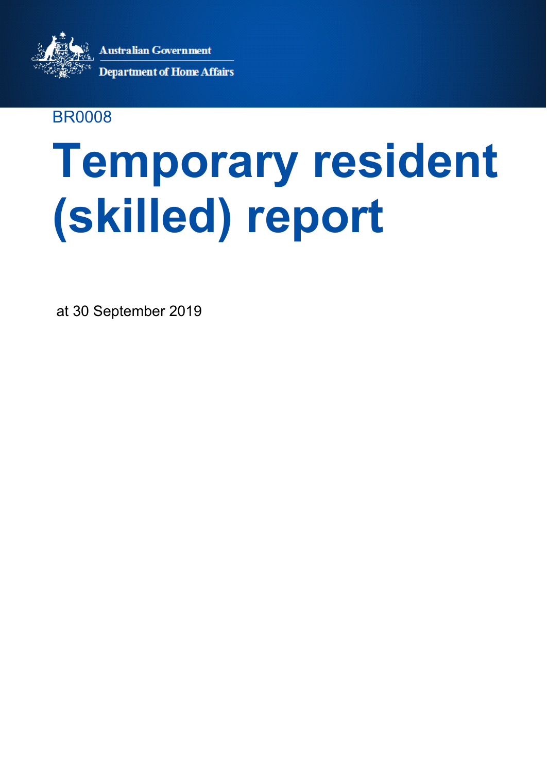.<br>Australian Government



30/09/18

**Department of Home Affairs** 

### BR0008

# **Temporary resident (skilled) report**

at 30 September 2019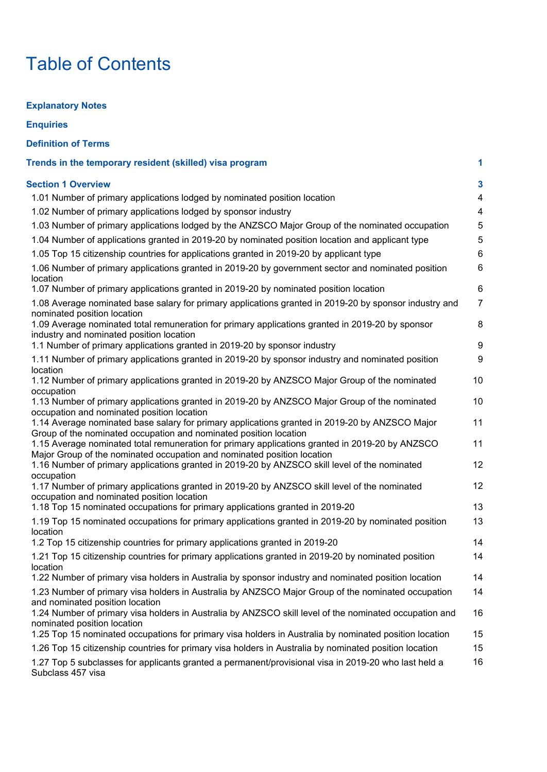# Table of Contents

**Explanatory Notes**

| <b>Enquiries</b>                                                                                                                                                                                                                                                                                                                                                                                                                                                                                                                                                                              |                                                                      |
|-----------------------------------------------------------------------------------------------------------------------------------------------------------------------------------------------------------------------------------------------------------------------------------------------------------------------------------------------------------------------------------------------------------------------------------------------------------------------------------------------------------------------------------------------------------------------------------------------|----------------------------------------------------------------------|
| <b>Definition of Terms</b>                                                                                                                                                                                                                                                                                                                                                                                                                                                                                                                                                                    |                                                                      |
| Trends in the temporary resident (skilled) visa program                                                                                                                                                                                                                                                                                                                                                                                                                                                                                                                                       | 1                                                                    |
| <b>Section 1 Overview</b><br>1.01 Number of primary applications lodged by nominated position location<br>1.02 Number of primary applications lodged by sponsor industry<br>1.03 Number of primary applications lodged by the ANZSCO Major Group of the nominated occupation<br>1.04 Number of applications granted in 2019-20 by nominated position location and applicant type<br>1.05 Top 15 citizenship countries for applications granted in 2019-20 by applicant type<br>1.06 Number of primary applications granted in 2019-20 by government sector and nominated position<br>location | $\mathbf{3}$<br>$\overline{4}$<br>$\overline{4}$<br>5<br>5<br>6<br>6 |
| 1.07 Number of primary applications granted in 2019-20 by nominated position location                                                                                                                                                                                                                                                                                                                                                                                                                                                                                                         | 6                                                                    |
| 1.08 Average nominated base salary for primary applications granted in 2019-20 by sponsor industry and<br>nominated position location<br>1.09 Average nominated total remuneration for primary applications granted in 2019-20 by sponsor<br>industry and nominated position location<br>1.1 Number of primary applications granted in 2019-20 by sponsor industry                                                                                                                                                                                                                            | $\overline{7}$<br>8<br>9                                             |
| 1.11 Number of primary applications granted in 2019-20 by sponsor industry and nominated position                                                                                                                                                                                                                                                                                                                                                                                                                                                                                             | 9                                                                    |
| location<br>1.12 Number of primary applications granted in 2019-20 by ANZSCO Major Group of the nominated<br>occupation                                                                                                                                                                                                                                                                                                                                                                                                                                                                       | 10                                                                   |
| 1.13 Number of primary applications granted in 2019-20 by ANZSCO Major Group of the nominated<br>occupation and nominated position location                                                                                                                                                                                                                                                                                                                                                                                                                                                   | 10                                                                   |
| 1.14 Average nominated base salary for primary applications granted in 2019-20 by ANZSCO Major<br>Group of the nominated occupation and nominated position location                                                                                                                                                                                                                                                                                                                                                                                                                           | 11                                                                   |
| 1.15 Average nominated total remuneration for primary applications granted in 2019-20 by ANZSCO<br>Major Group of the nominated occupation and nominated position location<br>1.16 Number of primary applications granted in 2019-20 by ANZSCO skill level of the nominated                                                                                                                                                                                                                                                                                                                   | 11<br>12 <sub>2</sub>                                                |
| occupation<br>1.17 Number of primary applications granted in 2019-20 by ANZSCO skill level of the nominated<br>occupation and nominated position location                                                                                                                                                                                                                                                                                                                                                                                                                                     | 12                                                                   |
| 1.18 Top 15 nominated occupations for primary applications granted in 2019-20                                                                                                                                                                                                                                                                                                                                                                                                                                                                                                                 | 13                                                                   |
| 1.19 Top 15 nominated occupations for primary applications granted in 2019-20 by nominated position<br>location<br>1.2 Top 15 citizenship countries for primary applications granted in 2019-20                                                                                                                                                                                                                                                                                                                                                                                               | 13<br>14                                                             |
| 1.21 Top 15 citizenship countries for primary applications granted in 2019-20 by nominated position<br>location                                                                                                                                                                                                                                                                                                                                                                                                                                                                               | 14                                                                   |
| 1.22 Number of primary visa holders in Australia by sponsor industry and nominated position location                                                                                                                                                                                                                                                                                                                                                                                                                                                                                          | 14                                                                   |
| 1.23 Number of primary visa holders in Australia by ANZSCO Major Group of the nominated occupation<br>and nominated position location<br>1.24 Number of primary visa holders in Australia by ANZSCO skill level of the nominated occupation and                                                                                                                                                                                                                                                                                                                                               | 14<br>16                                                             |
| nominated position location<br>1.25 Top 15 nominated occupations for primary visa holders in Australia by nominated position location                                                                                                                                                                                                                                                                                                                                                                                                                                                         | 15                                                                   |
| 1.26 Top 15 citizenship countries for primary visa holders in Australia by nominated position location                                                                                                                                                                                                                                                                                                                                                                                                                                                                                        | 15                                                                   |
| 1.27 Top 5 subclasses for applicants granted a permanent/provisional visa in 2019-20 who last held a<br>Subclass 457 visa                                                                                                                                                                                                                                                                                                                                                                                                                                                                     | 16                                                                   |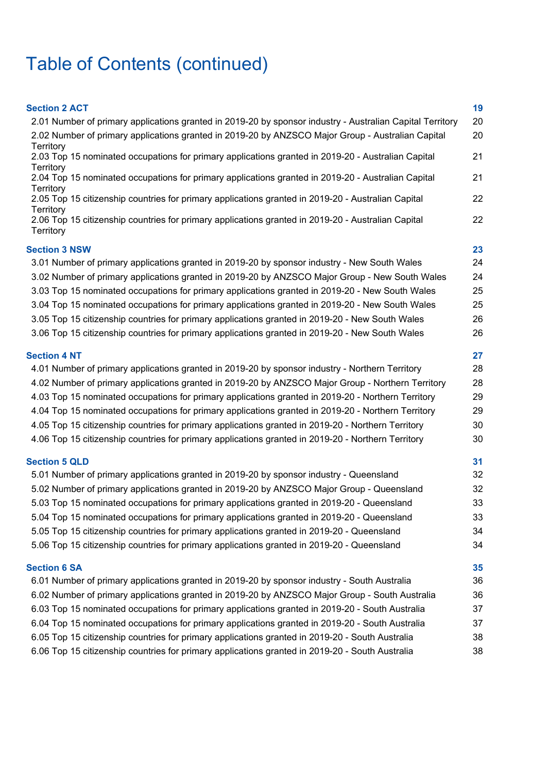# Table of Contents (continued)

| <b>Section 2 ACT</b><br>2.01 Number of primary applications granted in 2019-20 by sponsor industry - Australian Capital Territory                                                                                                                                                                                                                                                                                                                                                                                                                                                                          | 19<br>20                         |
|------------------------------------------------------------------------------------------------------------------------------------------------------------------------------------------------------------------------------------------------------------------------------------------------------------------------------------------------------------------------------------------------------------------------------------------------------------------------------------------------------------------------------------------------------------------------------------------------------------|----------------------------------|
| 2.02 Number of primary applications granted in 2019-20 by ANZSCO Major Group - Australian Capital<br>Territory                                                                                                                                                                                                                                                                                                                                                                                                                                                                                             | 20                               |
| 2.03 Top 15 nominated occupations for primary applications granted in 2019-20 - Australian Capital<br>Territory                                                                                                                                                                                                                                                                                                                                                                                                                                                                                            | 21                               |
| 2.04 Top 15 nominated occupations for primary applications granted in 2019-20 - Australian Capital<br>Territory                                                                                                                                                                                                                                                                                                                                                                                                                                                                                            | 21                               |
| 2.05 Top 15 citizenship countries for primary applications granted in 2019-20 - Australian Capital                                                                                                                                                                                                                                                                                                                                                                                                                                                                                                         | 22                               |
| Territory<br>2.06 Top 15 citizenship countries for primary applications granted in 2019-20 - Australian Capital<br>Territory                                                                                                                                                                                                                                                                                                                                                                                                                                                                               | 22                               |
| <b>Section 3 NSW</b>                                                                                                                                                                                                                                                                                                                                                                                                                                                                                                                                                                                       | 23                               |
| 3.01 Number of primary applications granted in 2019-20 by sponsor industry - New South Wales<br>3.02 Number of primary applications granted in 2019-20 by ANZSCO Major Group - New South Wales<br>3.03 Top 15 nominated occupations for primary applications granted in 2019-20 - New South Wales<br>3.04 Top 15 nominated occupations for primary applications granted in 2019-20 - New South Wales<br>3.05 Top 15 citizenship countries for primary applications granted in 2019-20 - New South Wales<br>3.06 Top 15 citizenship countries for primary applications granted in 2019-20 - New South Wales | 24<br>24<br>25<br>25<br>26<br>26 |
| <b>Section 4 NT</b>                                                                                                                                                                                                                                                                                                                                                                                                                                                                                                                                                                                        | 27                               |
| 4.01 Number of primary applications granted in 2019-20 by sponsor industry - Northern Territory                                                                                                                                                                                                                                                                                                                                                                                                                                                                                                            | 28                               |
| 4.02 Number of primary applications granted in 2019-20 by ANZSCO Major Group - Northern Territory                                                                                                                                                                                                                                                                                                                                                                                                                                                                                                          | 28                               |
| 4.03 Top 15 nominated occupations for primary applications granted in 2019-20 - Northern Territory                                                                                                                                                                                                                                                                                                                                                                                                                                                                                                         | 29<br>29                         |
| 4.04 Top 15 nominated occupations for primary applications granted in 2019-20 - Northern Territory<br>4.05 Top 15 citizenship countries for primary applications granted in 2019-20 - Northern Territory                                                                                                                                                                                                                                                                                                                                                                                                   | 30                               |
| 4.06 Top 15 citizenship countries for primary applications granted in 2019-20 - Northern Territory                                                                                                                                                                                                                                                                                                                                                                                                                                                                                                         | 30                               |
| <b>Section 5 QLD</b>                                                                                                                                                                                                                                                                                                                                                                                                                                                                                                                                                                                       | 31                               |
| 5.01 Number of primary applications granted in 2019-20 by sponsor industry - Queensland                                                                                                                                                                                                                                                                                                                                                                                                                                                                                                                    | 32                               |
| 5.02 Number of primary applications granted in 2019-20 by ANZSCO Major Group - Queensland                                                                                                                                                                                                                                                                                                                                                                                                                                                                                                                  | 32                               |
| 5.03 Top 15 nominated occupations for primary applications granted in 2019-20 - Queensland                                                                                                                                                                                                                                                                                                                                                                                                                                                                                                                 | 33                               |
| 5.04 Top 15 nominated occupations for primary applications granted in 2019-20 - Queensland                                                                                                                                                                                                                                                                                                                                                                                                                                                                                                                 | 33                               |
| 5.05 Top 15 citizenship countries for primary applications granted in 2019-20 - Queensland                                                                                                                                                                                                                                                                                                                                                                                                                                                                                                                 | 34                               |
| 5.06 Top 15 citizenship countries for primary applications granted in 2019-20 - Queensland                                                                                                                                                                                                                                                                                                                                                                                                                                                                                                                 | 34                               |
| <b>Section 6 SA</b>                                                                                                                                                                                                                                                                                                                                                                                                                                                                                                                                                                                        | 35                               |
| 6.01 Number of primary applications granted in 2019-20 by sponsor industry - South Australia                                                                                                                                                                                                                                                                                                                                                                                                                                                                                                               | 36                               |
| 6.02 Number of primary applications granted in 2019-20 by ANZSCO Major Group - South Australia                                                                                                                                                                                                                                                                                                                                                                                                                                                                                                             | 36                               |
| 6.03 Top 15 nominated occupations for primary applications granted in 2019-20 - South Australia                                                                                                                                                                                                                                                                                                                                                                                                                                                                                                            | 37                               |
| 6.04 Top 15 nominated occupations for primary applications granted in 2019-20 - South Australia                                                                                                                                                                                                                                                                                                                                                                                                                                                                                                            | 37                               |
| 6.05 Top 15 citizenship countries for primary applications granted in 2019-20 - South Australia                                                                                                                                                                                                                                                                                                                                                                                                                                                                                                            | 38                               |
| 6.06 Top 15 citizenship countries for primary applications granted in 2019-20 - South Australia                                                                                                                                                                                                                                                                                                                                                                                                                                                                                                            | 38                               |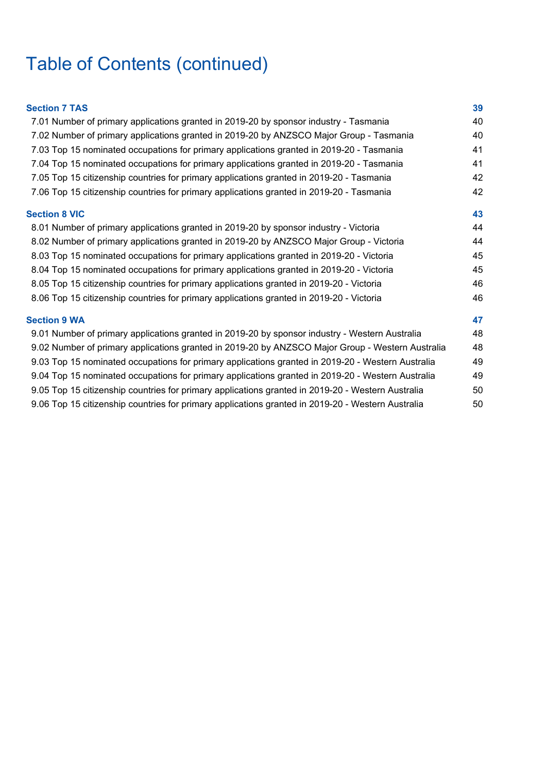# Table of Contents (continued)

| <b>Section 7 TAS</b>                                                                              | 39 |
|---------------------------------------------------------------------------------------------------|----|
| 7.01 Number of primary applications granted in 2019-20 by sponsor industry - Tasmania             | 40 |
| 7.02 Number of primary applications granted in 2019-20 by ANZSCO Major Group - Tasmania           | 40 |
| 7.03 Top 15 nominated occupations for primary applications granted in 2019-20 - Tasmania          | 41 |
| 7.04 Top 15 nominated occupations for primary applications granted in 2019-20 - Tasmania          | 41 |
| 7.05 Top 15 citizenship countries for primary applications granted in 2019-20 - Tasmania          | 42 |
| 7.06 Top 15 citizenship countries for primary applications granted in 2019-20 - Tasmania          | 42 |
| <b>Section 8 VIC</b>                                                                              | 43 |
| 8.01 Number of primary applications granted in 2019-20 by sponsor industry - Victoria             | 44 |
| 8.02 Number of primary applications granted in 2019-20 by ANZSCO Major Group - Victoria           | 44 |
| 8.03 Top 15 nominated occupations for primary applications granted in 2019-20 - Victoria          | 45 |
| 8.04 Top 15 nominated occupations for primary applications granted in 2019-20 - Victoria          | 45 |
| 8.05 Top 15 citizenship countries for primary applications granted in 2019-20 - Victoria          | 46 |
| 8.06 Top 15 citizenship countries for primary applications granted in 2019-20 - Victoria          | 46 |
| <b>Section 9 WA</b>                                                                               | 47 |
| 9.01 Number of primary applications granted in 2019-20 by sponsor industry - Western Australia    | 48 |
| 9.02 Number of primary applications granted in 2019-20 by ANZSCO Major Group - Western Australia  | 48 |
| 9.03 Top 15 nominated occupations for primary applications granted in 2019-20 - Western Australia | 49 |
| 9.04 Top 15 nominated occupations for primary applications granted in 2019-20 - Western Australia | 49 |
| 9.05 Top 15 citizenship countries for primary applications granted in 2019-20 - Western Australia | 50 |
| 9.06 Top 15 citizenship countries for primary applications granted in 2019-20 - Western Australia | 50 |
|                                                                                                   |    |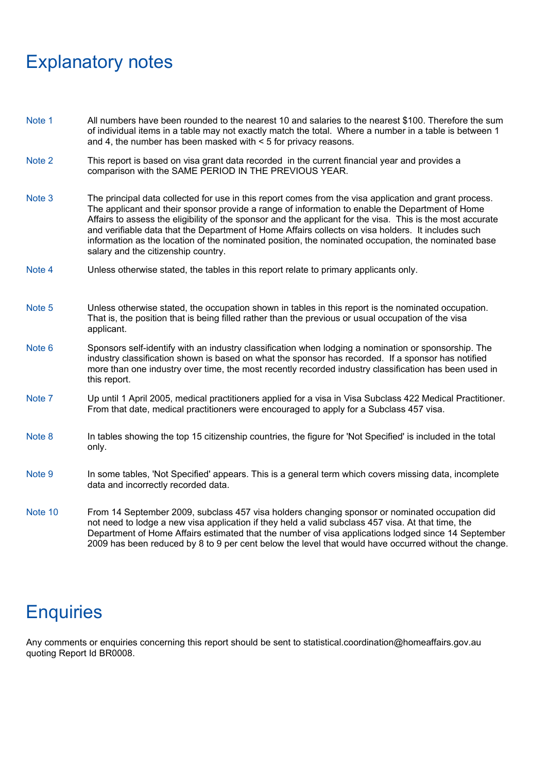### Explanatory notes

- Note 1 All numbers have been rounded to the nearest 10 and salaries to the nearest \$100. Therefore the sum of individual items in a table may not exactly match the total. Where a number in a table is between 1 and 4, the number has been masked with < 5 for privacy reasons.
- Note 2 This report is based on visa grant data recorded in the current financial year and provides a comparison with the SAME PERIOD IN THE PREVIOUS YEAR.
- Note 3 The principal data collected for use in this report comes from the visa application and grant process. The applicant and their sponsor provide a range of information to enable the Department of Home Affairs to assess the eligibility of the sponsor and the applicant for the visa. This is the most accurate and verifiable data that the Department of Home Affairs collects on visa holders. It includes such information as the location of the nominated position, the nominated occupation, the nominated base salary and the citizenship country.
- Note 4 Unless otherwise stated, the tables in this report relate to primary applicants only.
- Note 5 Unless otherwise stated, the occupation shown in tables in this report is the nominated occupation. That is, the position that is being filled rather than the previous or usual occupation of the visa applicant.
- Note 6 Sponsors self-identify with an industry classification when lodging a nomination or sponsorship. The industry classification shown is based on what the sponsor has recorded. If a sponsor has notified more than one industry over time, the most recently recorded industry classification has been used in this report.
- Note 7 Up until 1 April 2005, medical practitioners applied for a visa in Visa Subclass 422 Medical Practitioner. From that date, medical practitioners were encouraged to apply for a Subclass 457 visa.
- Note 8 In tables showing the top 15 citizenship countries, the figure for 'Not Specified' is included in the total only.
- Note 9 In some tables, 'Not Specified' appears. This is a general term which covers missing data, incomplete data and incorrectly recorded data.
- Note 10 From 14 September 2009, subclass 457 visa holders changing sponsor or nominated occupation did not need to lodge a new visa application if they held a valid subclass 457 visa. At that time, the Department of Home Affairs estimated that the number of visa applications lodged since 14 September 2009 has been reduced by 8 to 9 per cent below the level that would have occurred without the change.

### **Enquiries**

Any comments or enquiries concerning this report should be sent to statistical.coordination@homeaffairs.gov.au quoting Report Id BR0008.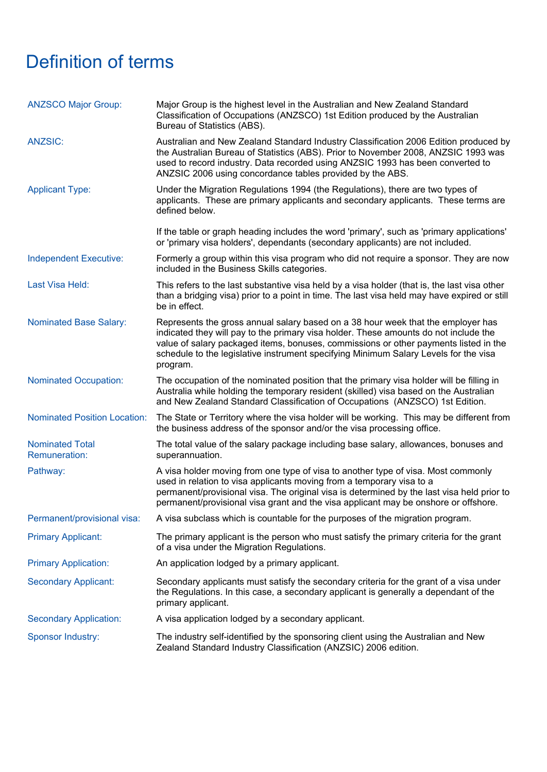# Definition of terms

| <b>ANZSCO Major Group:</b>                     | Major Group is the highest level in the Australian and New Zealand Standard<br>Classification of Occupations (ANZSCO) 1st Edition produced by the Australian<br>Bureau of Statistics (ABS).                                                                                                                                                                          |
|------------------------------------------------|----------------------------------------------------------------------------------------------------------------------------------------------------------------------------------------------------------------------------------------------------------------------------------------------------------------------------------------------------------------------|
| <b>ANZSIC:</b>                                 | Australian and New Zealand Standard Industry Classification 2006 Edition produced by<br>the Australian Bureau of Statistics (ABS). Prior to November 2008, ANZSIC 1993 was<br>used to record industry. Data recorded using ANZSIC 1993 has been converted to<br>ANZSIC 2006 using concordance tables provided by the ABS.                                            |
| <b>Applicant Type:</b>                         | Under the Migration Regulations 1994 (the Regulations), there are two types of<br>applicants. These are primary applicants and secondary applicants. These terms are<br>defined below.                                                                                                                                                                               |
|                                                | If the table or graph heading includes the word 'primary', such as 'primary applications'<br>or 'primary visa holders', dependants (secondary applicants) are not included.                                                                                                                                                                                          |
| Independent Executive:                         | Formerly a group within this visa program who did not require a sponsor. They are now<br>included in the Business Skills categories.                                                                                                                                                                                                                                 |
| Last Visa Held:                                | This refers to the last substantive visa held by a visa holder (that is, the last visa other<br>than a bridging visa) prior to a point in time. The last visa held may have expired or still<br>be in effect.                                                                                                                                                        |
| <b>Nominated Base Salary:</b>                  | Represents the gross annual salary based on a 38 hour week that the employer has<br>indicated they will pay to the primary visa holder. These amounts do not include the<br>value of salary packaged items, bonuses, commissions or other payments listed in the<br>schedule to the legislative instrument specifying Minimum Salary Levels for the visa<br>program. |
| <b>Nominated Occupation:</b>                   | The occupation of the nominated position that the primary visa holder will be filling in<br>Australia while holding the temporary resident (skilled) visa based on the Australian<br>and New Zealand Standard Classification of Occupations (ANZSCO) 1st Edition.                                                                                                    |
| <b>Nominated Position Location:</b>            | The State or Territory where the visa holder will be working. This may be different from<br>the business address of the sponsor and/or the visa processing office.                                                                                                                                                                                                   |
| <b>Nominated Total</b><br><b>Remuneration:</b> | The total value of the salary package including base salary, allowances, bonuses and<br>superannuation.                                                                                                                                                                                                                                                              |
| Pathway:                                       | A visa holder moving from one type of visa to another type of visa. Most commonly<br>used in relation to visa applicants moving from a temporary visa to a<br>permanent/provisional visa. The original visa is determined by the last visa held prior to<br>permanent/provisional visa grant and the visa applicant may be onshore or offshore.                      |
| Permanent/provisional visa:                    | A visa subclass which is countable for the purposes of the migration program.                                                                                                                                                                                                                                                                                        |
| <b>Primary Applicant:</b>                      | The primary applicant is the person who must satisfy the primary criteria for the grant<br>of a visa under the Migration Regulations.                                                                                                                                                                                                                                |
| <b>Primary Application:</b>                    | An application lodged by a primary applicant.                                                                                                                                                                                                                                                                                                                        |
| <b>Secondary Applicant:</b>                    | Secondary applicants must satisfy the secondary criteria for the grant of a visa under<br>the Regulations. In this case, a secondary applicant is generally a dependant of the<br>primary applicant.                                                                                                                                                                 |
| <b>Secondary Application:</b>                  | A visa application lodged by a secondary applicant.                                                                                                                                                                                                                                                                                                                  |
| <b>Sponsor Industry:</b>                       | The industry self-identified by the sponsoring client using the Australian and New<br>Zealand Standard Industry Classification (ANZSIC) 2006 edition.                                                                                                                                                                                                                |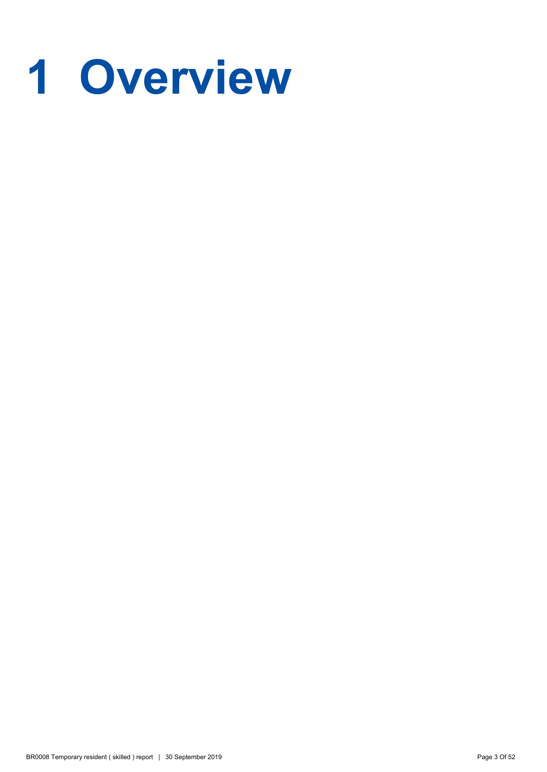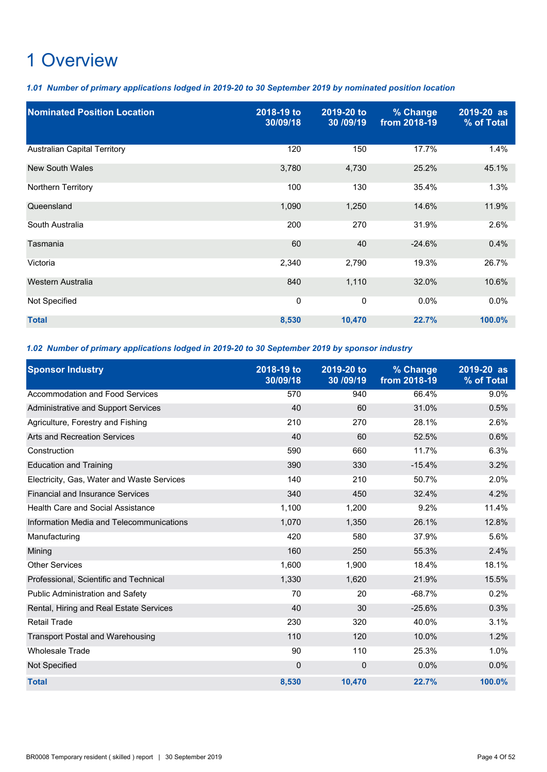*1.01 Number of primary applications lodged in 2019-20 to 30 September 2019 by nominated position location*

| <b>Nominated Position Location</b>  | 2018-19 to<br>30/09/18 | 2019-20 to<br>30 / 09/19 | % Change<br>from 2018-19 | 2019-20 as<br>% of Total |
|-------------------------------------|------------------------|--------------------------|--------------------------|--------------------------|
| <b>Australian Capital Territory</b> | 120                    | 150                      | 17.7%                    | 1.4%                     |
| New South Wales                     | 3,780                  | 4,730                    | 25.2%                    | 45.1%                    |
| Northern Territory                  | 100                    | 130                      | 35.4%                    | 1.3%                     |
| Queensland                          | 1,090                  | 1,250                    | 14.6%                    | 11.9%                    |
| South Australia                     | 200                    | 270                      | 31.9%                    | 2.6%                     |
| Tasmania                            | 60                     | 40                       | $-24.6%$                 | 0.4%                     |
| Victoria                            | 2,340                  | 2,790                    | 19.3%                    | 26.7%                    |
| Western Australia                   | 840                    | 1,110                    | 32.0%                    | 10.6%                    |
| Not Specified                       | 0                      | 0                        | 0.0%                     | 0.0%                     |
| <b>Total</b>                        | 8,530                  | 10,470                   | 22.7%                    | 100.0%                   |

### *1.02 Number of primary applications lodged in 2019-20 to 30 September 2019 by sponsor industry*

| <b>Sponsor Industry</b>                    | 2018-19 to | 2019-20 to | % Change     | 2019-20 as |
|--------------------------------------------|------------|------------|--------------|------------|
|                                            | 30/09/18   | 30 /09/19  | from 2018-19 | % of Total |
| Accommodation and Food Services            | 570        | 940        | 66.4%        | 9.0%       |
| Administrative and Support Services        | 40         | 60         | 31.0%        | 0.5%       |
| Agriculture, Forestry and Fishing          | 210        | 270        | 28.1%        | 2.6%       |
| <b>Arts and Recreation Services</b>        | 40         | 60         | 52.5%        | 0.6%       |
| Construction                               | 590        | 660        | 11.7%        | 6.3%       |
| <b>Education and Training</b>              | 390        | 330        | $-15.4%$     | 3.2%       |
| Electricity, Gas, Water and Waste Services | 140        | 210        | 50.7%        | 2.0%       |
| <b>Financial and Insurance Services</b>    | 340        | 450        | 32.4%        | 4.2%       |
| Health Care and Social Assistance          | 1,100      | 1,200      | 9.2%         | 11.4%      |
| Information Media and Telecommunications   | 1,070      | 1,350      | 26.1%        | 12.8%      |
| Manufacturing                              | 420        | 580        | 37.9%        | 5.6%       |
| Mining                                     | 160        | 250        | 55.3%        | 2.4%       |
| <b>Other Services</b>                      | 1.600      | 1,900      | 18.4%        | 18.1%      |
| Professional, Scientific and Technical     | 1,330      | 1,620      | 21.9%        | 15.5%      |
| Public Administration and Safety           | 70         | 20         | $-68.7%$     | 0.2%       |
| Rental, Hiring and Real Estate Services    | 40         | 30         | $-25.6%$     | 0.3%       |
| <b>Retail Trade</b>                        | 230        | 320        | 40.0%        | 3.1%       |
| <b>Transport Postal and Warehousing</b>    | 110        | 120        | 10.0%        | 1.2%       |
| <b>Wholesale Trade</b>                     | 90         | 110        | 25.3%        | 1.0%       |
| Not Specified                              | 0          | 0          | 0.0%         | 0.0%       |
| <b>Total</b>                               | 8,530      | 10,470     | 22.7%        | 100.0%     |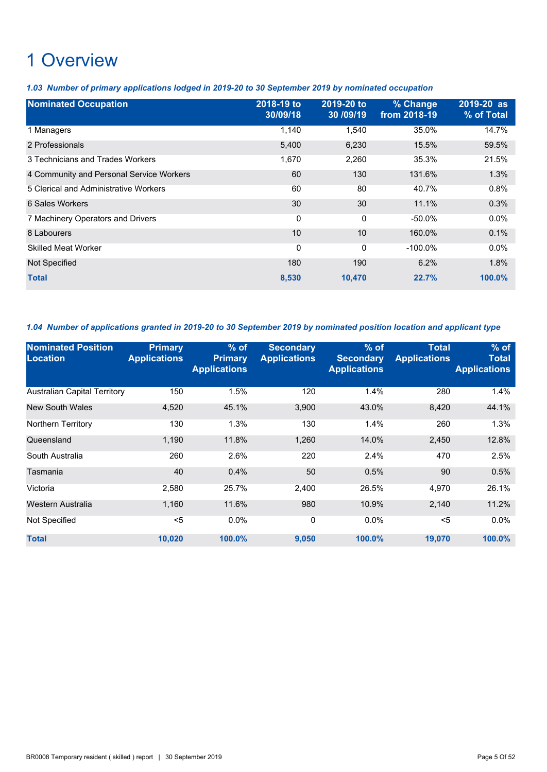*1.03 Number of primary applications lodged in 2019-20 to 30 September 2019 by nominated occupation*

| <b>Nominated Occupation</b>              | 2018-19 to<br>30/09/18 | 2019-20 to<br>30 / 09/19 | % Change<br>from 2018-19 | 2019-20 as<br>% of Total |
|------------------------------------------|------------------------|--------------------------|--------------------------|--------------------------|
| 1 Managers                               | 1,140                  | 1,540                    | 35.0%                    | 14.7%                    |
| 2 Professionals                          | 5,400                  | 6,230                    | 15.5%                    | 59.5%                    |
| 3 Technicians and Trades Workers         | 1,670                  | 2,260                    | 35.3%                    | 21.5%                    |
| 4 Community and Personal Service Workers | 60                     | 130                      | 131.6%                   | 1.3%                     |
| 5 Clerical and Administrative Workers    | 60                     | 80                       | 40.7%                    | 0.8%                     |
| 6 Sales Workers                          | 30                     | 30                       | 11.1%                    | 0.3%                     |
| 7 Machinery Operators and Drivers        | 0                      | $\mathbf{0}$             | $-50.0%$                 | $0.0\%$                  |
| 8 Labourers                              | 10                     | 10                       | 160.0%                   | 0.1%                     |
| <b>Skilled Meat Worker</b>               | 0                      | 0                        | $-100.0\%$               | 0.0%                     |
| <b>Not Specified</b>                     | 180                    | 190                      | 6.2%                     | 1.8%                     |
| <b>Total</b>                             | 8,530                  | 10,470                   | 22.7%                    | 100.0%                   |

*1.04 Number of applications granted in 2019-20 to 30 September 2019 by nominated position location and applicant type*

| <b>Nominated Position</b><br><b>Location</b> | <b>Primary</b><br><b>Applications</b> | $%$ of<br><b>Primary</b><br><b>Applications</b> | <b>Secondary</b><br><b>Applications</b> | $%$ of<br><b>Secondary</b><br><b>Applications</b> | <b>Total</b><br><b>Applications</b> | $%$ of<br>Total<br><b>Applications</b> |
|----------------------------------------------|---------------------------------------|-------------------------------------------------|-----------------------------------------|---------------------------------------------------|-------------------------------------|----------------------------------------|
| <b>Australian Capital Territory</b>          | 150                                   | 1.5%                                            | 120                                     | 1.4%                                              | 280                                 | 1.4%                                   |
| <b>New South Wales</b>                       | 4,520                                 | 45.1%                                           | 3,900                                   | 43.0%                                             | 8,420                               | 44.1%                                  |
| Northern Territory                           | 130                                   | 1.3%                                            | 130                                     | 1.4%                                              | 260                                 | 1.3%                                   |
| Queensland                                   | 1.190                                 | 11.8%                                           | 1,260                                   | 14.0%                                             | 2,450                               | 12.8%                                  |
| South Australia                              | 260                                   | 2.6%                                            | 220                                     | 2.4%                                              | 470                                 | 2.5%                                   |
| Tasmania                                     | 40                                    | 0.4%                                            | 50                                      | 0.5%                                              | 90                                  | 0.5%                                   |
| Victoria                                     | 2,580                                 | 25.7%                                           | 2,400                                   | 26.5%                                             | 4,970                               | 26.1%                                  |
| Western Australia                            | 1,160                                 | 11.6%                                           | 980                                     | 10.9%                                             | 2,140                               | 11.2%                                  |
| Not Specified                                | $5$                                   | 0.0%                                            | 0                                       | 0.0%                                              | $5$                                 | $0.0\%$                                |
| <b>Total</b>                                 | 10,020                                | 100.0%                                          | 9,050                                   | 100.0%                                            | 19,070                              | 100.0%                                 |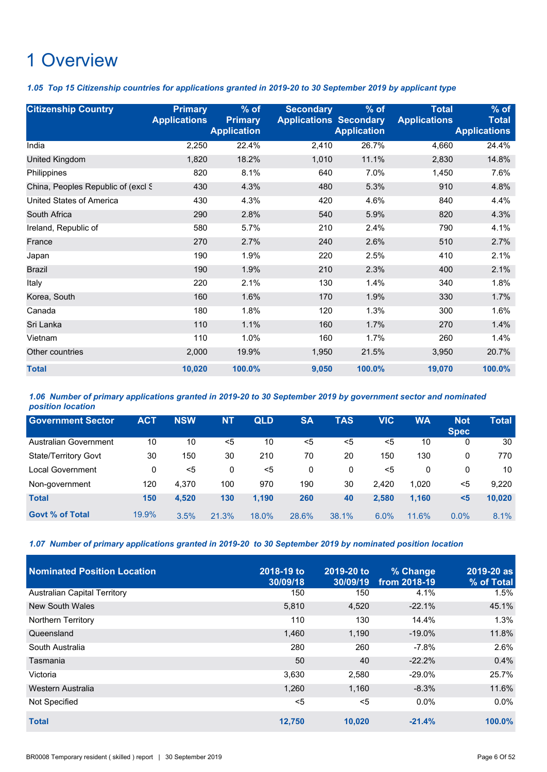*1.05 Top 15 Citizenship countries for applications granted in 2019-20 to 30 September 2019 by applicant type*

| <b>Citizenship Country</b>         | <b>Primary</b><br><b>Applications</b> | $%$ of<br><b>Primary</b><br><b>Application</b> | <b>Secondary</b><br><b>Applications Secondary</b> | $%$ of<br><b>Application</b> | <b>Total</b><br><b>Applications</b> | $%$ of<br><b>Total</b><br><b>Applications</b> |
|------------------------------------|---------------------------------------|------------------------------------------------|---------------------------------------------------|------------------------------|-------------------------------------|-----------------------------------------------|
| India                              | 2,250                                 | 22.4%                                          | 2,410                                             | 26.7%                        | 4,660                               | 24.4%                                         |
| United Kingdom                     | 1,820                                 | 18.2%                                          | 1,010                                             | 11.1%                        | 2,830                               | 14.8%                                         |
| Philippines                        | 820                                   | 8.1%                                           | 640                                               | 7.0%                         | 1,450                               | 7.6%                                          |
| China, Peoples Republic of (excl S | 430                                   | 4.3%                                           | 480                                               | 5.3%                         | 910                                 | 4.8%                                          |
| <b>United States of America</b>    | 430                                   | 4.3%                                           | 420                                               | 4.6%                         | 840                                 | 4.4%                                          |
| South Africa                       | 290                                   | 2.8%                                           | 540                                               | 5.9%                         | 820                                 | 4.3%                                          |
| Ireland, Republic of               | 580                                   | 5.7%                                           | 210                                               | 2.4%                         | 790                                 | 4.1%                                          |
| France                             | 270                                   | 2.7%                                           | 240                                               | 2.6%                         | 510                                 | 2.7%                                          |
| Japan                              | 190                                   | 1.9%                                           | 220                                               | 2.5%                         | 410                                 | 2.1%                                          |
| <b>Brazil</b>                      | 190                                   | 1.9%                                           | 210                                               | 2.3%                         | 400                                 | 2.1%                                          |
| Italy                              | 220                                   | 2.1%                                           | 130                                               | 1.4%                         | 340                                 | 1.8%                                          |
| Korea, South                       | 160                                   | 1.6%                                           | 170                                               | 1.9%                         | 330                                 | 1.7%                                          |
| Canada                             | 180                                   | 1.8%                                           | 120                                               | 1.3%                         | 300                                 | 1.6%                                          |
| Sri Lanka                          | 110                                   | 1.1%                                           | 160                                               | 1.7%                         | 270                                 | 1.4%                                          |
| Vietnam                            | 110                                   | 1.0%                                           | 160                                               | 1.7%                         | 260                                 | 1.4%                                          |
| Other countries                    | 2,000                                 | 19.9%                                          | 1,950                                             | 21.5%                        | 3,950                               | 20.7%                                         |
| <b>Total</b>                       | 10,020                                | 100.0%                                         | 9,050                                             | 100.0%                       | 19,070                              | 100.0%                                        |

*1.06 Number of primary applications granted in 2019-20 to 30 September 2019 by government sector and nominated position location*

| <b>Government Sector</b>     | <b>ACT</b> | <b>NSW</b> | <b>NT</b> | <b>QLD</b> | <b>SA</b> | <b>TAS</b> | VIC   | WA    | <b>Not</b><br><b>Spec</b> | Total  |
|------------------------------|------------|------------|-----------|------------|-----------|------------|-------|-------|---------------------------|--------|
| <b>Australian Government</b> | 10         | 10         | <5        | 10         | $5$       | $5$        | $<$ 5 | 10    | 0                         | 30     |
| <b>State/Territory Govt</b>  | 30         | 150        | 30        | 210        | 70        | 20         | 150   | 130   | 0                         | 770    |
| Local Government             | 0          | <5         | 0         | <5         | 0         | 0          | $5$   | 0     | 0                         | 10     |
| Non-government               | 120        | 4,370      | 100       | 970        | 190       | 30         | 2.420 | 1,020 | <5                        | 9.220  |
| <b>Total</b>                 | 150        | 4,520      | 130       | 1,190      | 260       | 40         | 2.580 | 1,160 | $5$                       | 10,020 |
| <b>Govt % of Total</b>       | 19.9%      | 3.5%       | 21.3%     | 18.0%      | 28.6%     | 38.1%      | 6.0%  | 11.6% | 0.0%                      | 8.1%   |

*1.07 Number of primary applications granted in 2019-20 to 30 September 2019 by nominated position location*

| Nominated Position Location         | 2018-19 to | 2019-20 to | % Change     | 2019-20 as |
|-------------------------------------|------------|------------|--------------|------------|
|                                     | 30/09/18   | 30/09/19   | from 2018-19 | % of Total |
| <b>Australian Capital Territory</b> | 150        | 150        | 4.1%         | 1.5%       |
| <b>New South Wales</b>              | 5,810      | 4,520      | $-22.1%$     | 45.1%      |
| <b>Northern Territory</b>           | 110        | 130        | 14.4%        | 1.3%       |
| Queensland                          | 1.460      | 1.190      | $-19.0\%$    | 11.8%      |
| South Australia                     | 280        | 260        | $-7.8%$      | 2.6%       |
| Tasmania                            | 50         | 40         | $-22.2%$     | 0.4%       |
| Victoria                            | 3,630      | 2,580      | $-29.0\%$    | 25.7%      |
| Western Australia                   | 1,260      | 1,160      | $-8.3%$      | 11.6%      |
| Not Specified                       | $5$        | $5$        | $0.0\%$      | $0.0\%$    |
| <b>Total</b>                        | 12,750     | 10,020     | $-21.4%$     | $100.0\%$  |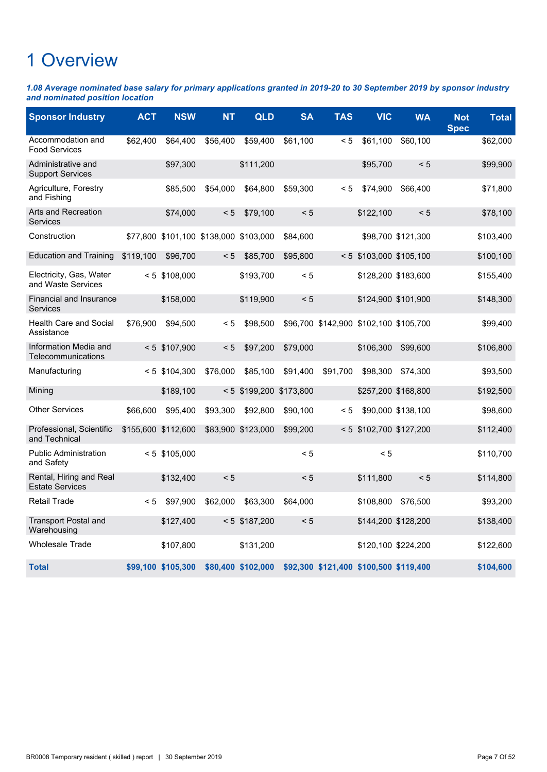*1.08 Average nominated base salary for primary applications granted in 2019-20 to 30 September 2019 by sponsor industry and nominated position location*

| <b>Sponsor Industry</b>                           | <b>ACT</b> | <b>NSW</b>          | <b>NT</b>           | QLD                       | <b>SA</b> | <b>TAS</b>                             | <b>VIC</b>                | <b>WA</b>           | <b>Not</b><br><b>Spec</b> | <b>Total</b> |
|---------------------------------------------------|------------|---------------------|---------------------|---------------------------|-----------|----------------------------------------|---------------------------|---------------------|---------------------------|--------------|
| Accommodation and<br><b>Food Services</b>         | \$62,400   | \$64,400            | \$56,400            | \$59,400                  | \$61,100  | < 5                                    | \$61,100                  | \$60,100            |                           | \$62,000     |
| Administrative and<br><b>Support Services</b>     |            | \$97,300            |                     | \$111,200                 |           |                                        | \$95,700                  | < 5                 |                           | \$99,900     |
| Agriculture, Forestry<br>and Fishing              |            | \$85,500            | \$54,000            | \$64,800                  | \$59,300  | < 5                                    | \$74,900                  | \$66,400            |                           | \$71,800     |
| Arts and Recreation<br>Services                   |            | \$74,000            | < 5                 | \$79,100                  | < 5       |                                        | \$122,100                 | < 5                 |                           | \$78,100     |
| Construction                                      | \$77.800   |                     | \$101,100 \$138,000 | \$103,000                 | \$84,600  |                                        |                           | \$98,700 \$121,300  |                           | \$103,400    |
| Education and Training                            | \$119,100  | \$96,700            | < 5                 | \$85,700                  | \$95,800  |                                        | $< 5$ \$103,000 \$105,100 |                     |                           | \$100,100    |
| Electricity, Gas, Water<br>and Waste Services     |            | $< 5$ \$108,000     |                     | \$193,700                 | < 5       |                                        |                           | \$128,200 \$183,600 |                           | \$155,400    |
| <b>Financial and Insurance</b><br>Services        |            | \$158,000           |                     | \$119,900                 | < 5       |                                        | \$124,900 \$101,900       |                     |                           | \$148,300    |
| <b>Health Care and Social</b><br>Assistance       | \$76,900   | \$94,500            | < 5                 | \$98,500                  |           | \$96,700 \$142,900 \$102,100 \$105,700 |                           |                     |                           | \$99,400     |
| Information Media and<br>Telecommunications       |            | $< 5$ \$107,900     | < 5                 | \$97,200                  | \$79,000  |                                        | \$106,300                 | \$99,600            |                           | \$106,800    |
| Manufacturing                                     |            | $< 5$ \$104,300     | \$76,000            | \$85,100                  | \$91,400  | \$91,700                               | \$98,300                  | \$74,300            |                           | \$93,500     |
| Mining                                            |            | \$189,100           |                     | $< 5$ \$199,200 \$173,800 |           |                                        | \$257,200 \$168,800       |                     |                           | \$192,500    |
| <b>Other Services</b>                             | \$66,600   | \$95,400            | \$93,300            | \$92,800                  | \$90,100  | < 5                                    |                           | \$90,000 \$138,100  |                           | \$98,600     |
| Professional, Scientific<br>and Technical         |            | \$155,600 \$112,600 |                     | \$83,900 \$123,000        | \$99,200  | < 5                                    | \$102,700 \$127,200       |                     |                           | \$112,400    |
| <b>Public Administration</b><br>and Safety        |            | $< 5$ \$105,000     |                     |                           | < 5       |                                        | < 5                       |                     |                           | \$110,700    |
| Rental, Hiring and Real<br><b>Estate Services</b> |            | \$132,400           | < 5                 |                           | < 5       |                                        | \$111,800                 | < 5                 |                           | \$114,800    |
| <b>Retail Trade</b>                               | < 5        | \$97,900            | \$62,000            | \$63,300                  | \$64,000  |                                        | \$108,800                 | \$76,500            |                           | \$93,200     |
| <b>Transport Postal and</b><br>Warehousing        |            | \$127,400           |                     | $< 5$ \$187,200           | < 5       |                                        | \$144,200 \$128,200       |                     |                           | \$138,400    |
| <b>Wholesale Trade</b>                            |            | \$107,800           |                     | \$131,200                 |           |                                        | \$120,100 \$224,200       |                     |                           | \$122,600    |
| <b>Total</b>                                      |            | \$99,100 \$105,300  |                     | \$80,400 \$102,000        |           | \$92,300 \$121,400 \$100,500 \$119,400 |                           |                     |                           | \$104,600    |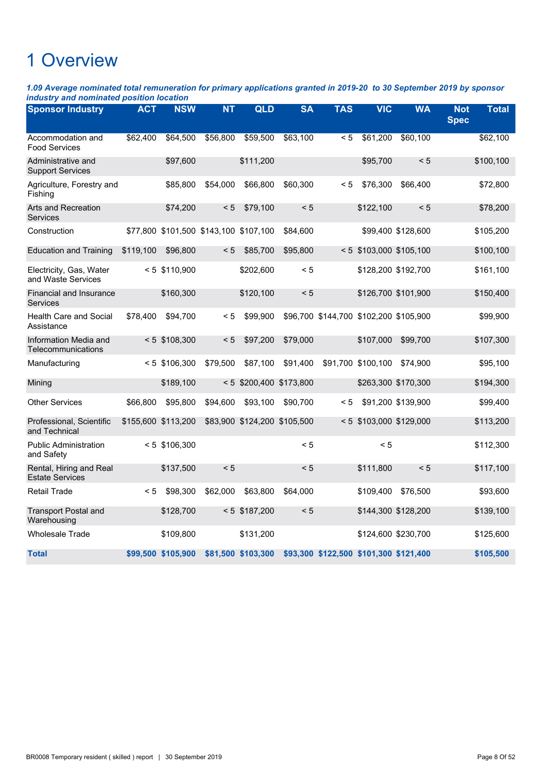*1.09 Average nominated total remuneration for primary applications granted in 2019-20 to 30 September 2019 by sponsor industry and nominated position location*

| <b>Sponsor Industry</b>                           | <b>ACT</b> | <b>NSW</b>                             | <b>NT</b> | <b>QLD</b>                   | <b>SA</b> | <b>TAS</b>                             | <b>VIC</b>                | <b>WA</b>          | <b>Not</b><br><b>Spec</b> | <b>Total</b> |
|---------------------------------------------------|------------|----------------------------------------|-----------|------------------------------|-----------|----------------------------------------|---------------------------|--------------------|---------------------------|--------------|
| Accommodation and<br><b>Food Services</b>         | \$62,400   | \$64,500                               | \$56,800  | \$59,500                     | \$63.100  | < 5                                    | \$61,200                  | \$60,100           |                           | \$62,100     |
| Administrative and<br><b>Support Services</b>     |            | \$97,600                               |           | \$111,200                    |           |                                        | \$95,700                  | < 5                |                           | \$100,100    |
| Agriculture, Forestry and<br>Fishing              |            | \$85,800                               | \$54,000  | \$66,800                     | \$60,300  | < 5                                    | \$76,300                  | \$66,400           |                           | \$72,800     |
| Arts and Recreation<br><b>Services</b>            |            | \$74,200                               | < 5       | \$79,100                     | < 5       |                                        | \$122,100                 | < 5                |                           | \$78,200     |
| Construction                                      |            | \$77,800 \$101,500 \$143,100 \$107,100 |           |                              | \$84,600  |                                        |                           | \$99,400 \$128,600 |                           | \$105,200    |
| <b>Education and Training</b>                     | \$119,100  | \$96,800                               | $\leq 5$  | \$85,700                     | \$95,800  |                                        | $< 5$ \$103,000 \$105,100 |                    |                           | \$100,100    |
| Electricity, Gas, Water<br>and Waste Services     |            | < 5 \$110,900                          |           | \$202,600                    | < 5       |                                        | \$128,200 \$192,700       |                    |                           | \$161,100    |
| <b>Financial and Insurance</b><br>Services        |            | \$160,300                              |           | \$120,100                    | < 5       |                                        | \$126,700 \$101,900       |                    |                           | \$150,400    |
| <b>Health Care and Social</b><br>Assistance       | \$78,400   | \$94,700                               | < 5       | \$99,900                     |           | \$96,700 \$144,700 \$102,200 \$105,900 |                           |                    |                           | \$99,900     |
| Information Media and<br>Telecommunications       |            | $< 5$ \$108,300                        | < 5       | \$97,200                     | \$79,000  |                                        | \$107,000                 | \$99,700           |                           | \$107,300    |
| Manufacturing                                     |            | $< 5$ \$106,300                        | \$79,500  | \$87,100                     | \$91,400  |                                        | \$91,700 \$100,100        | \$74,900           |                           | \$95,100     |
| Mining                                            |            | \$189,100                              |           | $< 5$ \$200,400 \$173,800    |           |                                        | \$263,300 \$170,300       |                    |                           | \$194,300    |
| <b>Other Services</b>                             | \$66,800   | \$95,800                               | \$94,600  | \$93,100                     | \$90,700  | < 5                                    |                           | \$91,200 \$139,900 |                           | \$99,400     |
| Professional, Scientific<br>and Technical         |            | \$155,600 \$113,200                    |           | \$83,900 \$124,200 \$105,500 |           | $\leq 5$                               | \$103,000 \$129,000       |                    |                           | \$113,200    |
| <b>Public Administration</b><br>and Safety        |            | $< 5$ \$106,300                        |           |                              | < 5       |                                        | < 5                       |                    |                           | \$112,300    |
| Rental, Hiring and Real<br><b>Estate Services</b> |            | \$137,500                              | < 5       |                              | < 5       |                                        | \$111,800                 | < 5                |                           | \$117,100    |
| <b>Retail Trade</b>                               | < 5        | \$98,300                               | \$62,000  | \$63,800                     | \$64,000  |                                        | \$109,400                 | \$76,500           |                           | \$93,600     |
| <b>Transport Postal and</b><br>Warehousing        |            | \$128,700                              |           | $< 5$ \$187,200              | < 5       |                                        | \$144,300 \$128,200       |                    |                           | \$139,100    |
| <b>Wholesale Trade</b>                            |            | \$109,800                              |           | \$131,200                    |           |                                        | \$124,600 \$230,700       |                    |                           | \$125,600    |
| <b>Total</b>                                      |            | \$99,500 \$105,900                     |           | \$81,500 \$103,300           |           | \$93,300 \$122,500 \$101,300 \$121,400 |                           |                    |                           | \$105,500    |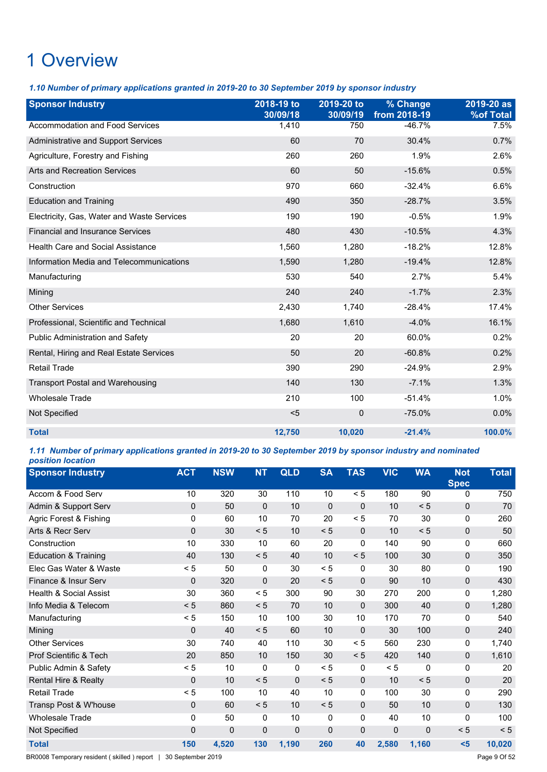*1.10 Number of primary applications granted in 2019-20 to 30 September 2019 by sponsor industry*

| <b>Sponsor Industry</b>                    | 2018-19 to<br>30/09/18 | 2019-20 to<br>30/09/19 | % Change<br>from 2018-19 | 2019-20 as<br><b>%of Total</b> |
|--------------------------------------------|------------------------|------------------------|--------------------------|--------------------------------|
| Accommodation and Food Services            | 1,410                  | 750                    | $-46.7%$                 | 7.5%                           |
| <b>Administrative and Support Services</b> | 60                     | 70                     | 30.4%                    | 0.7%                           |
| Agriculture, Forestry and Fishing          | 260                    | 260                    | 1.9%                     | 2.6%                           |
| <b>Arts and Recreation Services</b>        | 60                     | 50                     | $-15.6%$                 | 0.5%                           |
| Construction                               | 970                    | 660                    | $-32.4%$                 | 6.6%                           |
| <b>Education and Training</b>              | 490                    | 350                    | $-28.7%$                 | 3.5%                           |
| Electricity, Gas, Water and Waste Services | 190                    | 190                    | $-0.5%$                  | 1.9%                           |
| <b>Financial and Insurance Services</b>    | 480                    | 430                    | $-10.5%$                 | 4.3%                           |
| <b>Health Care and Social Assistance</b>   | 1,560                  | 1,280                  | $-18.2%$                 | 12.8%                          |
| Information Media and Telecommunications   | 1,590                  | 1,280                  | $-19.4%$                 | 12.8%                          |
| Manufacturing                              | 530                    | 540                    | 2.7%                     | 5.4%                           |
| Mining                                     | 240                    | 240                    | $-1.7%$                  | 2.3%                           |
| <b>Other Services</b>                      | 2,430                  | 1,740                  | $-28.4%$                 | 17.4%                          |
| Professional, Scientific and Technical     | 1,680                  | 1,610                  | $-4.0%$                  | 16.1%                          |
| Public Administration and Safety           | 20                     | 20                     | 60.0%                    | 0.2%                           |
| Rental, Hiring and Real Estate Services    | 50                     | 20                     | $-60.8%$                 | 0.2%                           |
| <b>Retail Trade</b>                        | 390                    | 290                    | $-24.9%$                 | 2.9%                           |
| <b>Transport Postal and Warehousing</b>    | 140                    | 130                    | $-7.1%$                  | 1.3%                           |
| <b>Wholesale Trade</b>                     | 210                    | 100                    | $-51.4%$                 | 1.0%                           |
| Not Specified                              | $5$                    | 0                      | $-75.0%$                 | 0.0%                           |
| <b>Total</b>                               | 12,750                 | 10,020                 | $-21.4%$                 | 100.0%                         |

### *1.11 Number of primary applications granted in 2019-20 to 30 September 2019 by sponsor industry and nominated position location*

| <b>Sponsor Industry</b>           | <b>ACT</b>  | <b>NSW</b>  | <b>NT</b>    | <b>QLD</b>  | <b>SA</b>   | <b>TAS</b>  | <b>VIC</b> | <b>WA</b>   | <b>Not</b><br><b>Spec</b> | <b>Total</b> |
|-----------------------------------|-------------|-------------|--------------|-------------|-------------|-------------|------------|-------------|---------------------------|--------------|
| Accom & Food Serv                 | 10          | 320         | 30           | 110         | 10          | < 5         | 180        | 90          | 0                         | 750          |
| Admin & Support Serv              | 0           | 50          | $\mathbf 0$  | 10          | $\mathbf 0$ | $\mathbf 0$ | 10         | < 5         | $\mathbf 0$               | 70           |
| Agric Forest & Fishing            | 0           | 60          | 10           | 70          | 20          | < 5         | 70         | 30          | 0                         | 260          |
| Arts & Recr Serv                  | $\mathbf 0$ | 30          | < 5          | 10          | < 5         | $\mathbf 0$ | 10         | < 5         | $\mathbf 0$               | 50           |
| Construction                      | 10          | 330         | 10           | 60          | 20          | $\Omega$    | 140        | 90          | 0                         | 660          |
| <b>Education &amp; Training</b>   | 40          | 130         | < 5          | 40          | 10          | < 5         | 100        | 30          | $\Omega$                  | 350          |
| Elec Gas Water & Waste            | < 5         | 50          | 0            | 30          | < 5         | 0           | 30         | 80          | 0                         | 190          |
| Finance & Insur Serv              | $\Omega$    | 320         | $\mathbf{0}$ | 20          | < 5         | $\Omega$    | 90         | 10          | $\mathbf 0$               | 430          |
| <b>Health &amp; Social Assist</b> | 30          | 360         | < 5          | 300         | 90          | 30          | 270        | 200         | 0                         | 1,280        |
| Info Media & Telecom              | < 5         | 860         | < 5          | 70          | 10          | $\Omega$    | 300        | 40          | $\Omega$                  | 1,280        |
| Manufacturing                     | < 5         | 150         | 10           | 100         | 30          | 10          | 170        | 70          | 0                         | 540          |
| Mining                            | $\mathbf 0$ | 40          | < 5          | 60          | 10          | $\mathbf 0$ | 30         | 100         | 0                         | 240          |
| <b>Other Services</b>             | 30          | 740         | 40           | 110         | 30          | < 5         | 560        | 230         | 0                         | 1,740        |
| Prof Scientific & Tech            | 20          | 850         | 10           | 150         | 30          | < 5         | 420        | 140         | 0                         | 1,610        |
| Public Admin & Safety             | < 5         | 10          | 0            | 0           | < 5         | 0           | < 5        | 0           | 0                         | 20           |
| <b>Rental Hire &amp; Realty</b>   | 0           | 10          | < 5          | $\mathbf 0$ | < 5         | $\mathbf 0$ | 10         | < 5         | $\mathbf 0$               | 20           |
| <b>Retail Trade</b>               | < 5         | 100         | 10           | 40          | 10          | 0           | 100        | 30          | 0                         | 290          |
| Transp Post & W'house             | 0           | 60          | < 5          | 10          | < 5         | $\Omega$    | 50         | 10          | 0                         | 130          |
| <b>Wholesale Trade</b>            | 0           | 50          | 0            | 10          | 0           | 0           | 40         | 10          | 0                         | 100          |
| Not Specified                     | 0           | $\mathbf 0$ | 0            | $\mathbf 0$ | 0           | $\mathbf 0$ | 0          | $\mathbf 0$ | < 5                       | < 5          |
| <b>Total</b>                      | 150         | 4,520       | 130          | 1,190       | 260         | 40          | 2,580      | 1,160       | $5$                       | 10,020       |

BR0008 Temporary resident ( skilled ) report | 30 September 2019 **Page 9 Of 52** Page 9 Of 52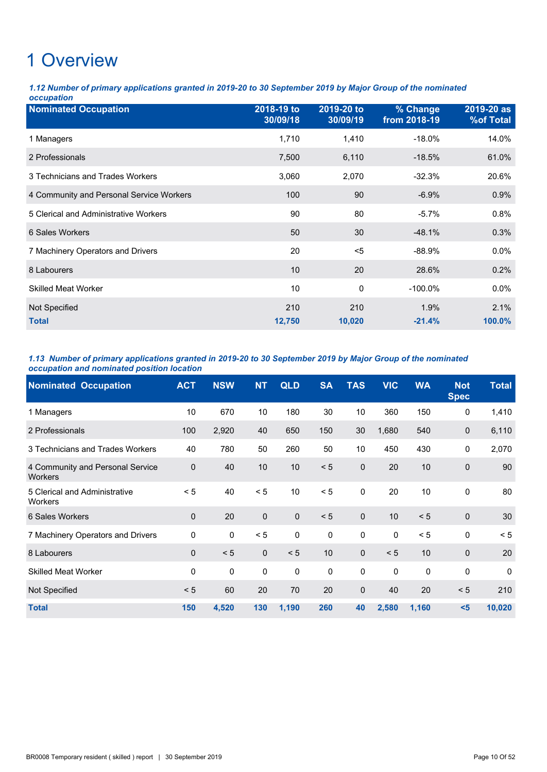*1.12 Number of primary applications granted in 2019-20 to 30 September 2019 by Major Group of the nominated occupation*

| <b>Nominated Occupation</b>              | 2018-19 to<br>30/09/18 | 2019-20 to<br>30/09/19 | % Change<br>from 2018-19 | 2019-20 as<br><b>%of Total</b> |
|------------------------------------------|------------------------|------------------------|--------------------------|--------------------------------|
| 1 Managers                               | 1,710                  | 1,410                  | $-18.0\%$                | 14.0%                          |
| 2 Professionals                          | 7,500                  | 6,110                  | $-18.5%$                 | 61.0%                          |
| 3 Technicians and Trades Workers         | 3,060                  | 2,070                  | $-32.3%$                 | 20.6%                          |
| 4 Community and Personal Service Workers | 100                    | 90                     | $-6.9%$                  | 0.9%                           |
| 5 Clerical and Administrative Workers    | 90                     | 80                     | $-5.7\%$                 | 0.8%                           |
| 6 Sales Workers                          | 50                     | 30                     | $-48.1%$                 | 0.3%                           |
| 7 Machinery Operators and Drivers        | 20                     | $5$                    | $-88.9%$                 | $0.0\%$                        |
| 8 Labourers                              | 10                     | 20                     | 28.6%                    | 0.2%                           |
| <b>Skilled Meat Worker</b>               | 10                     | 0                      | $-100.0\%$               | $0.0\%$                        |
| Not Specified<br><b>Total</b>            | 210<br>12,750          | 210<br>10,020          | 1.9%<br>$-21.4%$         | 2.1%<br>100.0%                 |

### *1.13 Number of primary applications granted in 2019-20 to 30 September 2019 by Major Group of the nominated occupation and nominated position location*

| <b>Nominated Occupation</b>                        | <b>ACT</b>  | <b>NSW</b>  | <b>NT</b>   | <b>QLD</b>  | <b>SA</b> | <b>TAS</b>   | <b>VIC</b>  | <b>WA</b>   | <b>Not</b><br><b>Spec</b> | <b>Total</b> |
|----------------------------------------------------|-------------|-------------|-------------|-------------|-----------|--------------|-------------|-------------|---------------------------|--------------|
| 1 Managers                                         | 10          | 670         | 10          | 180         | 30        | 10           | 360         | 150         | 0                         | 1,410        |
| 2 Professionals                                    | 100         | 2,920       | 40          | 650         | 150       | 30           | 1,680       | 540         | $\mathbf 0$               | 6,110        |
| 3 Technicians and Trades Workers                   | 40          | 780         | 50          | 260         | 50        | 10           | 450         | 430         | 0                         | 2,070        |
| 4 Community and Personal Service<br><b>Workers</b> | $\pmb{0}$   | 40          | 10          | 10          | < 5       | $\mathbf 0$  | 20          | 10          | $\mathbf{0}$              | 90           |
| 5 Clerical and Administrative<br><b>Workers</b>    | < 5         | 40          | < 5         | 10          | < 5       | $\mathbf 0$  | 20          | 10          | $\mathbf 0$               | 80           |
| 6 Sales Workers                                    | $\mathbf 0$ | 20          | $\mathbf 0$ | $\mathbf 0$ | < 5       | $\mathbf 0$  | 10          | < 5         | $\mathbf 0$               | 30           |
| 7 Machinery Operators and Drivers                  | 0           | $\mathbf 0$ | < 5         | $\pmb{0}$   | $\pmb{0}$ | 0            | $\mathbf 0$ | < 5         | $\mathbf{0}$              | < 5          |
| 8 Labourers                                        | $\mathbf 0$ | < 5         | $\pmb{0}$   | < 5         | 10        | $\pmb{0}$    | < 5         | 10          | $\Omega$                  | 20           |
| <b>Skilled Meat Worker</b>                         | $\mathbf 0$ | $\mathbf 0$ | 0           | $\pmb{0}$   | 0         | $\mathbf 0$  | $\pmb{0}$   | $\mathbf 0$ | $\mathbf 0$               | $\Omega$     |
| Not Specified                                      | < 5         | 60          | 20          | 70          | 20        | $\mathbf{0}$ | 40          | 20          | < 5                       | 210          |
| <b>Total</b>                                       | 150         | 4,520       | 130         | 1,190       | 260       | 40           | 2,580       | 1,160       | $5$                       | 10,020       |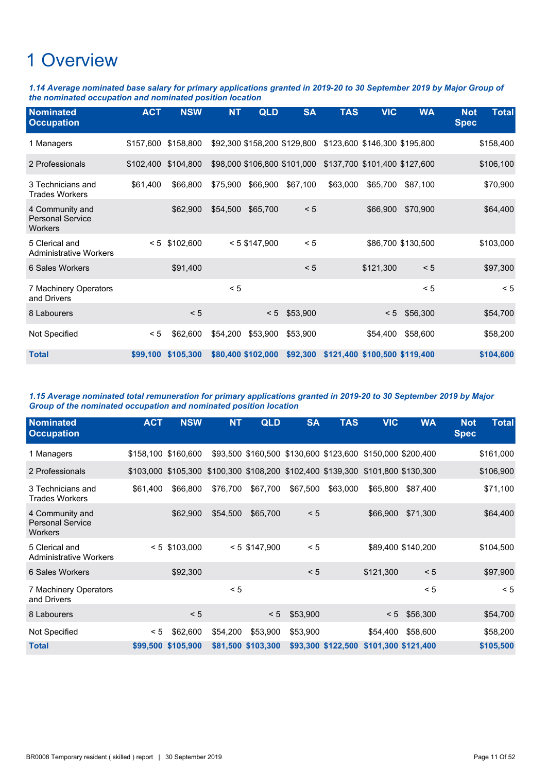*1.14 Average nominated base salary for primary applications granted in 2019-20 to 30 September 2019 by Major Group of the nominated occupation and nominated position location*

| <b>Nominated</b><br><b>Occupation</b>                 | <b>ACT</b> | <b>NSW</b> | <b>NT</b> | <b>QLD</b>         | <b>SA</b>                    | <b>TAS</b> | <b>VIC</b>                    | <b>WA</b>          | <b>Not</b><br><b>Spec</b> | <b>Total</b> |
|-------------------------------------------------------|------------|------------|-----------|--------------------|------------------------------|------------|-------------------------------|--------------------|---------------------------|--------------|
| 1 Managers                                            | \$157,600  | \$158,800  |           |                    | \$92,300 \$158,200 \$129,800 |            | \$123,600 \$146,300 \$195,800 |                    |                           | \$158,400    |
| 2 Professionals                                       | \$102,400  | \$104,800  |           |                    | \$98,000 \$106,800 \$101,000 |            | \$137,700 \$101,400 \$127,600 |                    |                           | \$106,100    |
| 3 Technicians and<br><b>Trades Workers</b>            | \$61,400   | \$66,800   | \$75,900  | \$66,900           | \$67,100                     | \$63,000   | \$65,700                      | \$87,100           |                           | \$70,900     |
| 4 Community and<br><b>Personal Service</b><br>Workers |            | \$62,900   | \$54,500  | \$65,700           | < 5                          |            | \$66,900                      | \$70,900           |                           | \$64,400     |
| 5 Clerical and<br><b>Administrative Workers</b>       | < 5        | \$102,600  |           | $< 5$ \$147,900    | < 5                          |            |                               | \$86,700 \$130,500 |                           | \$103,000    |
| 6 Sales Workers                                       |            | \$91,400   |           |                    | < 5                          |            | \$121,300                     | < 5                |                           | \$97,300     |
| 7 Machinery Operators<br>and Drivers                  |            |            | < 5       |                    |                              |            |                               | < 5                |                           | < 5          |
| 8 Labourers                                           |            | < 5        |           | < 5                | \$53,900                     |            | < 5                           | \$56,300           |                           | \$54,700     |
| Not Specified                                         | < 5        | \$62,600   | \$54,200  | \$53,900           | \$53,900                     |            | \$54,400                      | \$58,600           |                           | \$58,200     |
| <b>Total</b>                                          | \$99,100   | \$105,300  |           | \$80,400 \$102,000 | \$92,300                     |            | \$121,400 \$100,500 \$119,400 |                    |                           | \$104,600    |

*1.15 Average nominated total remuneration for primary applications granted in 2019-20 to 30 September 2019 by Major Group of the nominated occupation and nominated position location*

| <b>Nominated</b><br><b>Occupation</b>                 | <b>ACT</b> | <b>NSW</b>                                                                      | <b>NT</b> | QLD                | <b>SA</b> | <b>TAS</b>                                                 | <b>VIC</b>          | <b>WA</b>          | <b>Not</b><br><b>Spec</b> | <b>Total</b> |
|-------------------------------------------------------|------------|---------------------------------------------------------------------------------|-----------|--------------------|-----------|------------------------------------------------------------|---------------------|--------------------|---------------------------|--------------|
| 1 Managers                                            |            | \$158,100 \$160,600                                                             |           |                    |           | \$93,500 \$160,500 \$130,600 \$123,600 \$150,000 \$200,400 |                     |                    |                           | \$161,000    |
| 2 Professionals                                       |            | \$103,000 \$105,300 \$100,300 \$108,200 \$102,400 \$139,300 \$101,800 \$130,300 |           |                    |           |                                                            |                     |                    |                           | \$106,900    |
| 3 Technicians and<br><b>Trades Workers</b>            | \$61,400   | \$66,800                                                                        | \$76,700  | \$67,700           | \$67,500  | \$63,000                                                   | \$65,800            | \$87,400           |                           | \$71,100     |
| 4 Community and<br><b>Personal Service</b><br>Workers |            | \$62,900                                                                        | \$54,500  | \$65,700           | < 5       |                                                            | \$66,900            | \$71,300           |                           | \$64,400     |
| 5 Clerical and<br><b>Administrative Workers</b>       |            | $< 5$ \$103,000                                                                 |           | $< 5$ \$147,900    | < 5       |                                                            |                     | \$89,400 \$140,200 |                           | \$104,500    |
| 6 Sales Workers                                       |            | \$92,300                                                                        |           |                    | < 5       |                                                            | \$121,300           | < 5                |                           | \$97,900     |
| 7 Machinery Operators<br>and Drivers                  |            |                                                                                 | < 5       |                    |           |                                                            |                     | < 5                |                           | < 5          |
| 8 Labourers                                           |            | < 5                                                                             |           | < 5                | \$53,900  |                                                            | < 5                 | \$56,300           |                           | \$54,700     |
| Not Specified                                         | < 5        | \$62,600                                                                        | \$54,200  | \$53,900           | \$53,900  |                                                            | \$54,400            | \$58,600           |                           | \$58,200     |
| <b>Total</b>                                          | \$99,500   | \$105,900                                                                       |           | \$81,500 \$103,300 |           | \$93,300 \$122,500                                         | \$101,300 \$121,400 |                    |                           | \$105,500    |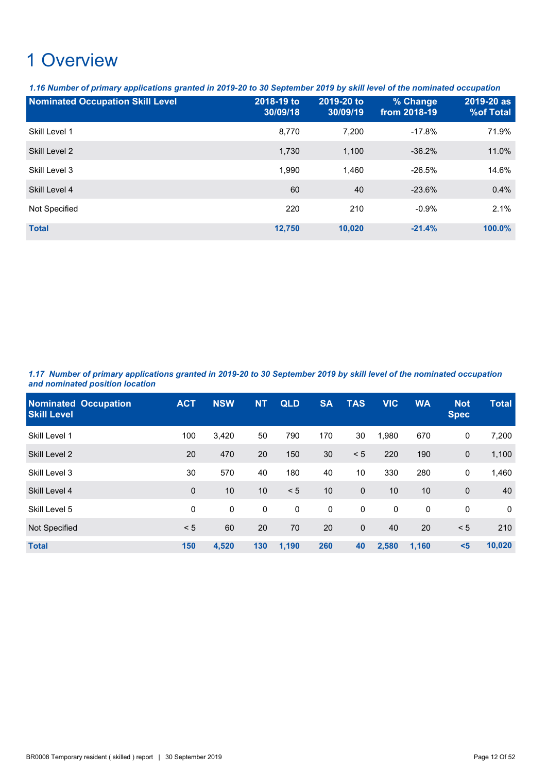*1.16 Number of primary applications granted in 2019-20 to 30 September 2019 by skill level of the nominated occupation*

| <b>Nominated Occupation Skill Level</b> | 2018-19 to<br>30/09/18 | 2019-20 to<br>30/09/19 | % Change<br>from 2018-19 | 2019-20 as<br><b>%of Total</b> |
|-----------------------------------------|------------------------|------------------------|--------------------------|--------------------------------|
| Skill Level 1                           | 8,770                  | 7,200                  | $-17.8%$                 | 71.9%                          |
| Skill Level 2                           | 1,730                  | 1,100                  | $-36.2%$                 | 11.0%                          |
| Skill Level 3                           | 1,990                  | 1.460                  | $-26.5%$                 | 14.6%                          |
| Skill Level 4                           | 60                     | 40                     | $-23.6%$                 | 0.4%                           |
| Not Specified                           | 220                    | 210                    | $-0.9%$                  | 2.1%                           |
| <b>Total</b>                            | 12.750                 | 10,020                 | $-21.4%$                 | 100.0%                         |

*1.17 Number of primary applications granted in 2019-20 to 30 September 2019 by skill level of the nominated occupation and nominated position location*

| <b>Nominated Occupation</b><br><b>Skill Level</b> | <b>ACT</b>  | <b>NSW</b>  | <b>NT</b> | <b>QLD</b> | <b>SA</b>   | <b>TAS</b>   | <b>VIC</b> | <b>WA</b>   | <b>Not</b><br><b>Spec</b> | <b>Total</b> |
|---------------------------------------------------|-------------|-------------|-----------|------------|-------------|--------------|------------|-------------|---------------------------|--------------|
| Skill Level 1                                     | 100         | 3,420       | 50        | 790        | 170         | 30           | 1,980      | 670         | 0                         | 7,200        |
| Skill Level 2                                     | 20          | 470         | 20        | 150        | 30          | < 5          | 220        | 190         | $\mathbf{0}$              | 1,100        |
| Skill Level 3                                     | 30          | 570         | 40        | 180        | 40          | 10           | 330        | 280         | 0                         | 1,460        |
| Skill Level 4                                     | $\mathbf 0$ | 10          | 10        | < 5        | 10          | $\mathbf 0$  | 10         | 10          | $\mathbf 0$               | 40           |
| Skill Level 5                                     | 0           | $\mathbf 0$ | 0         | 0          | $\mathbf 0$ | $\mathbf 0$  | 0          | $\mathbf 0$ | 0                         | $\Omega$     |
| Not Specified                                     | < 5         | 60          | 20        | 70         | 20          | $\mathbf{0}$ | 40         | 20          | < 5                       | 210          |
| <b>Total</b>                                      | 150         | 4,520       | 130       | 1,190      | 260         | 40           | 2,580      | 1,160       | $5$                       | 10,020       |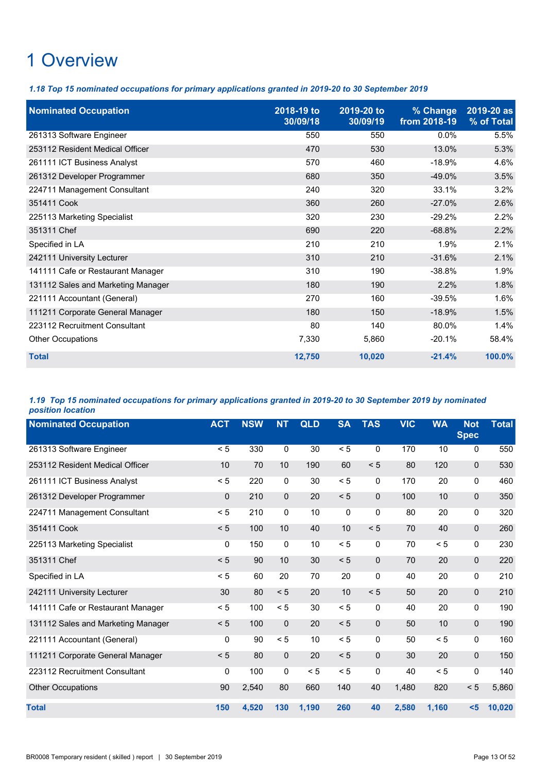*1.18 Top 15 nominated occupations for primary applications granted in 2019-20 to 30 September 2019*

| <b>Nominated Occupation</b>        | 2018-19 to<br>30/09/18 | 2019-20 to<br>30/09/19 | % Change<br>from 2018-19 | 2019-20 as<br>% of Total |
|------------------------------------|------------------------|------------------------|--------------------------|--------------------------|
| 261313 Software Engineer           | 550                    | 550                    | $0.0\%$                  | 5.5%                     |
| 253112 Resident Medical Officer    | 470                    | 530                    | 13.0%                    | 5.3%                     |
| 261111 ICT Business Analyst        | 570                    | 460                    | $-18.9%$                 | 4.6%                     |
| 261312 Developer Programmer        | 680                    | 350                    | $-49.0%$                 | 3.5%                     |
| 224711 Management Consultant       | 240                    | 320                    | 33.1%                    | 3.2%                     |
| 351411 Cook                        | 360                    | 260                    | $-27.0\%$                | 2.6%                     |
| 225113 Marketing Specialist        | 320                    | 230                    | $-29.2%$                 | 2.2%                     |
| 351311 Chef                        | 690                    | 220                    | $-68.8%$                 | 2.2%                     |
| Specified in LA                    | 210                    | 210                    | 1.9%                     | 2.1%                     |
| 242111 University Lecturer         | 310                    | 210                    | $-31.6%$                 | 2.1%                     |
| 141111 Cafe or Restaurant Manager  | 310                    | 190                    | $-38.8%$                 | 1.9%                     |
| 131112 Sales and Marketing Manager | 180                    | 190                    | 2.2%                     | 1.8%                     |
| 221111 Accountant (General)        | 270                    | 160                    | $-39.5%$                 | 1.6%                     |
| 111211 Corporate General Manager   | 180                    | 150                    | $-18.9%$                 | 1.5%                     |
| 223112 Recruitment Consultant      | 80                     | 140                    | 80.0%                    | 1.4%                     |
| Other Occupations                  | 7,330                  | 5,860                  | $-20.1%$                 | 58.4%                    |
| <b>Total</b>                       | 12,750                 | 10,020                 | $-21.4%$                 | 100.0%                   |

### *1.19 Top 15 nominated occupations for primary applications granted in 2019-20 to 30 September 2019 by nominated position location*

| <b>Nominated Occupation</b>        | <b>ACT</b>  | <b>NSW</b> | <b>NT</b>    | <b>QLD</b> | <b>SA</b> | <b>TAS</b>   | <b>VIC</b> | <b>WA</b> | <b>Not</b><br><b>Spec</b> | <b>Total</b> |
|------------------------------------|-------------|------------|--------------|------------|-----------|--------------|------------|-----------|---------------------------|--------------|
| 261313 Software Engineer           | < 5         | 330        | 0            | 30         | < 5       | 0            | 170        | 10        | 0                         | 550          |
| 253112 Resident Medical Officer    | 10          | 70         | 10           | 190        | 60        | < 5          | 80         | 120       | $\mathbf{0}$              | 530          |
| 261111 ICT Business Analyst        | < 5         | 220        | 0            | 30         | < 5       | 0            | 170        | 20        | $\mathbf 0$               | 460          |
| 261312 Developer Programmer        | $\mathbf 0$ | 210        | $\mathbf 0$  | 20         | < 5       | $\mathbf{0}$ | 100        | 10        | $\mathbf 0$               | 350          |
| 224711 Management Consultant       | < 5         | 210        | 0            | 10         | $\pmb{0}$ | $\mathbf 0$  | 80         | 20        | 0                         | 320          |
| 351411 Cook                        | < 5         | 100        | 10           | 40         | 10        | < 5          | 70         | 40        | $\mathbf 0$               | 260          |
| 225113 Marketing Specialist        | 0           | 150        | $\mathbf 0$  | 10         | < 5       | $\mathbf 0$  | 70         | < 5       | 0                         | 230          |
| 351311 Chef                        | < 5         | 90         | 10           | 30         | < 5       | $\mathbf{0}$ | 70         | 20        | $\mathbf{0}$              | 220          |
| Specified in LA                    | < 5         | 60         | 20           | 70         | 20        | 0            | 40         | 20        | $\mathbf 0$               | 210          |
| 242111 University Lecturer         | 30          | 80         | < 5          | 20         | 10        | < 5          | 50         | 20        | 0                         | 210          |
| 141111 Cafe or Restaurant Manager  | < 5         | 100        | < 5          | 30         | < 5       | $\mathbf 0$  | 40         | 20        | 0                         | 190          |
| 131112 Sales and Marketing Manager | < 5         | 100        | $\mathbf{0}$ | 20         | < 5       | $\mathbf{0}$ | 50         | 10        | $\mathbf{0}$              | 190          |
| 221111 Accountant (General)        | 0           | 90         | < 5          | 10         | < 5       | 0            | 50         | < 5       | $\mathbf{0}$              | 160          |
| 111211 Corporate General Manager   | < 5         | 80         | $\mathbf{0}$ | 20         | < 5       | $\mathbf{0}$ | 30         | 20        | $\Omega$                  | 150          |
| 223112 Recruitment Consultant      | 0           | 100        | 0            | < 5        | < 5       | $\mathbf 0$  | 40         | < 5       | 0                         | 140          |
| <b>Other Occupations</b>           | 90          | 2,540      | 80           | 660        | 140       | 40           | 1,480      | 820       | < 5                       | 5,860        |
| <b>Total</b>                       | 150         | 4,520      | 130          | 1,190      | 260       | 40           | 2,580      | 1,160     | $5$                       | 10,020       |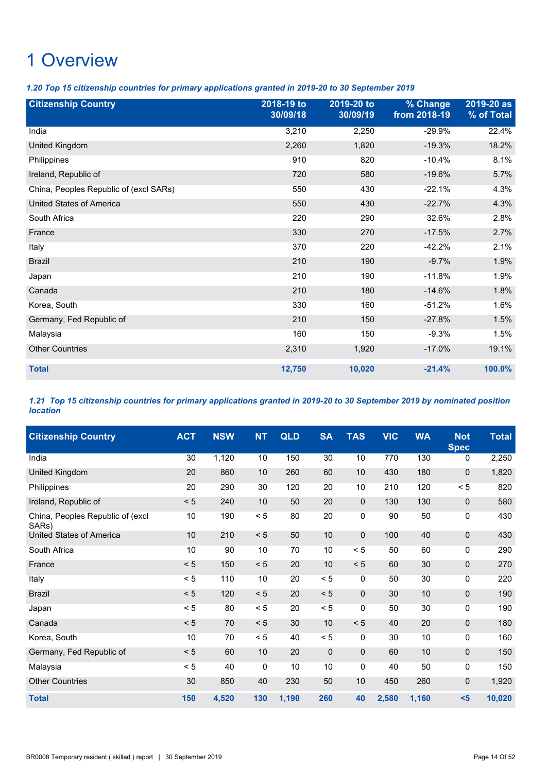*1.20 Top 15 citizenship countries for primary applications granted in 2019-20 to 30 September 2019*

| <b>Citizenship Country</b>             | 2018-19 to<br>30/09/18 | 2019-20 to<br>30/09/19 | % Change<br>from 2018-19 | 2019-20 as<br>% of Total |
|----------------------------------------|------------------------|------------------------|--------------------------|--------------------------|
| India                                  | 3,210                  | 2,250                  | $-29.9%$                 | 22.4%                    |
| United Kingdom                         | 2,260                  | 1,820                  | $-19.3%$                 | 18.2%                    |
| Philippines                            | 910                    | 820                    | $-10.4%$                 | 8.1%                     |
| Ireland, Republic of                   | 720                    | 580                    | $-19.6%$                 | 5.7%                     |
| China, Peoples Republic of (excl SARs) | 550                    | 430                    | $-22.1%$                 | 4.3%                     |
| <b>United States of America</b>        | 550                    | 430                    | $-22.7%$                 | 4.3%                     |
| South Africa                           | 220                    | 290                    | 32.6%                    | 2.8%                     |
| France                                 | 330                    | 270                    | $-17.5%$                 | 2.7%                     |
| Italy                                  | 370                    | 220                    | $-42.2%$                 | 2.1%                     |
| <b>Brazil</b>                          | 210                    | 190                    | $-9.7%$                  | 1.9%                     |
| Japan                                  | 210                    | 190                    | $-11.8%$                 | 1.9%                     |
| Canada                                 | 210                    | 180                    | $-14.6%$                 | 1.8%                     |
| Korea, South                           | 330                    | 160                    | $-51.2%$                 | 1.6%                     |
| Germany, Fed Republic of               | 210                    | 150                    | $-27.8%$                 | 1.5%                     |
| Malaysia                               | 160                    | 150                    | $-9.3%$                  | 1.5%                     |
| <b>Other Countries</b>                 | 2,310                  | 1,920                  | $-17.0%$                 | 19.1%                    |
| <b>Total</b>                           | 12,750                 | 10,020                 | $-21.4%$                 | 100.0%                   |

*1.21 Top 15 citizenship countries for primary applications granted in 2019-20 to 30 September 2019 by nominated position location*

| <b>Citizenship Country</b>                | <b>ACT</b> | <b>NSW</b> | <b>NT</b> | QLD   | <b>SA</b>       | <b>TAS</b>   | <b>VIC</b> | <b>WA</b> | <b>Not</b><br><b>Spec</b> | <b>Total</b> |
|-------------------------------------------|------------|------------|-----------|-------|-----------------|--------------|------------|-----------|---------------------------|--------------|
| India                                     | 30         | 1,120      | 10        | 150   | $\overline{30}$ | 10           | 770        | 130       | 0                         | 2,250        |
| United Kingdom                            | 20         | 860        | 10        | 260   | 60              | 10           | 430        | 180       | $\mathbf 0$               | 1,820        |
| Philippines                               | 20         | 290        | 30        | 120   | 20              | 10           | 210        | 120       | < 5                       | 820          |
| Ireland, Republic of                      | < 5        | 240        | 10        | 50    | 20              | $\mathbf 0$  | 130        | 130       | 0                         | 580          |
| China, Peoples Republic of (excl<br>SARs) | 10         | 190        | < 5       | 80    | 20              | $\mathbf 0$  | 90         | 50        | 0                         | 430          |
| <b>United States of America</b>           | 10         | 210        | $< 5$     | 50    | 10              | $\mathbf 0$  | 100        | 40        | $\mathbf 0$               | 430          |
| South Africa                              | 10         | 90         | 10        | 70    | 10              | < 5          | 50         | 60        | 0                         | 290          |
| France                                    | < 5        | 150        | < 5       | 20    | 10              | < 5          | 60         | 30        | $\pmb{0}$                 | 270          |
| Italy                                     | < 5        | 110        | 10        | 20    | < 5             | 0            | 50         | 30        | 0                         | 220          |
| <b>Brazil</b>                             | < 5        | 120        | < 5       | 20    | < 5             | $\mathbf 0$  | 30         | 10        | $\mathbf 0$               | 190          |
| Japan                                     | < 5        | 80         | < 5       | 20    | < 5             | $\mathbf{0}$ | 50         | 30        | 0                         | 190          |
| Canada                                    | < 5        | 70         | < 5       | 30    | 10              | < 5          | 40         | 20        | $\mathbf 0$               | 180          |
| Korea, South                              | 10         | 70         | < 5       | 40    | < 5             | 0            | 30         | 10        | 0                         | 160          |
| Germany, Fed Republic of                  | < 5        | 60         | 10        | 20    | $\mathbf 0$     | $\mathbf 0$  | 60         | 10        | $\mathbf 0$               | 150          |
| Malaysia                                  | < 5        | 40         | 0         | 10    | 10              | $\mathbf 0$  | 40         | 50        | 0                         | 150          |
| <b>Other Countries</b>                    | 30         | 850        | 40        | 230   | 50              | 10           | 450        | 260       | $\mathbf 0$               | 1,920        |
| <b>Total</b>                              | 150        | 4,520      | 130       | 1,190 | 260             | 40           | 2,580      | 1,160     | $5$                       | 10,020       |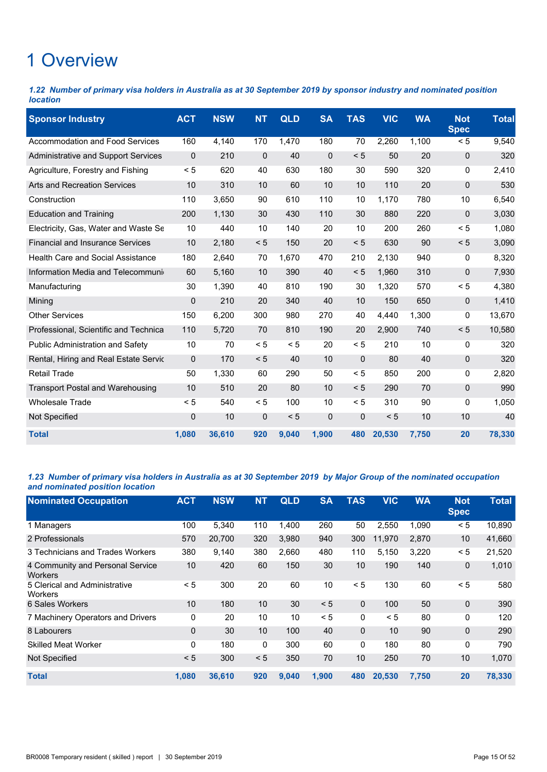*1.22 Number of primary visa holders in Australia as at 30 September 2019 by sponsor industry and nominated position location*

| <b>Sponsor Industry</b>                  | <b>ACT</b>  | <b>NSW</b> | <b>NT</b>   | <b>QLD</b> | <b>SA</b>   | <b>TAS</b>   | <b>VIC</b> | <b>WA</b> | <b>Not</b><br><b>Spec</b> | <b>Total</b> |
|------------------------------------------|-------------|------------|-------------|------------|-------------|--------------|------------|-----------|---------------------------|--------------|
| <b>Accommodation and Food Services</b>   | 160         | 4,140      | 170         | 1,470      | 180         | 70           | 2,260      | 1,100     | < 5                       | 9,540        |
| Administrative and Support Services      | $\mathbf 0$ | 210        | $\pmb{0}$   | 40         | $\mathbf 0$ | < 5          | 50         | 20        | $\mathbf 0$               | 320          |
| Agriculture, Forestry and Fishing        | < 5         | 620        | 40          | 630        | 180         | 30           | 590        | 320       | 0                         | 2,410        |
| <b>Arts and Recreation Services</b>      | 10          | 310        | 10          | 60         | 10          | 10           | 110        | 20        | $\mathbf 0$               | 530          |
| Construction                             | 110         | 3.650      | 90          | 610        | 110         | 10           | 1.170      | 780       | 10                        | 6,540        |
| <b>Education and Training</b>            | 200         | 1,130      | 30          | 430        | 110         | 30           | 880        | 220       | $\Omega$                  | 3,030        |
| Electricity, Gas, Water and Waste Se     | 10          | 440        | 10          | 140        | 20          | 10           | 200        | 260       | < 5                       | 1,080        |
| <b>Financial and Insurance Services</b>  | 10          | 2,180      | < 5         | 150        | 20          | < 5          | 630        | 90        | < 5                       | 3,090        |
| <b>Health Care and Social Assistance</b> | 180         | 2,640      | 70          | 1,670      | 470         | 210          | 2,130      | 940       | 0                         | 8,320        |
| Information Media and Telecommuni        | 60          | 5,160      | 10          | 390        | 40          | < 5          | 1,960      | 310       | $\Omega$                  | 7,930        |
| Manufacturing                            | 30          | 1,390      | 40          | 810        | 190         | 30           | 1,320      | 570       | < 5                       | 4,380        |
| Mining                                   | 0           | 210        | 20          | 340        | 40          | 10           | 150        | 650       | $\mathbf 0$               | 1,410        |
| <b>Other Services</b>                    | 150         | 6.200      | 300         | 980        | 270         | 40           | 4.440      | 1,300     | 0                         | 13,670       |
| Professional, Scientific and Technica    | 110         | 5,720      | 70          | 810        | 190         | 20           | 2,900      | 740       | < 5                       | 10,580       |
| <b>Public Administration and Safety</b>  | 10          | 70         | < 5         | < 5        | 20          | < 5          | 210        | 10        | 0                         | 320          |
| Rental, Hiring and Real Estate Servic    | $\mathbf 0$ | 170        | < 5         | 40         | 10          | $\mathbf 0$  | 80         | 40        | $\mathbf 0$               | 320          |
| <b>Retail Trade</b>                      | 50          | 1,330      | 60          | 290        | 50          | < 5          | 850        | 200       | 0                         | 2,820        |
| <b>Transport Postal and Warehousing</b>  | 10          | 510        | 20          | 80         | 10          | < 5          | 290        | 70        | $\Omega$                  | 990          |
| <b>Wholesale Trade</b>                   | < 5         | 540        | < 5         | 100        | 10          | < 5          | 310        | 90        | 0                         | 1,050        |
| Not Specified                            | $\mathbf 0$ | 10         | $\mathbf 0$ | < 5        | $\mathbf 0$ | $\mathbf{0}$ | < 5        | 10        | 10                        | 40           |
| <b>Total</b>                             | 1.080       | 36.610     | 920         | 9.040      | 1,900       | 480          | 20,530     | 7.750     | 20                        | 78,330       |

### *1.23 Number of primary visa holders in Australia as at 30 September 2019 by Major Group of the nominated occupation and nominated position location*

| <b>Nominated Occupation</b>                        | <b>ACT</b> | <b>NSW</b> | <b>NT</b> | <b>QLD</b> | <b>SA</b> | <b>TAS</b> | <b>VIC</b> | <b>WA</b> | <b>Not</b><br><b>Spec</b> | <b>Total</b> |
|----------------------------------------------------|------------|------------|-----------|------------|-----------|------------|------------|-----------|---------------------------|--------------|
| 1 Managers                                         | 100        | 5,340      | 110       | 1,400      | 260       | 50         | 2,550      | 1,090     | < 5                       | 10,890       |
| 2 Professionals                                    | 570        | 20,700     | 320       | 3.980      | 940       | 300        | 11,970     | 2,870     | 10                        | 41,660       |
| 3 Technicians and Trades Workers                   | 380        | 9,140      | 380       | 2,660      | 480       | 110        | 5,150      | 3,220     | < 5                       | 21,520       |
| 4 Community and Personal Service<br><b>Workers</b> | 10         | 420        | 60        | 150        | 30        | 10         | 190        | 140       | 0                         | 1,010        |
| 5 Clerical and Administrative<br>Workers           | < 5        | 300        | 20        | 60         | 10        | < 5        | 130        | 60        | < 5                       | 580          |
| 6 Sales Workers                                    | 10         | 180        | 10        | 30         | < 5       | $\Omega$   | 100        | 50        | 0                         | 390          |
| 7 Machinery Operators and Drivers                  | 0          | 20         | 10        | 10         | < 5       | 0          | < 5        | 80        | 0                         | 120          |
| 8 Labourers                                        | $\Omega$   | 30         | 10        | 100        | 40        | $\Omega$   | 10         | 90        | 0                         | 290          |
| <b>Skilled Meat Worker</b>                         | 0          | 180        | 0         | 300        | 60        | 0          | 180        | 80        | 0                         | 790          |
| Not Specified                                      | < 5        | 300        | < 5       | 350        | 70        | 10         | 250        | 70        | 10                        | 1,070        |
| <b>Total</b>                                       | 1,080      | 36,610     | 920       | 9,040      | 1,900     | 480        | 20,530     | 7,750     | 20                        | 78,330       |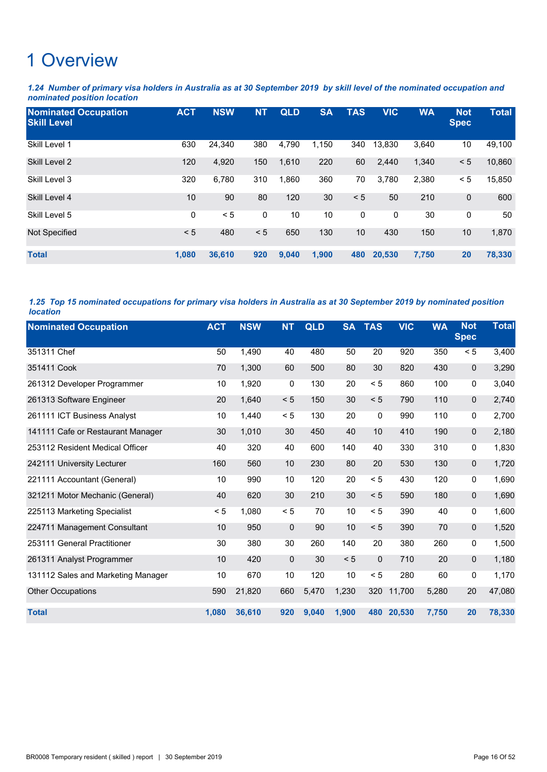*1.24 Number of primary visa holders in Australia as at 30 September 2019 by skill level of the nominated occupation and nominated position location*

| <b>Nominated Occupation</b><br><b>Skill Level</b> | <b>ACT</b> | <b>NSW</b> | <b>NT</b> | <b>QLD</b> | <b>SA</b> | <b>TAS</b> | <b>VIC</b> | <b>WA</b> | <b>Not</b><br><b>Spec</b> | <b>Total</b> |
|---------------------------------------------------|------------|------------|-----------|------------|-----------|------------|------------|-----------|---------------------------|--------------|
| Skill Level 1                                     | 630        | 24,340     | 380       | 4,790      | 1,150     | 340        | 13,830     | 3,640     | 10                        | 49,100       |
| Skill Level 2                                     | 120        | 4,920      | 150       | 1,610      | 220       | 60         | 2,440      | 1,340     | < 5                       | 10,860       |
| Skill Level 3                                     | 320        | 6,780      | 310       | 1,860      | 360       | 70         | 3,780      | 2,380     | < 5                       | 15,850       |
| Skill Level 4                                     | 10         | 90         | 80        | 120        | 30        | < 5        | 50         | 210       | $\mathbf 0$               | 600          |
| Skill Level 5                                     | 0          | < 5        | 0         | 10         | 10        | 0          | 0          | 30        | 0                         | 50           |
| Not Specified                                     | < 5        | 480        | < 5       | 650        | 130       | 10         | 430        | 150       | 10                        | 1,870        |
| <b>Total</b>                                      | 1,080      | 36,610     | 920       | 9,040      | 1,900     | 480        | 20,530     | 7,750     | 20                        | 78,330       |

*1.25 Top 15 nominated occupations for primary visa holders in Australia as at 30 September 2019 by nominated position location*

| <b>Nominated Occupation</b>        | <b>ACT</b> | <b>NSW</b> | <b>NT</b> | <b>QLD</b> | <b>SA</b> | <b>TAS</b>   | <b>VIC</b> | <b>WA</b> | <b>Not</b><br><b>Spec</b> | <b>Total</b> |
|------------------------------------|------------|------------|-----------|------------|-----------|--------------|------------|-----------|---------------------------|--------------|
| 351311 Chef                        | 50         | 1,490      | 40        | 480        | 50        | 20           | 920        | 350       | < 5                       | 3,400        |
| 351411 Cook                        | 70         | 1,300      | 60        | 500        | 80        | 30           | 820        | 430       | $\pmb{0}$                 | 3,290        |
| 261312 Developer Programmer        | 10         | 1,920      | 0         | 130        | 20        | < 5          | 860        | 100       | 0                         | 3,040        |
| 261313 Software Engineer           | 20         | 1,640      | < 5       | 150        | 30        | < 5          | 790        | 110       | $\mathbf 0$               | 2,740        |
| 261111 ICT Business Analyst        | 10         | 1,440      | < 5       | 130        | 20        | 0            | 990        | 110       | 0                         | 2,700        |
| 141111 Cafe or Restaurant Manager  | 30         | 1,010      | 30        | 450        | 40        | 10           | 410        | 190       | $\mathbf 0$               | 2,180        |
| 253112 Resident Medical Officer    | 40         | 320        | 40        | 600        | 140       | 40           | 330        | 310       | 0                         | 1,830        |
| 242111 University Lecturer         | 160        | 560        | 10        | 230        | 80        | 20           | 530        | 130       | $\pmb{0}$                 | 1,720        |
| 221111 Accountant (General)        | 10         | 990        | 10        | 120        | 20        | < 5          | 430        | 120       | 0                         | 1,690        |
| 321211 Motor Mechanic (General)    | 40         | 620        | 30        | 210        | 30        | < 5          | 590        | 180       | $\pmb{0}$                 | 1,690        |
| 225113 Marketing Specialist        | < 5        | 1,080      | < 5       | 70         | 10        | < 5          | 390        | 40        | 0                         | 1,600        |
| 224711 Management Consultant       | 10         | 950        | 0         | 90         | 10        | < 5          | 390        | 70        | $\mathbf 0$               | 1,520        |
| 253111 General Practitioner        | 30         | 380        | 30        | 260        | 140       | 20           | 380        | 260       | 0                         | 1,500        |
| 261311 Analyst Programmer          | 10         | 420        | $\pmb{0}$ | 30         | < 5       | $\mathbf{0}$ | 710        | 20        | $\mathbf 0$               | 1,180        |
| 131112 Sales and Marketing Manager | 10         | 670        | 10        | 120        | 10        | < 5          | 280        | 60        | 0                         | 1,170        |
| <b>Other Occupations</b>           | 590        | 21,820     | 660       | 5,470      | 1,230     | 320          | 11,700     | 5,280     | 20                        | 47,080       |
| <b>Total</b>                       | 1,080      | 36,610     | 920       | 9,040      | 1,900     | 480          | 20,530     | 7,750     | 20                        | 78,330       |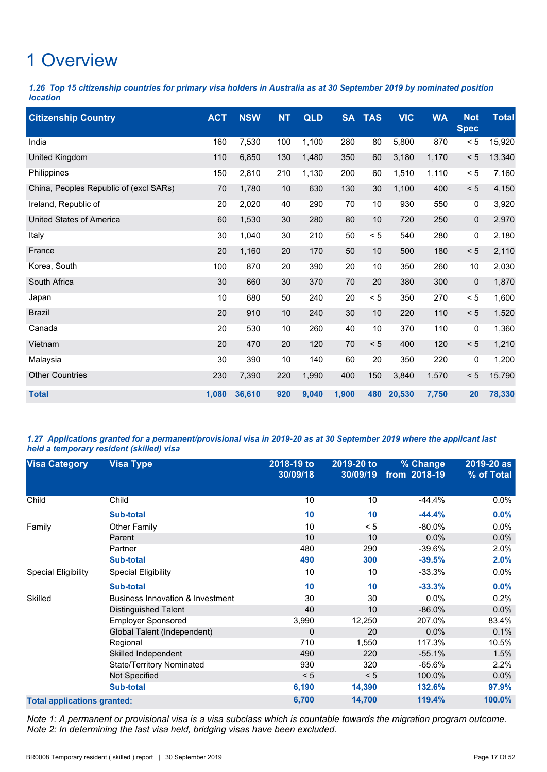*1.26 Top 15 citizenship countries for primary visa holders in Australia as at 30 September 2019 by nominated position location*

| <b>Citizenship Country</b>             | <b>ACT</b> | <b>NSW</b> | <b>NT</b> | QLD   | <b>SA</b> | <b>TAS</b> | <b>VIC</b> | <b>WA</b> | <b>Not</b><br><b>Spec</b> | <b>Total</b> |
|----------------------------------------|------------|------------|-----------|-------|-----------|------------|------------|-----------|---------------------------|--------------|
| India                                  | 160        | 7,530      | 100       | 1,100 | 280       | 80         | 5,800      | 870       | $< 5$                     | 15,920       |
| United Kingdom                         | 110        | 6,850      | 130       | 1,480 | 350       | 60         | 3,180      | 1,170     | $< 5$                     | 13,340       |
| Philippines                            | 150        | 2,810      | 210       | 1,130 | 200       | 60         | 1,510      | 1,110     | < 5                       | 7,160        |
| China, Peoples Republic of (excl SARs) | 70         | 1,780      | 10        | 630   | 130       | 30         | 1,100      | 400       | < 5                       | 4,150        |
| Ireland, Republic of                   | 20         | 2,020      | 40        | 290   | 70        | 10         | 930        | 550       | 0                         | 3,920        |
| <b>United States of America</b>        | 60         | 1,530      | 30        | 280   | 80        | 10         | 720        | 250       | 0                         | 2,970        |
| Italy                                  | 30         | 1,040      | 30        | 210   | 50        | < 5        | 540        | 280       | 0                         | 2,180        |
| France                                 | 20         | 1,160      | 20        | 170   | 50        | 10         | 500        | 180       | < 5                       | 2,110        |
| Korea, South                           | 100        | 870        | 20        | 390   | 20        | 10         | 350        | 260       | 10                        | 2,030        |
| South Africa                           | 30         | 660        | 30        | 370   | 70        | 20         | 380        | 300       | 0                         | 1,870        |
| Japan                                  | 10         | 680        | 50        | 240   | 20        | < 5        | 350        | 270       | < 5                       | 1,600        |
| <b>Brazil</b>                          | 20         | 910        | 10        | 240   | 30        | 10         | 220        | 110       | < 5                       | 1,520        |
| Canada                                 | 20         | 530        | 10        | 260   | 40        | 10         | 370        | 110       | 0                         | 1,360        |
| Vietnam                                | 20         | 470        | 20        | 120   | 70        | < 5        | 400        | 120       | < 5                       | 1,210        |
| Malaysia                               | 30         | 390        | 10        | 140   | 60        | 20         | 350        | 220       | 0                         | 1,200        |
| <b>Other Countries</b>                 | 230        | 7,390      | 220       | 1,990 | 400       | 150        | 3,840      | 1,570     | < 5                       | 15,790       |
| <b>Total</b>                           | 1,080      | 36,610     | 920       | 9,040 | 1,900     | 480        | 20,530     | 7,750     | 20                        | 78,330       |

*1.27 Applications granted for a permanent/provisional visa in 2019-20 as at 30 September 2019 where the applicant last held a temporary resident (skilled) visa*

| <b>Visa Category</b>               | <b>Visa Type</b>                 | 2018-19 to<br>30/09/18 | 2019-20 to<br>30/09/19 | % Change<br>from 2018-19 | 2019-20 as<br>% of Total |
|------------------------------------|----------------------------------|------------------------|------------------------|--------------------------|--------------------------|
| Child                              | Child                            | 10                     | 10                     | $-44.4%$                 | $0.0\%$                  |
|                                    | <b>Sub-total</b>                 | 10                     | 10                     | $-44.4%$                 | 0.0%                     |
| Family                             | <b>Other Family</b>              | 10                     | < 5                    | $-80.0\%$                | $0.0\%$                  |
|                                    | Parent                           | 10                     | 10                     | $0.0\%$                  | 0.0%                     |
|                                    | Partner                          | 480                    | 290                    | $-39.6%$                 | 2.0%                     |
|                                    | <b>Sub-total</b>                 | 490                    | 300                    | $-39.5%$                 | 2.0%                     |
| <b>Special Eligibility</b>         | <b>Special Eligibility</b>       | 10                     | 10                     | $-33.3%$                 | $0.0\%$                  |
|                                    | <b>Sub-total</b>                 | 10                     | 10                     | $-33.3%$                 | 0.0%                     |
| Skilled                            | Business Innovation & Investment | 30                     | 30                     | 0.0%                     | 0.2%                     |
|                                    | Distinguished Talent             | 40                     | 10                     | $-86.0%$                 | 0.0%                     |
|                                    | <b>Employer Sponsored</b>        | 3,990                  | 12,250                 | 207.0%                   | 83.4%                    |
|                                    | Global Talent (Independent)      | 0                      | 20                     | $0.0\%$                  | 0.1%                     |
|                                    | Regional                         | 710                    | 1,550                  | 117.3%                   | 10.5%                    |
|                                    | Skilled Independent              | 490                    | 220                    | $-55.1%$                 | 1.5%                     |
|                                    | <b>State/Territory Nominated</b> | 930                    | 320                    | $-65.6%$                 | 2.2%                     |
|                                    | Not Specified                    | < 5                    | < 5                    | 100.0%                   | $0.0\%$                  |
|                                    | <b>Sub-total</b>                 | 6,190                  | 14,390                 | 132.6%                   | 97.9%                    |
| <b>Total applications granted:</b> |                                  | 6,700                  | 14,700                 | 119.4%                   | 100.0%                   |

*Note 1: A permanent or provisional visa is a visa subclass which is countable towards the migration program outcome. Note 2: In determining the last visa held, bridging visas have been excluded.*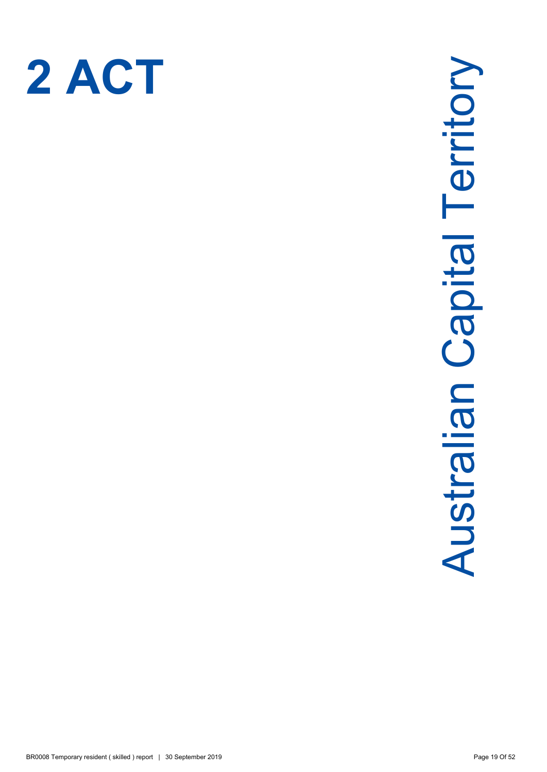

# Australian Capital Territory **Australian Capital Territory**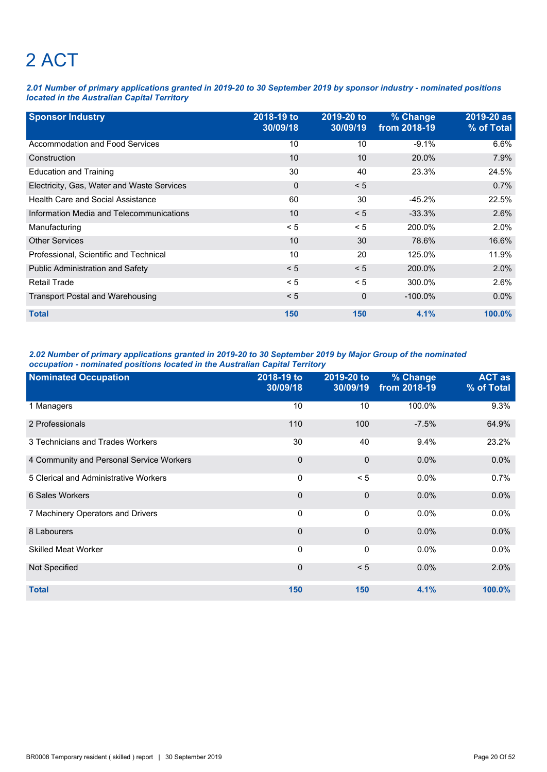# 2 ACT

*2.01 Number of primary applications granted in 2019-20 to 30 September 2019 by sponsor industry - nominated positions located in the Australian Capital Territory*

| <b>Sponsor Industry</b>                    | 2018-19 to<br>30/09/18 | 2019-20 to<br>30/09/19 | % Change<br>from 2018-19 | 2019-20 as<br>% of Total |
|--------------------------------------------|------------------------|------------------------|--------------------------|--------------------------|
| Accommodation and Food Services            | 10                     | 10                     | $-9.1%$                  | 6.6%                     |
| Construction                               | 10                     | 10                     | 20.0%                    | 7.9%                     |
| <b>Education and Training</b>              | 30                     | 40                     | 23.3%                    | 24.5%                    |
| Electricity, Gas, Water and Waste Services | 0                      | < 5                    |                          | 0.7%                     |
| <b>Health Care and Social Assistance</b>   | 60                     | 30                     | $-45.2%$                 | 22.5%                    |
| Information Media and Telecommunications   | 10                     | < 5                    | $-33.3%$                 | 2.6%                     |
| Manufacturing                              | < 5                    | < 5                    | 200.0%                   | 2.0%                     |
| <b>Other Services</b>                      | 10                     | 30                     | 78.6%                    | 16.6%                    |
| Professional, Scientific and Technical     | 10                     | 20                     | 125.0%                   | 11.9%                    |
| <b>Public Administration and Safety</b>    | < 5                    | < 5                    | 200.0%                   | 2.0%                     |
| <b>Retail Trade</b>                        | < 5                    | < 5                    | 300.0%                   | 2.6%                     |
| <b>Transport Postal and Warehousing</b>    | < 5                    | 0                      | $-100.0\%$               | $0.0\%$                  |
| <b>Total</b>                               | 150                    | 150                    | 4.1%                     | $100.0\%$                |

### *2.02 Number of primary applications granted in 2019-20 to 30 September 2019 by Major Group of the nominated occupation - nominated positions located in the Australian Capital Territory*

| <b>Nominated Occupation</b>              | 2018-19 to<br>30/09/18 | 2019-20 to<br>30/09/19 | % Change<br>from 2018-19 | <b>ACT as</b><br>% of Total |
|------------------------------------------|------------------------|------------------------|--------------------------|-----------------------------|
| 1 Managers                               | 10                     | 10                     | 100.0%                   | 9.3%                        |
| 2 Professionals                          | 110                    | 100                    | $-7.5%$                  | 64.9%                       |
| 3 Technicians and Trades Workers         | 30                     | 40                     | 9.4%                     | 23.2%                       |
| 4 Community and Personal Service Workers | $\mathbf 0$            | $\mathbf{0}$           | $0.0\%$                  | 0.0%                        |
| 5 Clerical and Administrative Workers    | 0                      | < 5                    | 0.0%                     | 0.7%                        |
| 6 Sales Workers                          | $\mathbf 0$            | $\mathbf{0}$           | $0.0\%$                  | 0.0%                        |
| 7 Machinery Operators and Drivers        | 0                      | 0                      | 0.0%                     | 0.0%                        |
| 8 Labourers                              | 0                      | $\mathbf{0}$           | 0.0%                     | 0.0%                        |
| <b>Skilled Meat Worker</b>               | 0                      | 0                      | 0.0%                     | $0.0\%$                     |
| Not Specified                            | $\mathbf 0$            | < 5                    | 0.0%                     | 2.0%                        |
| <b>Total</b>                             | 150                    | 150                    | 4.1%                     | 100.0%                      |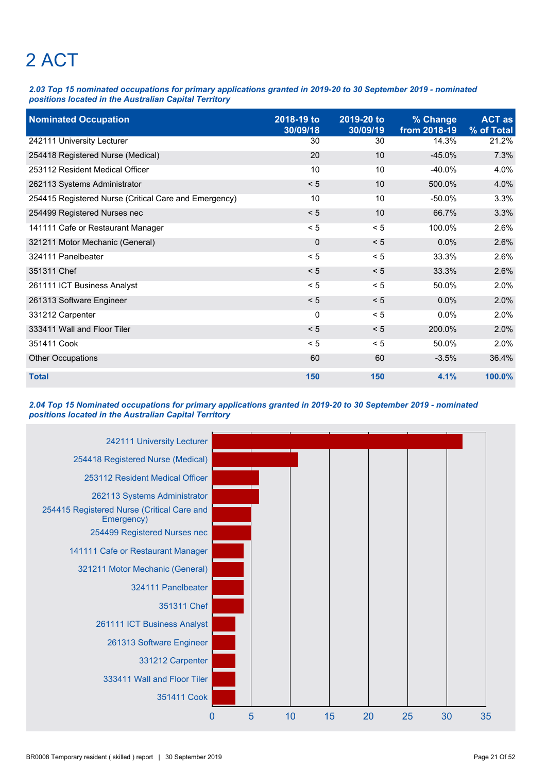# 2 ACT

*2.03 Top 15 nominated occupations for primary applications granted in 2019-20 to 30 September 2019 - nominated positions located in the Australian Capital Territory*

| <b>Nominated Occupation</b>                           | 2018-19 to<br>30/09/18 | 2019-20 to<br>30/09/19 | % Change<br>from 2018-19 | <b>ACT as</b><br>% of Total |
|-------------------------------------------------------|------------------------|------------------------|--------------------------|-----------------------------|
| 242111 University Lecturer                            | 30                     | 30                     | 14.3%                    | 21.2%                       |
| 254418 Registered Nurse (Medical)                     | 20                     | 10                     | $-45.0%$                 | 7.3%                        |
| 253112 Resident Medical Officer                       | 10                     | 10                     | $-40.0%$                 | 4.0%                        |
| 262113 Systems Administrator                          | < 5                    | 10                     | 500.0%                   | 4.0%                        |
| 254415 Registered Nurse (Critical Care and Emergency) | 10                     | 10                     | $-50.0%$                 | 3.3%                        |
| 254499 Registered Nurses nec                          | < 5                    | 10                     | 66.7%                    | 3.3%                        |
| 141111 Cafe or Restaurant Manager                     | < 5                    | < 5                    | 100.0%                   | 2.6%                        |
| 321211 Motor Mechanic (General)                       | $\overline{0}$         | < 5                    | 0.0%                     | 2.6%                        |
| 324111 Panelbeater                                    | < 5                    | < 5                    | 33.3%                    | 2.6%                        |
| 351311 Chef                                           | < 5                    | < 5                    | 33.3%                    | 2.6%                        |
| 261111 ICT Business Analyst                           | < 5                    | < 5                    | 50.0%                    | 2.0%                        |
| 261313 Software Engineer                              | < 5                    | < 5                    | 0.0%                     | 2.0%                        |
| 331212 Carpenter                                      | 0                      | < 5                    | $0.0\%$                  | 2.0%                        |
| 333411 Wall and Floor Tiler                           | < 5                    | < 5                    | 200.0%                   | 2.0%                        |
| 351411 Cook                                           | < 5                    | < 5                    | 50.0%                    | 2.0%                        |
| <b>Other Occupations</b>                              | 60                     | 60                     | $-3.5%$                  | 36.4%                       |
| <b>Total</b>                                          | 150                    | 150                    | 4.1%                     | 100.0%                      |

### *2.04 Top 15 Nominated occupations for primary applications granted in 2019-20 to 30 September 2019 - nominated positions located in the Australian Capital Territory*

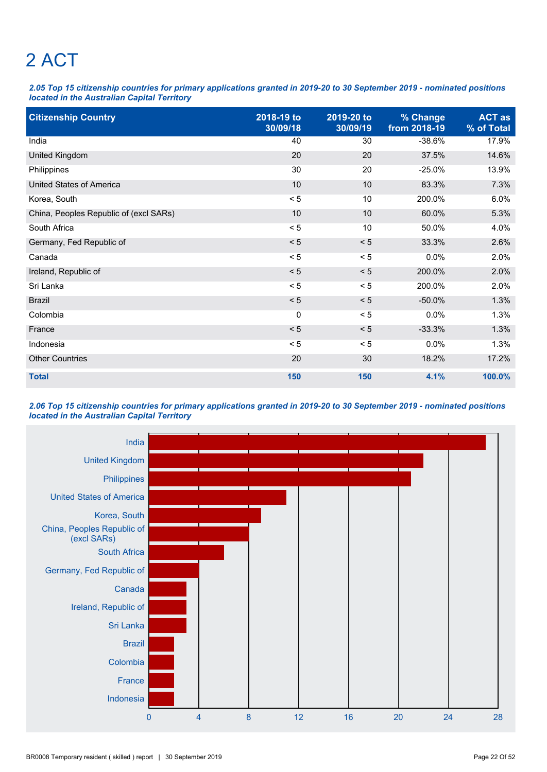# 2 ACT

*2.05 Top 15 citizenship countries for primary applications granted in 2019-20 to 30 September 2019 - nominated positions located in the Australian Capital Territory*

| <b>Citizenship Country</b>             | 2018-19 to<br>30/09/18 | 2019-20 to<br>30/09/19 | % Change<br>from 2018-19 | <b>ACT as</b><br>% of Total |
|----------------------------------------|------------------------|------------------------|--------------------------|-----------------------------|
| India                                  | 40                     | 30                     | $-38.6%$                 | 17.9%                       |
| United Kingdom                         | 20                     | 20                     | 37.5%                    | 14.6%                       |
| Philippines                            | 30                     | 20                     | $-25.0%$                 | 13.9%                       |
| <b>United States of America</b>        | 10                     | 10                     | 83.3%                    | 7.3%                        |
| Korea, South                           | < 5                    | 10                     | 200.0%                   | 6.0%                        |
| China, Peoples Republic of (excl SARs) | 10                     | 10                     | 60.0%                    | 5.3%                        |
| South Africa                           | < 5                    | 10                     | 50.0%                    | 4.0%                        |
| Germany, Fed Republic of               | < 5                    | < 5                    | 33.3%                    | 2.6%                        |
| Canada                                 | < 5                    | < 5                    | 0.0%                     | 2.0%                        |
| Ireland, Republic of                   | < 5                    | < 5                    | 200.0%                   | 2.0%                        |
| Sri Lanka                              | < 5                    | < 5                    | 200.0%                   | 2.0%                        |
| <b>Brazil</b>                          | < 5                    | < 5                    | $-50.0%$                 | 1.3%                        |
| Colombia                               | 0                      | < 5                    | 0.0%                     | 1.3%                        |
| France                                 | < 5                    | < 5                    | $-33.3%$                 | 1.3%                        |
| Indonesia                              | < 5                    | < 5                    | 0.0%                     | 1.3%                        |
| <b>Other Countries</b>                 | 20                     | 30                     | 18.2%                    | 17.2%                       |
| <b>Total</b>                           | 150                    | 150                    | 4.1%                     | 100.0%                      |

*2.06 Top 15 citizenship countries for primary applications granted in 2019-20 to 30 September 2019 - nominated positions located in the Australian Capital Territory*

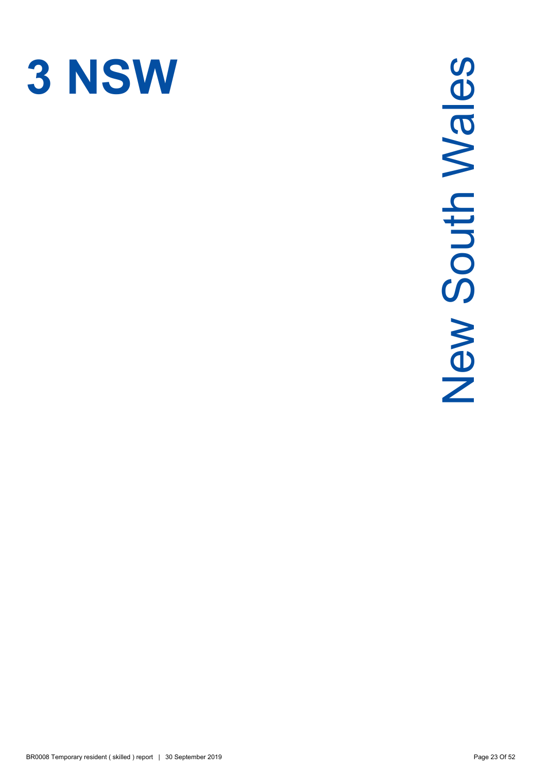

# New South Wales New South Wales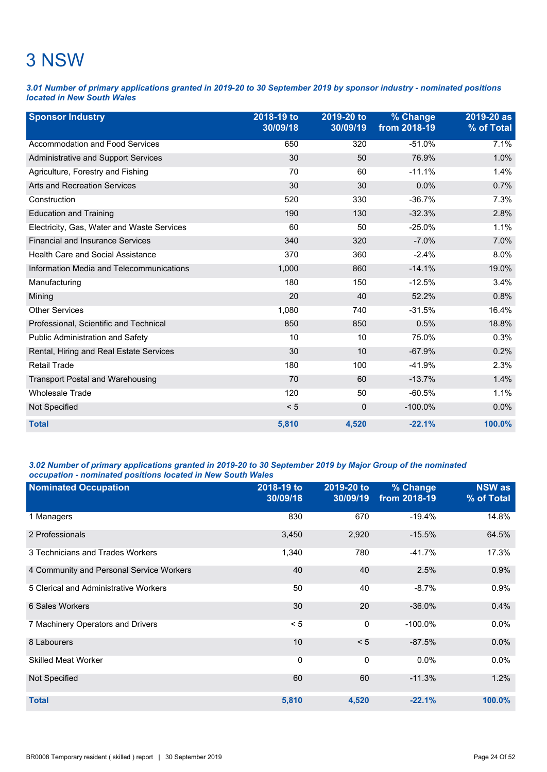### 3 NSW

*3.01 Number of primary applications granted in 2019-20 to 30 September 2019 by sponsor industry - nominated positions located in New South Wales*

| <b>Sponsor Industry</b>                    | 2018-19 to<br>30/09/18 | 2019-20 to<br>30/09/19 | % Change<br>from 2018-19 | 2019-20 as<br>% of Total |
|--------------------------------------------|------------------------|------------------------|--------------------------|--------------------------|
| Accommodation and Food Services            | 650                    | 320                    | $-51.0%$                 | 7.1%                     |
| Administrative and Support Services        | 30                     | 50                     | 76.9%                    | 1.0%                     |
| Agriculture, Forestry and Fishing          | 70                     | 60                     | $-11.1%$                 | 1.4%                     |
| <b>Arts and Recreation Services</b>        | 30                     | 30                     | 0.0%                     | 0.7%                     |
| Construction                               | 520                    | 330                    | $-36.7%$                 | 7.3%                     |
| <b>Education and Training</b>              | 190                    | 130                    | $-32.3%$                 | 2.8%                     |
| Electricity, Gas, Water and Waste Services | 60                     | 50                     | $-25.0%$                 | 1.1%                     |
| <b>Financial and Insurance Services</b>    | 340                    | 320                    | $-7.0%$                  | 7.0%                     |
| <b>Health Care and Social Assistance</b>   | 370                    | 360                    | $-2.4%$                  | 8.0%                     |
| Information Media and Telecommunications   | 1,000                  | 860                    | $-14.1%$                 | 19.0%                    |
| Manufacturing                              | 180                    | 150                    | $-12.5%$                 | 3.4%                     |
| Mining                                     | 20                     | 40                     | 52.2%                    | 0.8%                     |
| <b>Other Services</b>                      | 1,080                  | 740                    | $-31.5%$                 | 16.4%                    |
| Professional, Scientific and Technical     | 850                    | 850                    | 0.5%                     | 18.8%                    |
| <b>Public Administration and Safety</b>    | 10                     | 10                     | 75.0%                    | 0.3%                     |
| Rental, Hiring and Real Estate Services    | 30                     | 10                     | $-67.9%$                 | 0.2%                     |
| <b>Retail Trade</b>                        | 180                    | 100                    | $-41.9%$                 | 2.3%                     |
| <b>Transport Postal and Warehousing</b>    | 70                     | 60                     | $-13.7%$                 | 1.4%                     |
| <b>Wholesale Trade</b>                     | 120                    | 50                     | $-60.5%$                 | 1.1%                     |
| Not Specified                              | < 5                    | $\mathbf 0$            | $-100.0\%$               | 0.0%                     |
| <b>Total</b>                               | 5,810                  | 4,520                  | $-22.1%$                 | 100.0%                   |

### *3.02 Number of primary applications granted in 2019-20 to 30 September 2019 by Major Group of the nominated occupation - nominated positions located in New South Wales*

| <b>Nominated Occupation</b>              | 2018-19 to<br>30/09/18 | 2019-20 to<br>30/09/19 | % Change<br>from 2018-19 | <b>NSW as</b><br>% of Total |
|------------------------------------------|------------------------|------------------------|--------------------------|-----------------------------|
| 1 Managers                               | 830                    | 670                    | $-19.4%$                 | 14.8%                       |
| 2 Professionals                          | 3,450                  | 2,920                  | $-15.5%$                 | 64.5%                       |
| 3 Technicians and Trades Workers         | 1,340                  | 780                    | $-41.7%$                 | 17.3%                       |
| 4 Community and Personal Service Workers | 40                     | 40                     | 2.5%                     | 0.9%                        |
| 5 Clerical and Administrative Workers    | 50                     | 40                     | $-8.7%$                  | 0.9%                        |
| 6 Sales Workers                          | 30                     | 20                     | $-36.0%$                 | 0.4%                        |
| 7 Machinery Operators and Drivers        | < 5                    | 0                      | $-100.0\%$               | 0.0%                        |
| 8 Labourers                              | 10                     | < 5                    | $-87.5%$                 | 0.0%                        |
| <b>Skilled Meat Worker</b>               | $\mathbf 0$            | 0                      | 0.0%                     | $0.0\%$                     |
| Not Specified                            | 60                     | 60                     | $-11.3%$                 | 1.2%                        |
| <b>Total</b>                             | 5,810                  | 4,520                  | $-22.1%$                 | 100.0%                      |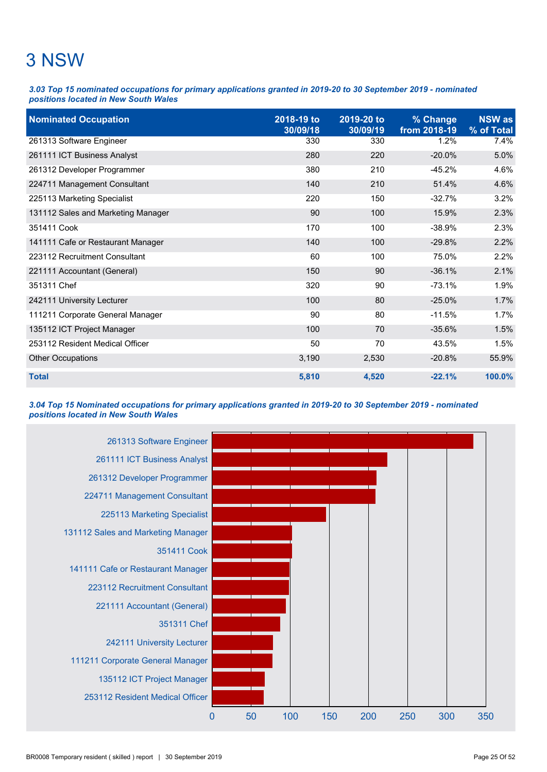## 3 NSW

*3.03 Top 15 nominated occupations for primary applications granted in 2019-20 to 30 September 2019 - nominated positions located in New South Wales*

| <b>Nominated Occupation</b>        | 2018-19 to<br>30/09/18 | 2019-20 to<br>30/09/19 | % Change<br>from 2018-19 | <b>NSW</b> as<br>% of Total |
|------------------------------------|------------------------|------------------------|--------------------------|-----------------------------|
| 261313 Software Engineer           | 330                    | 330                    | 1.2%                     | 7.4%                        |
| 261111 ICT Business Analyst        | 280                    | 220                    | $-20.0%$                 | 5.0%                        |
| 261312 Developer Programmer        | 380                    | 210                    | $-45.2%$                 | 4.6%                        |
| 224711 Management Consultant       | 140                    | 210                    | 51.4%                    | 4.6%                        |
| 225113 Marketing Specialist        | 220                    | 150                    | $-32.7%$                 | 3.2%                        |
| 131112 Sales and Marketing Manager | 90                     | 100                    | 15.9%                    | 2.3%                        |
| 351411 Cook                        | 170                    | 100                    | $-38.9%$                 | 2.3%                        |
| 141111 Cafe or Restaurant Manager  | 140                    | 100                    | $-29.8%$                 | 2.2%                        |
| 223112 Recruitment Consultant      | 60                     | 100                    | 75.0%                    | 2.2%                        |
| 221111 Accountant (General)        | 150                    | 90                     | $-36.1%$                 | 2.1%                        |
| 351311 Chef                        | 320                    | 90                     | $-73.1%$                 | 1.9%                        |
| 242111 University Lecturer         | 100                    | 80                     | $-25.0%$                 | 1.7%                        |
| 111211 Corporate General Manager   | 90                     | 80                     | $-11.5%$                 | 1.7%                        |
| 135112 ICT Project Manager         | 100                    | 70                     | $-35.6%$                 | 1.5%                        |
| 253112 Resident Medical Officer    | 50                     | 70                     | 43.5%                    | 1.5%                        |
| <b>Other Occupations</b>           | 3,190                  | 2,530                  | $-20.8%$                 | 55.9%                       |
| <b>Total</b>                       | 5,810                  | 4,520                  | $-22.1%$                 | 100.0%                      |

### *3.04 Top 15 Nominated occupations for primary applications granted in 2019-20 to 30 September 2019 - nominated positions located in New South Wales*

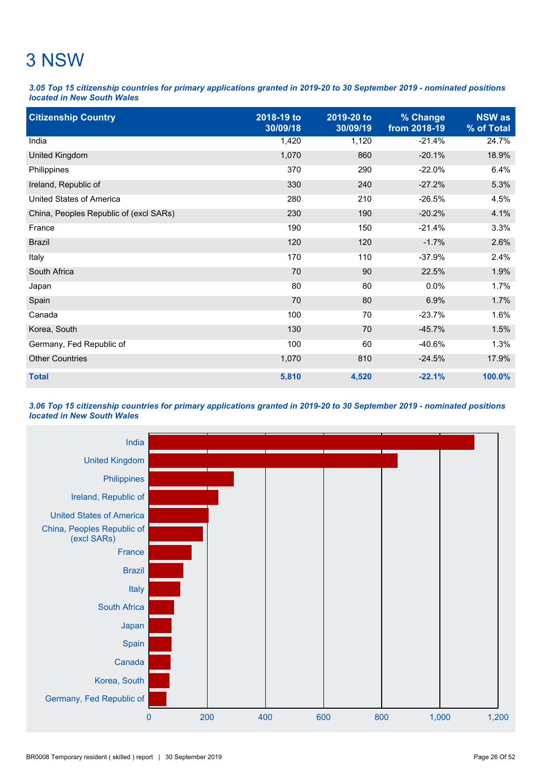### 3 NSW

*3.05 Top 15 citizenship countries for primary applications granted in 2019-20 to 30 September 2019 - nominated positions located in New South Wales*

| <b>Citizenship Country</b>             | 2018-19 to<br>30/09/18 | 2019-20 to<br>30/09/19 | % Change<br>from 2018-19 | <b>NSW</b> as<br>% of Total |
|----------------------------------------|------------------------|------------------------|--------------------------|-----------------------------|
| India                                  | 1,420                  | 1,120                  | $-21.4%$                 | 24.7%                       |
| United Kingdom                         | 1,070                  | 860                    | $-20.1%$                 | 18.9%                       |
| Philippines                            | 370                    | 290                    | $-22.0%$                 | 6.4%                        |
| Ireland, Republic of                   | 330                    | 240                    | $-27.2%$                 | 5.3%                        |
| <b>United States of America</b>        | 280                    | 210                    | $-26.5%$                 | 4.5%                        |
| China, Peoples Republic of (excl SARs) | 230                    | 190                    | $-20.2%$                 | 4.1%                        |
| France                                 | 190                    | 150                    | $-21.4%$                 | 3.3%                        |
| <b>Brazil</b>                          | 120                    | 120                    | $-1.7%$                  | 2.6%                        |
| Italy                                  | 170                    | 110                    | $-37.9%$                 | 2.4%                        |
| South Africa                           | 70                     | 90                     | 22.5%                    | 1.9%                        |
| Japan                                  | 80                     | 80                     | 0.0%                     | 1.7%                        |
| Spain                                  | 70                     | 80                     | 6.9%                     | 1.7%                        |
| Canada                                 | 100                    | 70                     | $-23.7%$                 | 1.6%                        |
| Korea, South                           | 130                    | 70                     | $-45.7%$                 | 1.5%                        |
| Germany, Fed Republic of               | 100                    | 60                     | $-40.6%$                 | 1.3%                        |
| <b>Other Countries</b>                 | 1,070                  | 810                    | $-24.5%$                 | 17.9%                       |
| <b>Total</b>                           | 5,810                  | 4,520                  | $-22.1%$                 | 100.0%                      |

*3.06 Top 15 citizenship countries for primary applications granted in 2019-20 to 30 September 2019 - nominated positions located in New South Wales*

![](_page_31_Figure_4.jpeg)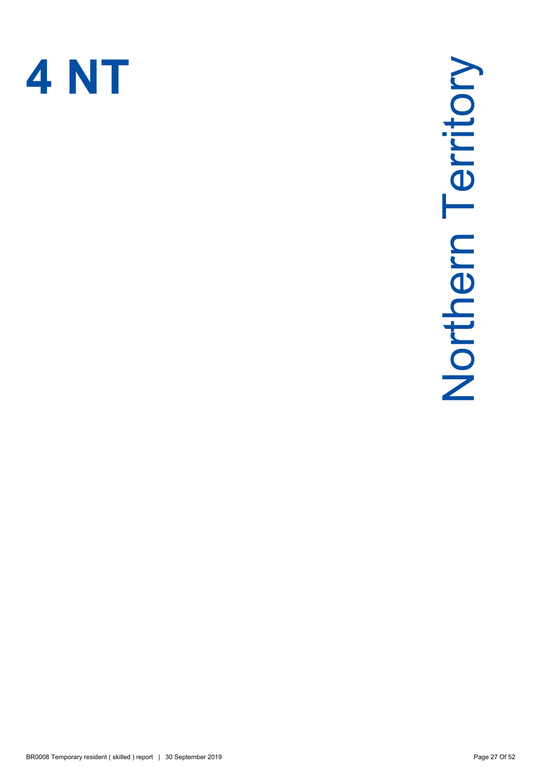![](_page_32_Picture_0.jpeg)

# Northern Territory Northern Territory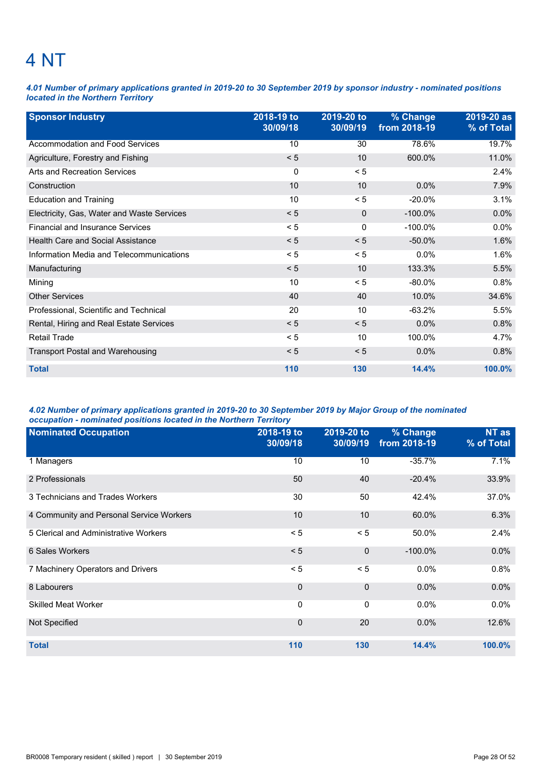### 4 NT

*4.01 Number of primary applications granted in 2019-20 to 30 September 2019 by sponsor industry - nominated positions located in the Northern Territory*

| <b>Sponsor Industry</b>                    | 2018-19 to<br>30/09/18 | 2019-20 to<br>30/09/19 | % Change<br>from 2018-19 | 2019-20 as<br>% of Total |
|--------------------------------------------|------------------------|------------------------|--------------------------|--------------------------|
| Accommodation and Food Services            | 10                     | 30                     | 78.6%                    | 19.7%                    |
| Agriculture, Forestry and Fishing          | < 5                    | 10                     | 600.0%                   | 11.0%                    |
| <b>Arts and Recreation Services</b>        | 0                      | < 5                    |                          | 2.4%                     |
| Construction                               | 10                     | 10                     | $0.0\%$                  | 7.9%                     |
| <b>Education and Training</b>              | 10                     | < 5                    | $-20.0%$                 | 3.1%                     |
| Electricity, Gas, Water and Waste Services | < 5                    | $\mathbf{0}$           | $-100.0\%$               | 0.0%                     |
| <b>Financial and Insurance Services</b>    | < 5                    | 0                      | $-100.0\%$               | $0.0\%$                  |
| <b>Health Care and Social Assistance</b>   | < 5                    | < 5                    | $-50.0\%$                | 1.6%                     |
| Information Media and Telecommunications   | < 5                    | < 5                    | $0.0\%$                  | 1.6%                     |
| Manufacturing                              | < 5                    | 10                     | 133.3%                   | 5.5%                     |
| Mining                                     | 10                     | < 5                    | $-80.0\%$                | 0.8%                     |
| <b>Other Services</b>                      | 40                     | 40                     | 10.0%                    | 34.6%                    |
| Professional, Scientific and Technical     | 20                     | 10                     | $-63.2%$                 | 5.5%                     |
| Rental, Hiring and Real Estate Services    | < 5                    | < 5                    | 0.0%                     | 0.8%                     |
| <b>Retail Trade</b>                        | < 5                    | 10                     | 100.0%                   | 4.7%                     |
| <b>Transport Postal and Warehousing</b>    | < 5                    | < 5                    | 0.0%                     | 0.8%                     |
| <b>Total</b>                               | 110                    | 130                    | 14.4%                    | 100.0%                   |

### *4.02 Number of primary applications granted in 2019-20 to 30 September 2019 by Major Group of the nominated occupation - nominated positions located in the Northern Territory*

| <b>Nominated Occupation</b>              | 2018-19 to<br>30/09/18 | 2019-20 to<br>30/09/19 | % Change<br>from 2018-19 | NT as<br>% of Total |
|------------------------------------------|------------------------|------------------------|--------------------------|---------------------|
| 1 Managers                               | 10                     | 10                     | $-35.7%$                 | 7.1%                |
| 2 Professionals                          | 50                     | 40                     | $-20.4%$                 | 33.9%               |
| 3 Technicians and Trades Workers         | 30                     | 50                     | 42.4%                    | 37.0%               |
| 4 Community and Personal Service Workers | 10                     | 10                     | 60.0%                    | 6.3%                |
| 5 Clerical and Administrative Workers    | < 5                    | < 5                    | 50.0%                    | 2.4%                |
| 6 Sales Workers                          | < 5                    | $\Omega$               | $-100.0\%$               | 0.0%                |
| 7 Machinery Operators and Drivers        | < 5                    | < 5                    | 0.0%                     | 0.8%                |
| 8 Labourers                              | $\mathbf{0}$           | $\Omega$               | 0.0%                     | 0.0%                |
| <b>Skilled Meat Worker</b>               | $\mathbf{0}$           | $\Omega$               | $0.0\%$                  | 0.0%                |
| Not Specified                            | $\mathbf{0}$           | 20                     | $0.0\%$                  | 12.6%               |
| <b>Total</b>                             | 110                    | 130                    | 14.4%                    | 100.0%              |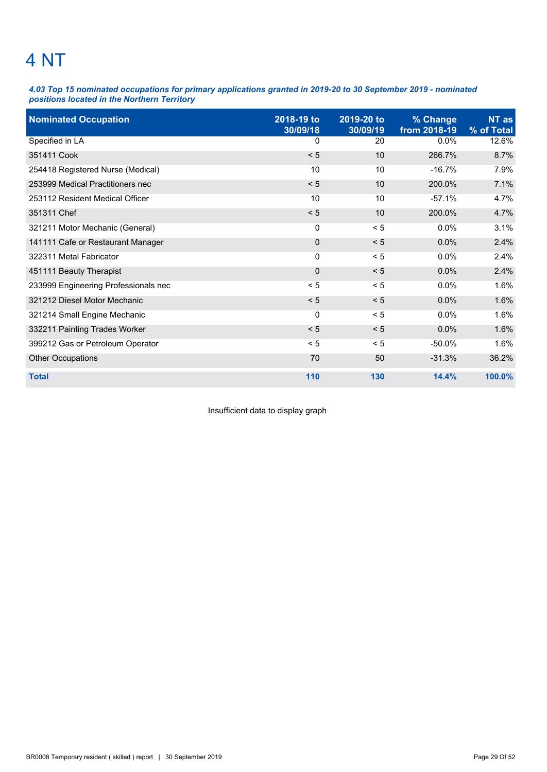### 4 NT

*4.03 Top 15 nominated occupations for primary applications granted in 2019-20 to 30 September 2019 - nominated positions located in the Northern Territory*

| <b>Nominated Occupation</b>          | 2018-19 to<br>30/09/18 | 2019-20 to<br>30/09/19 | % Change<br>from 2018-19 | NT as<br>% of Total |
|--------------------------------------|------------------------|------------------------|--------------------------|---------------------|
| Specified in LA                      | 0                      | 20                     | 0.0%                     | 12.6%               |
| 351411 Cook                          | < 5                    | 10                     | 266.7%                   | 8.7%                |
| 254418 Registered Nurse (Medical)    | 10                     | 10                     | $-16.7%$                 | 7.9%                |
| 253999 Medical Practitioners nec     | < 5                    | 10                     | 200.0%                   | 7.1%                |
| 253112 Resident Medical Officer      | 10                     | 10                     | $-57.1%$                 | 4.7%                |
| 351311 Chef                          | < 5                    | 10                     | 200.0%                   | 4.7%                |
| 321211 Motor Mechanic (General)      | 0                      | < 5                    | $0.0\%$                  | 3.1%                |
| 141111 Cafe or Restaurant Manager    | $\mathbf 0$            | < 5                    | 0.0%                     | 2.4%                |
| 322311 Metal Fabricator              | $\mathbf 0$            | < 5                    | $0.0\%$                  | 2.4%                |
| 451111 Beauty Therapist              | $\mathbf 0$            | < 5                    | 0.0%                     | 2.4%                |
| 233999 Engineering Professionals nec | < 5                    | < 5                    | 0.0%                     | 1.6%                |
| 321212 Diesel Motor Mechanic         | < 5                    | < 5                    | 0.0%                     | 1.6%                |
| 321214 Small Engine Mechanic         | 0                      | < 5                    | $0.0\%$                  | 1.6%                |
| 332211 Painting Trades Worker        | < 5                    | < 5                    | 0.0%                     | 1.6%                |
| 399212 Gas or Petroleum Operator     | < 5                    | $\leq 5$               | -50.0%                   | 1.6%                |
| <b>Other Occupations</b>             | 70                     | 50                     | $-31.3%$                 | 36.2%               |
| <b>Total</b>                         | 110                    | 130                    | 14.4%                    | 100.0%              |

Insufficient data to display graph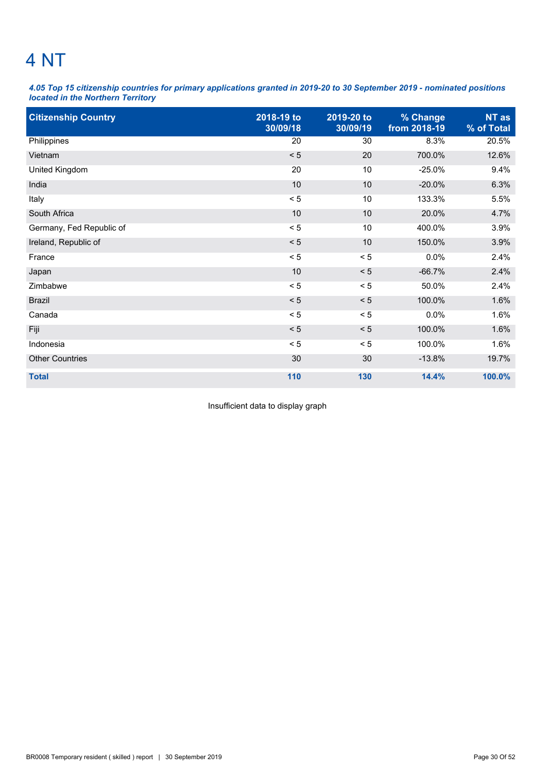### 4 NT

*4.05 Top 15 citizenship countries for primary applications granted in 2019-20 to 30 September 2019 - nominated positions located in the Northern Territory*

| <b>Citizenship Country</b> | 2018-19 to<br>30/09/18 | 2019-20 to<br>30/09/19 | % Change<br>from 2018-19 | NT as<br>% of Total |
|----------------------------|------------------------|------------------------|--------------------------|---------------------|
| Philippines                | 20                     | 30                     | 8.3%                     | 20.5%               |
| Vietnam                    | < 5                    | 20                     | 700.0%                   | 12.6%               |
| United Kingdom             | 20                     | 10                     | $-25.0%$                 | 9.4%                |
| India                      | 10                     | 10                     | $-20.0%$                 | 6.3%                |
| Italy                      | $< 5$                  | 10                     | 133.3%                   | 5.5%                |
| South Africa               | 10                     | 10                     | 20.0%                    | 4.7%                |
| Germany, Fed Republic of   | < 5                    | 10                     | 400.0%                   | 3.9%                |
| Ireland, Republic of       | < 5                    | 10                     | 150.0%                   | 3.9%                |
| France                     | < 5                    | < 5                    | 0.0%                     | 2.4%                |
| Japan                      | 10                     | < 5                    | $-66.7%$                 | 2.4%                |
| Zimbabwe                   | < 5                    | < 5                    | 50.0%                    | 2.4%                |
| <b>Brazil</b>              | < 5                    | < 5                    | 100.0%                   | 1.6%                |
| Canada                     | < 5                    | < 5                    | 0.0%                     | 1.6%                |
| Fiji                       | < 5                    | < 5                    | 100.0%                   | 1.6%                |
| Indonesia                  | < 5                    | < 5                    | 100.0%                   | 1.6%                |
| <b>Other Countries</b>     | 30                     | 30                     | $-13.8%$                 | 19.7%               |
| <b>Total</b>               | 110                    | 130                    | 14.4%                    | 100.0%              |

Insufficient data to display graph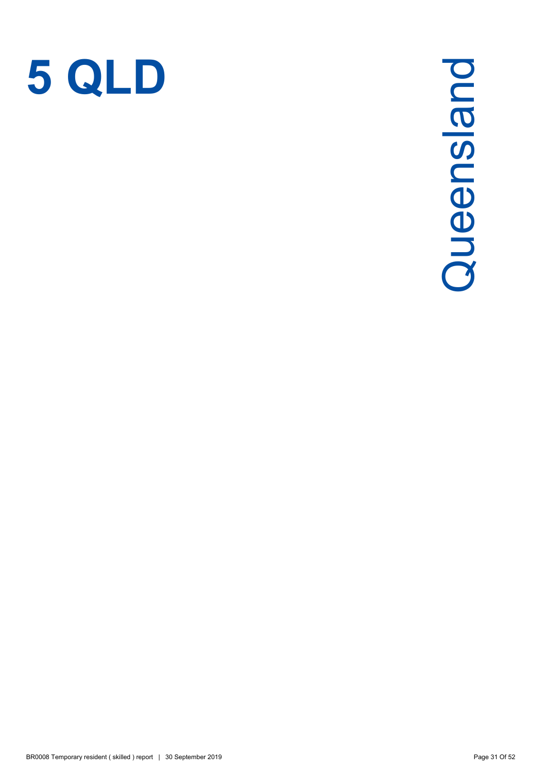![](_page_36_Picture_0.jpeg)

# Queensland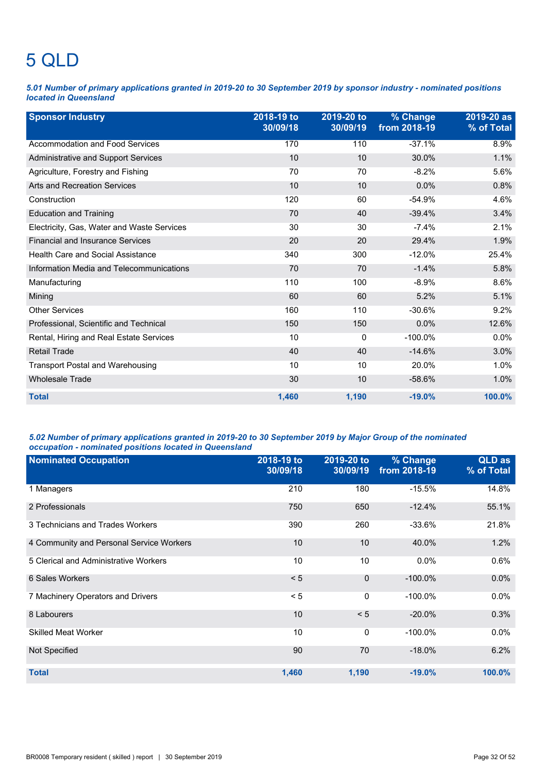# 5 QLD

*5.01 Number of primary applications granted in 2019-20 to 30 September 2019 by sponsor industry - nominated positions located in Queensland*

| <b>Sponsor Industry</b>                    | 2018-19 to<br>30/09/18 | 2019-20 to<br>30/09/19 | % Change<br>from 2018-19 | 2019-20 as<br>% of Total |
|--------------------------------------------|------------------------|------------------------|--------------------------|--------------------------|
| <b>Accommodation and Food Services</b>     | 170                    | 110                    | $-37.1%$                 | 8.9%                     |
| Administrative and Support Services        | 10                     | 10                     | 30.0%                    | 1.1%                     |
| Agriculture, Forestry and Fishing          | 70                     | 70                     | $-8.2%$                  | 5.6%                     |
| <b>Arts and Recreation Services</b>        | 10                     | 10                     | 0.0%                     | 0.8%                     |
| Construction                               | 120                    | 60                     | $-54.9%$                 | 4.6%                     |
| <b>Education and Training</b>              | 70                     | 40                     | $-39.4%$                 | 3.4%                     |
| Electricity, Gas, Water and Waste Services | 30                     | 30                     | $-7.4%$                  | 2.1%                     |
| <b>Financial and Insurance Services</b>    | 20                     | 20                     | 29.4%                    | 1.9%                     |
| Health Care and Social Assistance          | 340                    | 300                    | $-12.0%$                 | 25.4%                    |
| Information Media and Telecommunications   | 70                     | 70                     | $-1.4%$                  | 5.8%                     |
| Manufacturing                              | 110                    | 100                    | $-8.9%$                  | 8.6%                     |
| Mining                                     | 60                     | 60                     | 5.2%                     | 5.1%                     |
| <b>Other Services</b>                      | 160                    | 110                    | $-30.6%$                 | 9.2%                     |
| Professional, Scientific and Technical     | 150                    | 150                    | 0.0%                     | 12.6%                    |
| Rental, Hiring and Real Estate Services    | 10                     | $\Omega$               | $-100.0\%$               | 0.0%                     |
| <b>Retail Trade</b>                        | 40                     | 40                     | $-14.6%$                 | 3.0%                     |
| <b>Transport Postal and Warehousing</b>    | 10                     | 10                     | 20.0%                    | 1.0%                     |
| <b>Wholesale Trade</b>                     | 30                     | 10                     | $-58.6%$                 | 1.0%                     |
| <b>Total</b>                               | 1,460                  | 1,190                  | $-19.0%$                 | 100.0%                   |

### *5.02 Number of primary applications granted in 2019-20 to 30 September 2019 by Major Group of the nominated occupation - nominated positions located in Queensland*

| <b>Nominated Occupation</b>              | 2018-19 to<br>30/09/18 | 2019-20 to<br>30/09/19 | % Change<br>from 2018-19 | QLD as<br>% of Total |
|------------------------------------------|------------------------|------------------------|--------------------------|----------------------|
| 1 Managers                               | 210                    | 180                    | $-15.5%$                 | 14.8%                |
| 2 Professionals                          | 750                    | 650                    | $-12.4%$                 | 55.1%                |
| 3 Technicians and Trades Workers         | 390                    | 260                    | $-33.6%$                 | 21.8%                |
| 4 Community and Personal Service Workers | 10                     | 10                     | 40.0%                    | 1.2%                 |
| 5 Clerical and Administrative Workers    | 10                     | 10                     | 0.0%                     | 0.6%                 |
| 6 Sales Workers                          | < 5                    | $\Omega$               | $-100.0\%$               | 0.0%                 |
| 7 Machinery Operators and Drivers        | < 5                    | 0                      | $-100.0\%$               | $0.0\%$              |
| 8 Labourers                              | 10                     | < 5                    | $-20.0%$                 | 0.3%                 |
| <b>Skilled Meat Worker</b>               | 10                     | $\mathbf{0}$           | $-100.0\%$               | $0.0\%$              |
| Not Specified                            | 90                     | 70                     | $-18.0%$                 | 6.2%                 |
| <b>Total</b>                             | 1,460                  | 1,190                  | $-19.0%$                 | 100.0%               |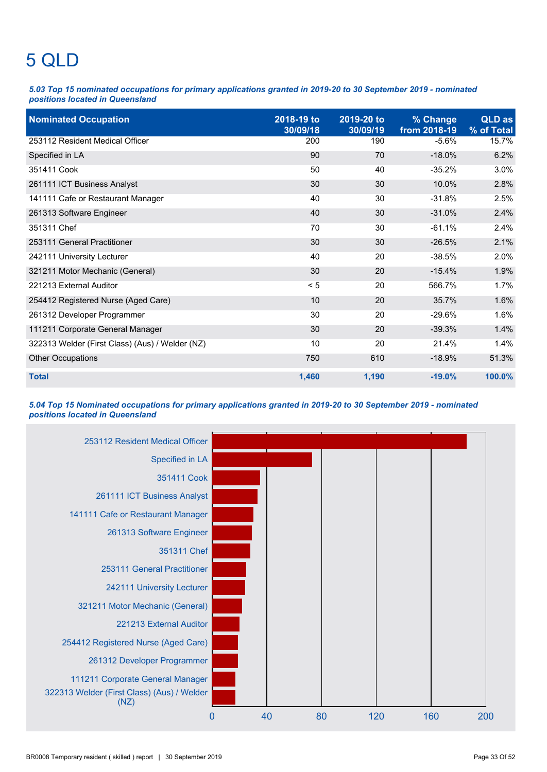# 5 QLD

*5.03 Top 15 nominated occupations for primary applications granted in 2019-20 to 30 September 2019 - nominated positions located in Queensland*

| <b>Nominated Occupation</b>                     | 2018-19 to<br>30/09/18 | 2019-20 to<br>30/09/19 | % Change<br>from 2018-19 | <b>QLD</b> as<br>% of Total |
|-------------------------------------------------|------------------------|------------------------|--------------------------|-----------------------------|
| 253112 Resident Medical Officer                 | 200                    | 190                    | $-5.6%$                  | 15.7%                       |
| Specified in LA                                 | 90                     | 70                     | $-18.0%$                 | 6.2%                        |
| 351411 Cook                                     | 50                     | 40                     | $-35.2%$                 | 3.0%                        |
| 261111 ICT Business Analyst                     | 30                     | 30                     | 10.0%                    | 2.8%                        |
| 141111 Cafe or Restaurant Manager               | 40                     | 30                     | $-31.8%$                 | 2.5%                        |
| 261313 Software Engineer                        | 40                     | 30                     | $-31.0%$                 | 2.4%                        |
| 351311 Chef                                     | 70                     | 30                     | $-61.1%$                 | 2.4%                        |
| 253111 General Practitioner                     | 30                     | 30                     | $-26.5%$                 | 2.1%                        |
| 242111 University Lecturer                      | 40                     | 20                     | $-38.5%$                 | 2.0%                        |
| 321211 Motor Mechanic (General)                 | 30                     | 20                     | $-15.4%$                 | 1.9%                        |
| 221213 External Auditor                         | < 5                    | 20                     | 566.7%                   | 1.7%                        |
| 254412 Registered Nurse (Aged Care)             | 10                     | 20                     | 35.7%                    | 1.6%                        |
| 261312 Developer Programmer                     | 30                     | 20                     | $-29.6%$                 | 1.6%                        |
| 111211 Corporate General Manager                | 30                     | 20                     | $-39.3%$                 | 1.4%                        |
| 322313 Welder (First Class) (Aus) / Welder (NZ) | 10                     | 20                     | 21.4%                    | 1.4%                        |
| <b>Other Occupations</b>                        | 750                    | 610                    | $-18.9%$                 | 51.3%                       |
| <b>Total</b>                                    | 1,460                  | 1,190                  | $-19.0%$                 | 100.0%                      |

*5.04 Top 15 Nominated occupations for primary applications granted in 2019-20 to 30 September 2019 - nominated positions located in Queensland*

![](_page_38_Figure_4.jpeg)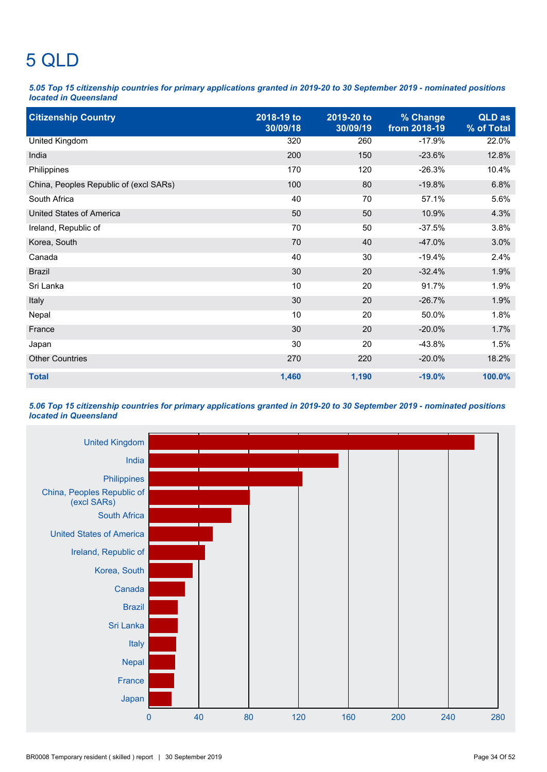# 5 QLD

*5.05 Top 15 citizenship countries for primary applications granted in 2019-20 to 30 September 2019 - nominated positions located in Queensland*

| <b>Citizenship Country</b>             | 2018-19 to<br>30/09/18 | 2019-20 to<br>30/09/19 | % Change<br>from 2018-19 | QLD as<br>% of Total |
|----------------------------------------|------------------------|------------------------|--------------------------|----------------------|
| United Kingdom                         | 320                    | 260                    | $-17.9%$                 | 22.0%                |
| India                                  | 200                    | 150                    | $-23.6%$                 | 12.8%                |
| Philippines                            | 170                    | 120                    | $-26.3%$                 | 10.4%                |
| China, Peoples Republic of (excl SARs) | 100                    | 80                     | $-19.8%$                 | 6.8%                 |
| South Africa                           | 40                     | 70                     | 57.1%                    | 5.6%                 |
| United States of America               | 50                     | 50                     | 10.9%                    | 4.3%                 |
| Ireland, Republic of                   | 70                     | 50                     | $-37.5%$                 | 3.8%                 |
| Korea, South                           | 70                     | 40                     | $-47.0%$                 | 3.0%                 |
| Canada                                 | 40                     | 30                     | $-19.4%$                 | 2.4%                 |
| <b>Brazil</b>                          | 30                     | 20                     | $-32.4%$                 | 1.9%                 |
| Sri Lanka                              | 10                     | 20                     | 91.7%                    | 1.9%                 |
| Italy                                  | 30                     | 20                     | $-26.7%$                 | 1.9%                 |
| Nepal                                  | 10                     | 20                     | 50.0%                    | 1.8%                 |
| France                                 | 30                     | 20                     | $-20.0%$                 | 1.7%                 |
| Japan                                  | 30                     | 20                     | $-43.8%$                 | 1.5%                 |
| <b>Other Countries</b>                 | 270                    | 220                    | $-20.0%$                 | 18.2%                |
| <b>Total</b>                           | 1,460                  | 1,190                  | $-19.0%$                 | 100.0%               |

### *5.06 Top 15 citizenship countries for primary applications granted in 2019-20 to 30 September 2019 - nominated positions located in Queensland*

![](_page_39_Figure_4.jpeg)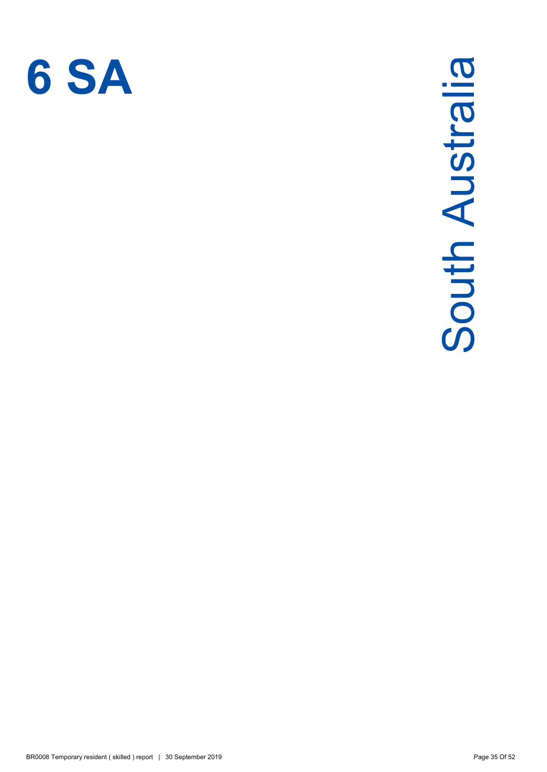![](_page_40_Picture_0.jpeg)

# South Australia South Australia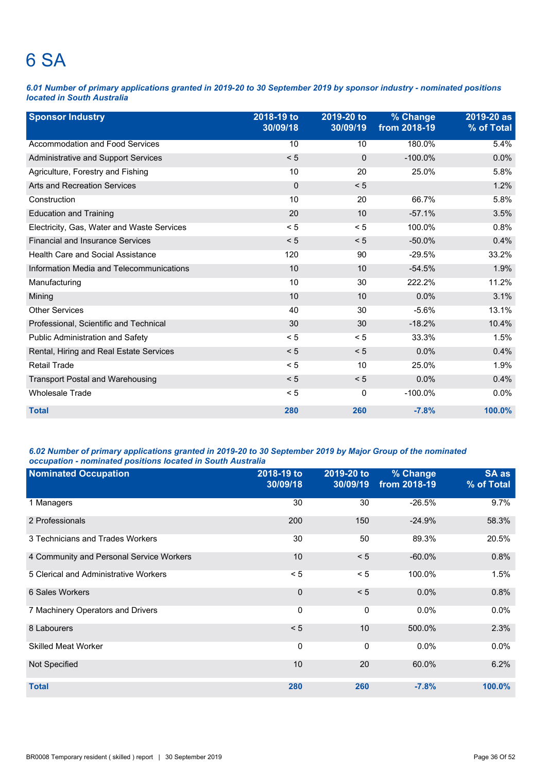### 6 SA

*6.01 Number of primary applications granted in 2019-20 to 30 September 2019 by sponsor industry - nominated positions located in South Australia*

| <b>Sponsor Industry</b>                    | 2018-19 to<br>30/09/18 | 2019-20 to<br>30/09/19 | % Change<br>from 2018-19 | 2019-20 as<br>% of Total |
|--------------------------------------------|------------------------|------------------------|--------------------------|--------------------------|
| Accommodation and Food Services            | 10                     | 10                     | 180.0%                   | 5.4%                     |
| <b>Administrative and Support Services</b> | < 5                    | $\Omega$               | $-100.0\%$               | 0.0%                     |
| Agriculture, Forestry and Fishing          | 10                     | 20                     | 25.0%                    | 5.8%                     |
| <b>Arts and Recreation Services</b>        | $\mathbf 0$            | < 5                    |                          | 1.2%                     |
| Construction                               | 10                     | 20                     | 66.7%                    | 5.8%                     |
| <b>Education and Training</b>              | 20                     | 10                     | $-57.1%$                 | 3.5%                     |
| Electricity, Gas, Water and Waste Services | < 5                    | < 5                    | 100.0%                   | 0.8%                     |
| <b>Financial and Insurance Services</b>    | < 5                    | < 5                    | $-50.0%$                 | 0.4%                     |
| <b>Health Care and Social Assistance</b>   | 120                    | 90                     | $-29.5%$                 | 33.2%                    |
| Information Media and Telecommunications   | 10                     | 10                     | $-54.5%$                 | 1.9%                     |
| Manufacturing                              | 10                     | 30                     | 222.2%                   | 11.2%                    |
| Mining                                     | 10                     | 10                     | 0.0%                     | 3.1%                     |
| <b>Other Services</b>                      | 40                     | 30                     | $-5.6%$                  | 13.1%                    |
| Professional, Scientific and Technical     | 30                     | 30                     | $-18.2%$                 | 10.4%                    |
| Public Administration and Safety           | < 5                    | < 5                    | 33.3%                    | 1.5%                     |
| Rental, Hiring and Real Estate Services    | < 5                    | < 5                    | 0.0%                     | 0.4%                     |
| <b>Retail Trade</b>                        | < 5                    | 10                     | 25.0%                    | 1.9%                     |
| <b>Transport Postal and Warehousing</b>    | < 5                    | < 5                    | 0.0%                     | 0.4%                     |
| <b>Wholesale Trade</b>                     | < 5                    | 0                      | $-100.0\%$               | 0.0%                     |
| <b>Total</b>                               | 280                    | 260                    | $-7.8%$                  | 100.0%                   |

### *6.02 Number of primary applications granted in 2019-20 to 30 September 2019 by Major Group of the nominated occupation - nominated positions located in South Australia*

| <b>Nominated Occupation</b>              | 2018-19 to<br>30/09/18 | 2019-20 to<br>30/09/19 | % Change<br>from 2018-19 | SA as<br>% of Total |
|------------------------------------------|------------------------|------------------------|--------------------------|---------------------|
| 1 Managers                               | 30                     | 30                     | $-26.5%$                 | 9.7%                |
| 2 Professionals                          | 200                    | 150                    | $-24.9%$                 | 58.3%               |
| 3 Technicians and Trades Workers         | 30                     | 50                     | 89.3%                    | 20.5%               |
| 4 Community and Personal Service Workers | 10                     | < 5                    | $-60.0\%$                | 0.8%                |
| 5 Clerical and Administrative Workers    | < 5                    | < 5                    | 100.0%                   | 1.5%                |
| 6 Sales Workers                          | $\Omega$               | < 5                    | 0.0%                     | 0.8%                |
| 7 Machinery Operators and Drivers        | 0                      | 0                      | 0.0%                     | $0.0\%$             |
| 8 Labourers                              | < 5                    | 10                     | 500.0%                   | 2.3%                |
| <b>Skilled Meat Worker</b>               | $\mathbf{0}$           | $\mathbf 0$            | $0.0\%$                  | 0.0%                |
| Not Specified                            | 10                     | 20                     | 60.0%                    | 6.2%                |
| <b>Total</b>                             | 280                    | 260                    | $-7.8%$                  | 100.0%              |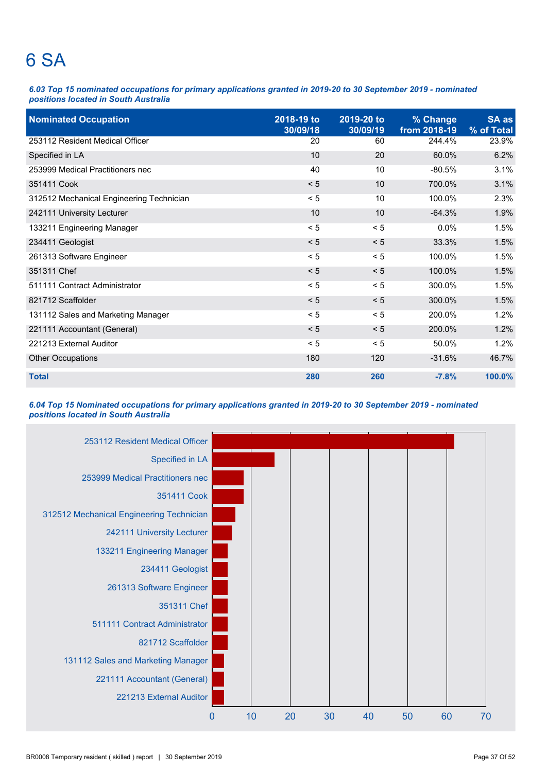### 6 SA

*6.03 Top 15 nominated occupations for primary applications granted in 2019-20 to 30 September 2019 - nominated positions located in South Australia*

| <b>Nominated Occupation</b>              | 2018-19 to<br>30/09/18 | 2019-20 to<br>30/09/19 | % Change<br>from 2018-19 | SA as<br>% of Total |
|------------------------------------------|------------------------|------------------------|--------------------------|---------------------|
| 253112 Resident Medical Officer          | 20                     | 60                     | 244.4%                   | 23.9%               |
| Specified in LA                          | 10                     | 20                     | 60.0%                    | 6.2%                |
| 253999 Medical Practitioners nec         | 40                     | 10                     | $-80.5%$                 | 3.1%                |
| 351411 Cook                              | < 5                    | 10                     | 700.0%                   | 3.1%                |
| 312512 Mechanical Engineering Technician | < 5                    | 10                     | 100.0%                   | 2.3%                |
| 242111 University Lecturer               | 10                     | 10                     | $-64.3%$                 | 1.9%                |
| 133211 Engineering Manager               | < 5                    | < 5                    | 0.0%                     | 1.5%                |
| 234411 Geologist                         | < 5                    | < 5                    | 33.3%                    | 1.5%                |
| 261313 Software Engineer                 | < 5                    | < 5                    | 100.0%                   | 1.5%                |
| 351311 Chef                              | < 5                    | < 5                    | 100.0%                   | 1.5%                |
| 511111 Contract Administrator            | < 5                    | < 5                    | 300.0%                   | 1.5%                |
| 821712 Scaffolder                        | < 5                    | < 5                    | 300.0%                   | 1.5%                |
| 131112 Sales and Marketing Manager       | < 5                    | < 5                    | 200.0%                   | 1.2%                |
| 221111 Accountant (General)              | < 5                    | < 5                    | 200.0%                   | 1.2%                |
| 221213 External Auditor                  | < 5                    | < 5                    | 50.0%                    | 1.2%                |
| <b>Other Occupations</b>                 | 180                    | 120                    | $-31.6%$                 | 46.7%               |
| <b>Total</b>                             | 280                    | 260                    | $-7.8%$                  | 100.0%              |

### *6.04 Top 15 Nominated occupations for primary applications granted in 2019-20 to 30 September 2019 - nominated positions located in South Australia*

![](_page_42_Figure_4.jpeg)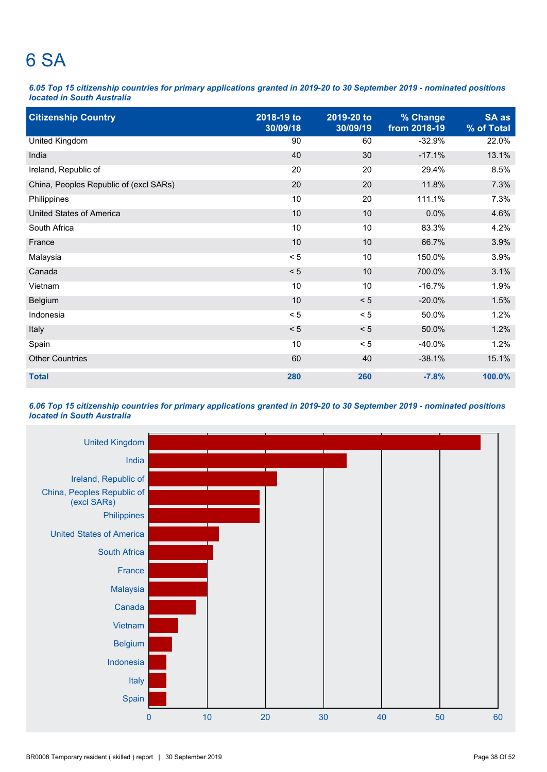### 6 SA

*6.05 Top 15 citizenship countries for primary applications granted in 2019-20 to 30 September 2019 - nominated positions located in South Australia*

| <b>Citizenship Country</b>             | 2018-19 to<br>30/09/18 | 2019-20 to<br>30/09/19 | % Change<br>from 2018-19 | SA as<br>% of Total |
|----------------------------------------|------------------------|------------------------|--------------------------|---------------------|
| <b>United Kingdom</b>                  | 90                     | 60                     | $-32.9%$                 | 22.0%               |
| India                                  | 40                     | 30                     | $-17.1%$                 | 13.1%               |
| Ireland, Republic of                   | 20                     | 20                     | 29.4%                    | 8.5%                |
| China, Peoples Republic of (excl SARs) | 20                     | 20                     | 11.8%                    | 7.3%                |
| Philippines                            | 10                     | 20                     | 111.1%                   | 7.3%                |
| <b>United States of America</b>        | 10                     | 10                     | 0.0%                     | 4.6%                |
| South Africa                           | 10                     | 10                     | 83.3%                    | 4.2%                |
| France                                 | 10                     | 10                     | 66.7%                    | 3.9%                |
| Malaysia                               | < 5                    | 10                     | 150.0%                   | 3.9%                |
| Canada                                 | < 5                    | 10                     | 700.0%                   | 3.1%                |
| Vietnam                                | 10                     | 10                     | $-16.7%$                 | 1.9%                |
| Belgium                                | 10                     | < 5                    | $-20.0%$                 | 1.5%                |
| Indonesia                              | < 5                    | < 5                    | 50.0%                    | 1.2%                |
| Italy                                  | < 5                    | < 5                    | 50.0%                    | 1.2%                |
| Spain                                  | 10                     | < 5                    | $-40.0%$                 | 1.2%                |
| <b>Other Countries</b>                 | 60                     | 40                     | $-38.1%$                 | 15.1%               |
| <b>Total</b>                           | 280                    | 260                    | $-7.8%$                  | 100.0%              |

### *6.06 Top 15 citizenship countries for primary applications granted in 2019-20 to 30 September 2019 - nominated positions located in South Australia*

![](_page_43_Figure_4.jpeg)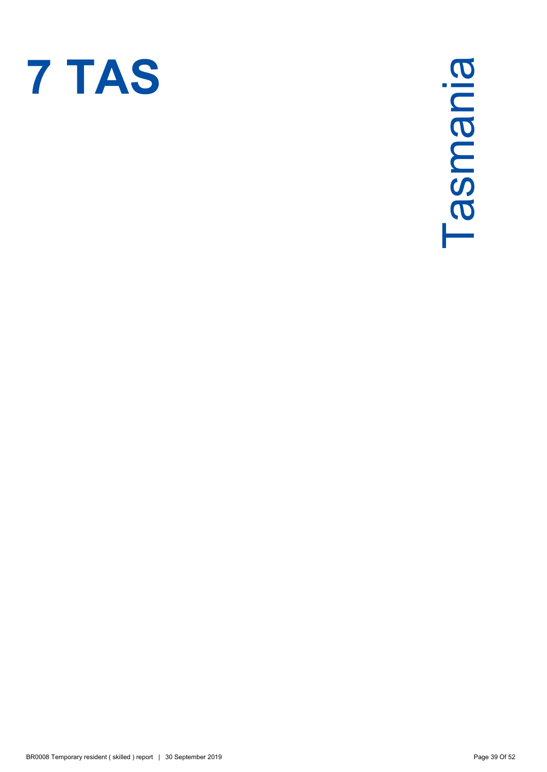![](_page_44_Picture_0.jpeg)

Tasmania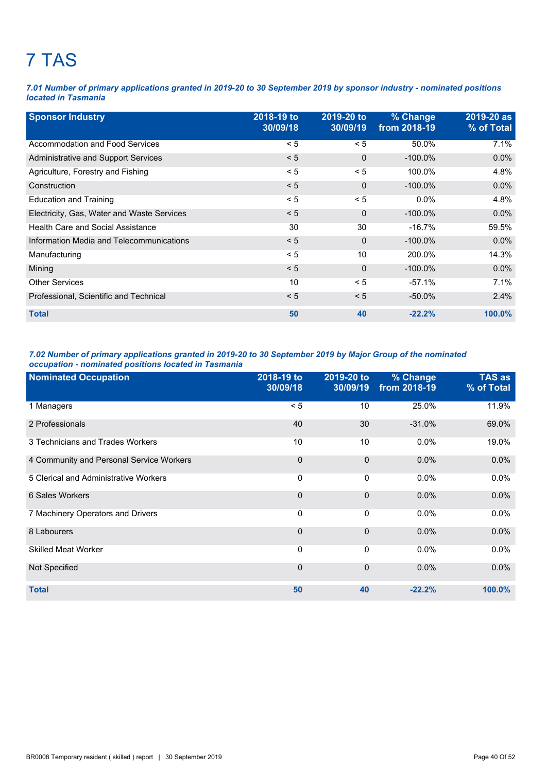# 7 TAS

*7.01 Number of primary applications granted in 2019-20 to 30 September 2019 by sponsor industry - nominated positions located in Tasmania*

| <b>Sponsor Industry</b>                    | 2018-19 to<br>30/09/18 | 2019-20 to<br>30/09/19 | % Change<br>from 2018-19 | 2019-20 as<br>% of Total |
|--------------------------------------------|------------------------|------------------------|--------------------------|--------------------------|
| Accommodation and Food Services            | < 5                    | < 5                    | 50.0%                    | 7.1%                     |
| Administrative and Support Services        | < 5                    | $\Omega$               | $-100.0\%$               | $0.0\%$                  |
| Agriculture, Forestry and Fishing          | < 5                    | < 5                    | 100.0%                   | 4.8%                     |
| Construction                               | < 5                    | $\Omega$               | $-100.0\%$               | $0.0\%$                  |
| <b>Education and Training</b>              | < 5                    | < 5                    | $0.0\%$                  | 4.8%                     |
| Electricity, Gas, Water and Waste Services | < 5                    | $\mathbf 0$            | $-100.0\%$               | $0.0\%$                  |
| <b>Health Care and Social Assistance</b>   | 30                     | 30                     | $-16.7\%$                | 59.5%                    |
| Information Media and Telecommunications   | < 5                    | $\Omega$               | $-100.0\%$               | $0.0\%$                  |
| Manufacturing                              | < 5                    | 10                     | 200.0%                   | 14.3%                    |
| Mining                                     | < 5                    | $\Omega$               | $-100.0\%$               | $0.0\%$                  |
| <b>Other Services</b>                      | 10                     | < 5                    | $-57.1%$                 | 7.1%                     |
| Professional, Scientific and Technical     | < 5                    | < 5                    | $-50.0\%$                | 2.4%                     |
| <b>Total</b>                               | 50                     | 40                     | $-22.2%$                 | $100.0\%$                |

### *7.02 Number of primary applications granted in 2019-20 to 30 September 2019 by Major Group of the nominated occupation - nominated positions located in Tasmania*

| <b>Nominated Occupation</b>              | 2018-19 to<br>30/09/18 | 2019-20 to<br>30/09/19 | % Change<br>from 2018-19 | <b>TAS as</b><br>% of Total |
|------------------------------------------|------------------------|------------------------|--------------------------|-----------------------------|
| 1 Managers                               | < 5                    | 10                     | 25.0%                    | 11.9%                       |
| 2 Professionals                          | 40                     | 30                     | $-31.0%$                 | 69.0%                       |
| 3 Technicians and Trades Workers         | 10                     | 10                     | $0.0\%$                  | 19.0%                       |
| 4 Community and Personal Service Workers | $\mathbf 0$            | $\mathbf 0$            | 0.0%                     | 0.0%                        |
| 5 Clerical and Administrative Workers    | $\Omega$               | 0                      | 0.0%                     | 0.0%                        |
| 6 Sales Workers                          | $\mathbf 0$            | $\mathbf 0$            | 0.0%                     | 0.0%                        |
| 7 Machinery Operators and Drivers        | 0                      | 0                      | 0.0%                     | 0.0%                        |
| 8 Labourers                              | $\mathbf 0$            | 0                      | 0.0%                     | 0.0%                        |
| <b>Skilled Meat Worker</b>               | $\Omega$               | 0                      | $0.0\%$                  | $0.0\%$                     |
| Not Specified                            | $\Omega$               | $\mathbf 0$            | 0.0%                     | 0.0%                        |
| <b>Total</b>                             | 50                     | 40                     | $-22.2%$                 | 100.0%                      |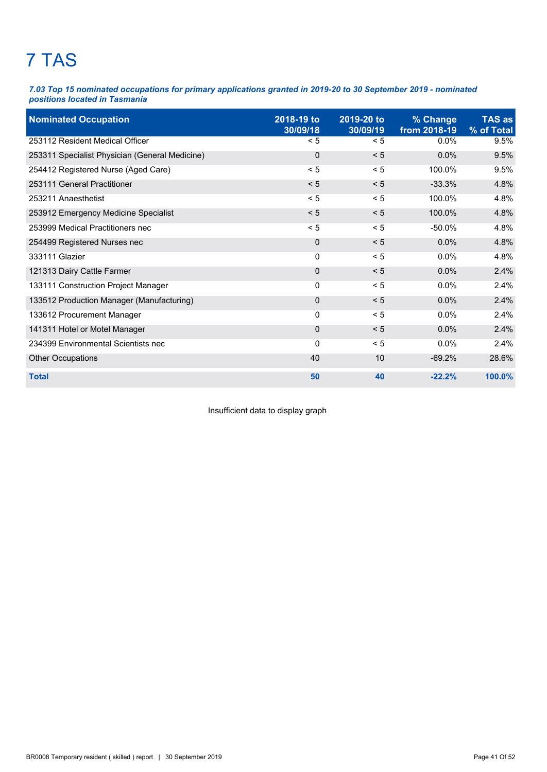# 7 TAS

*7.03 Top 15 nominated occupations for primary applications granted in 2019-20 to 30 September 2019 - nominated positions located in Tasmania*

| <b>Nominated Occupation</b>                    | 2018-19 to<br>30/09/18 | 2019-20 to<br>30/09/19 | % Change<br>from 2018-19 | <b>TAS as</b><br>% of Total |
|------------------------------------------------|------------------------|------------------------|--------------------------|-----------------------------|
| 253112 Resident Medical Officer                | < 5                    | < 5                    | 0.0%                     | 9.5%                        |
| 253311 Specialist Physician (General Medicine) | $\mathbf 0$            | < 5                    | 0.0%                     | 9.5%                        |
| 254412 Registered Nurse (Aged Care)            | < 5                    | < 5                    | 100.0%                   | 9.5%                        |
| 253111 General Practitioner                    | < 5                    | < 5                    | $-33.3%$                 | 4.8%                        |
| 253211 Anaesthetist                            | < 5                    | < 5                    | 100.0%                   | 4.8%                        |
| 253912 Emergency Medicine Specialist           | < 5                    | < 5                    | 100.0%                   | 4.8%                        |
| 253999 Medical Practitioners nec               | < 5                    | < 5                    | $-50.0\%$                | 4.8%                        |
| 254499 Registered Nurses nec                   | 0                      | < 5                    | 0.0%                     | 4.8%                        |
| 333111 Glazier                                 | $\mathbf 0$            | < 5                    | $0.0\%$                  | 4.8%                        |
| 121313 Dairy Cattle Farmer                     | $\mathbf 0$            | < 5                    | 0.0%                     | 2.4%                        |
| 133111 Construction Project Manager            | 0                      | < 5                    | $0.0\%$                  | 2.4%                        |
| 133512 Production Manager (Manufacturing)      | 0                      | < 5                    | 0.0%                     | 2.4%                        |
| 133612 Procurement Manager                     | 0                      | < 5                    | $0.0\%$                  | 2.4%                        |
| 141311 Hotel or Motel Manager                  | 0                      | < 5                    | 0.0%                     | 2.4%                        |
| 234399 Environmental Scientists nec            | 0                      | < 5                    | 0.0%                     | 2.4%                        |
| <b>Other Occupations</b>                       | 40                     | 10                     | $-69.2%$                 | 28.6%                       |
| <b>Total</b>                                   | 50                     | 40                     | $-22.2%$                 | 100.0%                      |

Insufficient data to display graph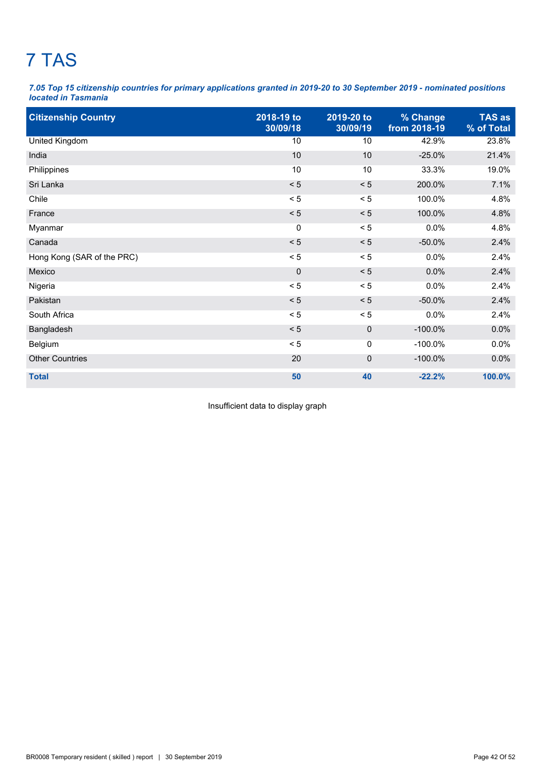# 7 TAS

*7.05 Top 15 citizenship countries for primary applications granted in 2019-20 to 30 September 2019 - nominated positions located in Tasmania*

| <b>Citizenship Country</b> | 2018-19 to<br>30/09/18 | 2019-20 to<br>30/09/19 | % Change<br>from 2018-19 | <b>TAS as</b><br>% of Total |
|----------------------------|------------------------|------------------------|--------------------------|-----------------------------|
| <b>United Kingdom</b>      | 10                     | 10                     | 42.9%                    | 23.8%                       |
| India                      | 10                     | 10                     | $-25.0%$                 | 21.4%                       |
| Philippines                | 10                     | 10                     | 33.3%                    | 19.0%                       |
| Sri Lanka                  | < 5                    | < 5                    | 200.0%                   | 7.1%                        |
| Chile                      | < 5                    | < 5                    | 100.0%                   | 4.8%                        |
| France                     | < 5                    | < 5                    | 100.0%                   | 4.8%                        |
| Myanmar                    | 0                      | < 5                    | 0.0%                     | 4.8%                        |
| Canada                     | < 5                    | < 5                    | $-50.0%$                 | 2.4%                        |
| Hong Kong (SAR of the PRC) | < 5                    | < 5                    | 0.0%                     | 2.4%                        |
| Mexico                     | $\mathbf 0$            | < 5                    | 0.0%                     | 2.4%                        |
| Nigeria                    | < 5                    | < 5                    | 0.0%                     | 2.4%                        |
| Pakistan                   | < 5                    | < 5                    | $-50.0%$                 | 2.4%                        |
| South Africa               | < 5                    | < 5                    | 0.0%                     | 2.4%                        |
| Bangladesh                 | < 5                    | $\mathbf 0$            | $-100.0\%$               | 0.0%                        |
| Belgium                    | < 5                    | 0                      | $-100.0\%$               | 0.0%                        |
| <b>Other Countries</b>     | 20                     | 0                      | $-100.0\%$               | 0.0%                        |
| <b>Total</b>               | 50                     | 40                     | $-22.2%$                 | 100.0%                      |

Insufficient data to display graph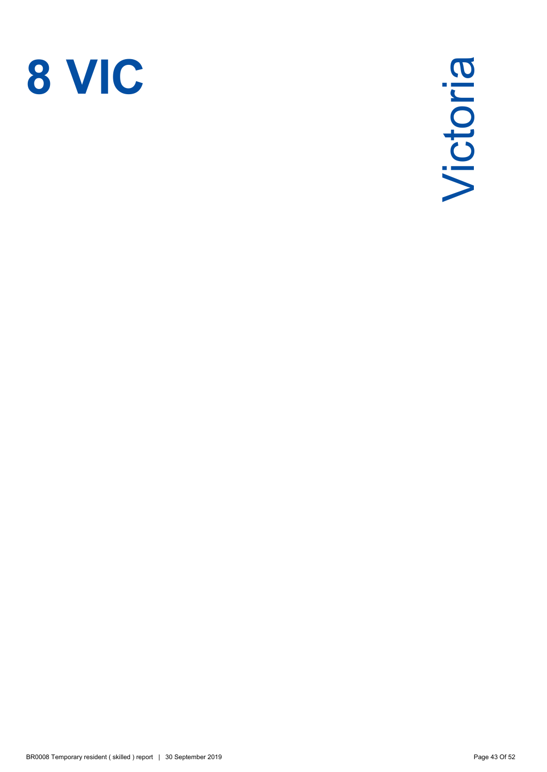![](_page_48_Picture_0.jpeg)

Victoria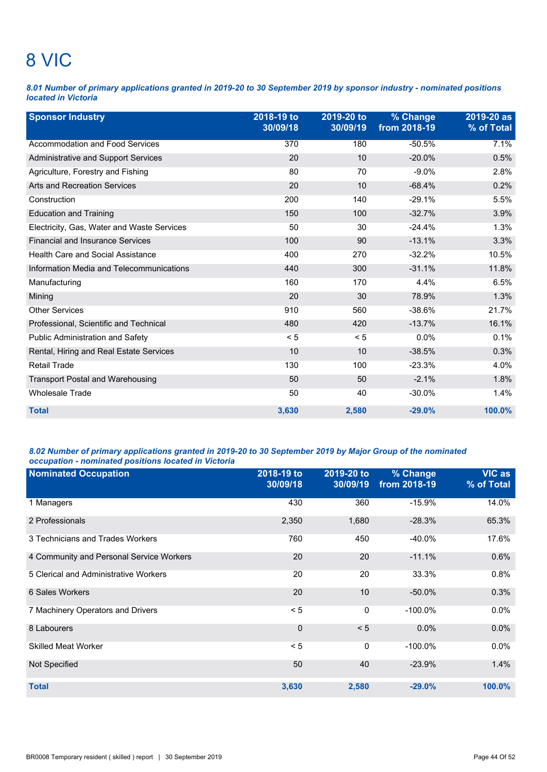## 8 VIC

*8.01 Number of primary applications granted in 2019-20 to 30 September 2019 by sponsor industry - nominated positions located in Victoria*

| <b>Sponsor Industry</b>                    | 2018-19 to<br>30/09/18 | 2019-20 to<br>30/09/19 | % Change<br>from 2018-19 | 2019-20 as<br>% of Total |
|--------------------------------------------|------------------------|------------------------|--------------------------|--------------------------|
| Accommodation and Food Services            | 370                    | 180                    | $-50.5%$                 | 7.1%                     |
| Administrative and Support Services        | 20                     | 10                     | $-20.0%$                 | 0.5%                     |
| Agriculture, Forestry and Fishing          | 80                     | 70                     | $-9.0%$                  | 2.8%                     |
| Arts and Recreation Services               | 20                     | 10                     | $-68.4%$                 | 0.2%                     |
| Construction                               | 200                    | 140                    | $-29.1%$                 | 5.5%                     |
| <b>Education and Training</b>              | 150                    | 100                    | $-32.7%$                 | 3.9%                     |
| Electricity, Gas, Water and Waste Services | 50                     | 30                     | $-24.4%$                 | 1.3%                     |
| <b>Financial and Insurance Services</b>    | 100                    | 90                     | $-13.1%$                 | 3.3%                     |
| <b>Health Care and Social Assistance</b>   | 400                    | 270                    | $-32.2%$                 | 10.5%                    |
| Information Media and Telecommunications   | 440                    | 300                    | $-31.1%$                 | 11.8%                    |
| Manufacturing                              | 160                    | 170                    | 4.4%                     | 6.5%                     |
| Mining                                     | 20                     | 30                     | 78.9%                    | 1.3%                     |
| <b>Other Services</b>                      | 910                    | 560                    | $-38.6%$                 | 21.7%                    |
| Professional, Scientific and Technical     | 480                    | 420                    | $-13.7%$                 | 16.1%                    |
| Public Administration and Safety           | < 5                    | < 5                    | 0.0%                     | 0.1%                     |
| Rental, Hiring and Real Estate Services    | 10                     | 10                     | $-38.5%$                 | 0.3%                     |
| <b>Retail Trade</b>                        | 130                    | 100                    | $-23.3%$                 | 4.0%                     |
| <b>Transport Postal and Warehousing</b>    | 50                     | 50                     | $-2.1%$                  | 1.8%                     |
| <b>Wholesale Trade</b>                     | 50                     | 40                     | $-30.0%$                 | 1.4%                     |
| <b>Total</b>                               | 3,630                  | 2,580                  | $-29.0%$                 | 100.0%                   |

### *8.02 Number of primary applications granted in 2019-20 to 30 September 2019 by Major Group of the nominated occupation - nominated positions located in Victoria*

| <b>Nominated Occupation</b>              | 2018-19 to<br>30/09/18 | 2019-20 to<br>30/09/19 | % Change<br>from 2018-19 | <b>VIC as</b><br>% of Total |
|------------------------------------------|------------------------|------------------------|--------------------------|-----------------------------|
| 1 Managers                               | 430                    | 360                    | $-15.9%$                 | 14.0%                       |
| 2 Professionals                          | 2,350                  | 1,680                  | $-28.3%$                 | 65.3%                       |
| 3 Technicians and Trades Workers         | 760                    | 450                    | $-40.0\%$                | 17.6%                       |
| 4 Community and Personal Service Workers | 20                     | 20                     | $-11.1%$                 | 0.6%                        |
| 5 Clerical and Administrative Workers    | 20                     | 20                     | 33.3%                    | 0.8%                        |
| 6 Sales Workers                          | 20                     | 10                     | $-50.0\%$                | 0.3%                        |
| 7 Machinery Operators and Drivers        | < 5                    | 0                      | $-100.0\%$               | 0.0%                        |
| 8 Labourers                              | $\mathbf 0$            | < 5                    | 0.0%                     | 0.0%                        |
| <b>Skilled Meat Worker</b>               | < 5                    | 0                      | $-100.0\%$               | 0.0%                        |
| Not Specified                            | 50                     | 40                     | $-23.9%$                 | 1.4%                        |
| <b>Total</b>                             | 3,630                  | 2,580                  | $-29.0%$                 | 100.0%                      |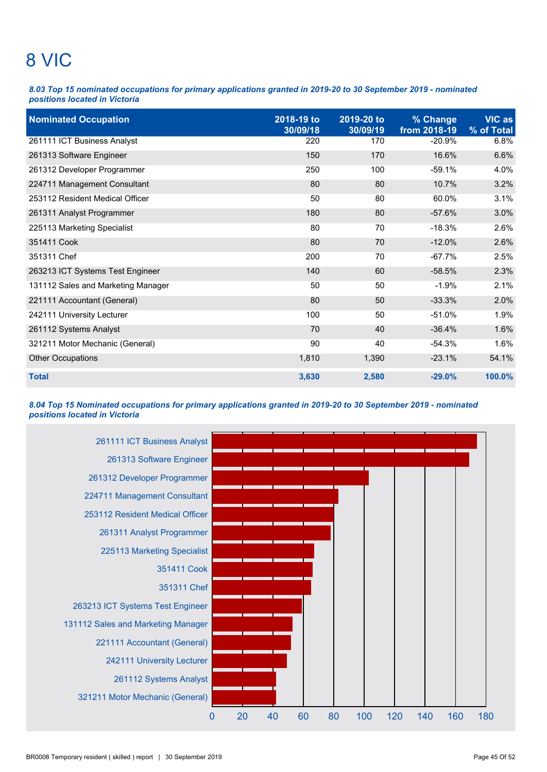# 8 VIC

*8.03 Top 15 nominated occupations for primary applications granted in 2019-20 to 30 September 2019 - nominated positions located in Victoria*

| <b>Nominated Occupation</b>        | 2018-19 to<br>30/09/18 | 2019-20 to<br>30/09/19 | % Change<br>from 2018-19 | <b>VIC as</b><br>% of Total |
|------------------------------------|------------------------|------------------------|--------------------------|-----------------------------|
| 261111 ICT Business Analyst        | 220                    | 170                    | $-20.9%$                 | 6.8%                        |
| 261313 Software Engineer           | 150                    | 170                    | 16.6%                    | 6.6%                        |
| 261312 Developer Programmer        | 250                    | 100                    | $-59.1%$                 | 4.0%                        |
| 224711 Management Consultant       | 80                     | 80                     | 10.7%                    | 3.2%                        |
| 253112 Resident Medical Officer    | 50                     | 80                     | 60.0%                    | 3.1%                        |
| 261311 Analyst Programmer          | 180                    | 80                     | $-57.6%$                 | 3.0%                        |
| 225113 Marketing Specialist        | 80                     | 70                     | $-18.3%$                 | 2.6%                        |
| 351411 Cook                        | 80                     | 70                     | $-12.0%$                 | 2.6%                        |
| 351311 Chef                        | 200                    | 70                     | $-67.7%$                 | 2.5%                        |
| 263213 ICT Systems Test Engineer   | 140                    | 60                     | $-58.5%$                 | 2.3%                        |
| 131112 Sales and Marketing Manager | 50                     | 50                     | $-1.9%$                  | 2.1%                        |
| 221111 Accountant (General)        | 80                     | 50                     | $-33.3%$                 | 2.0%                        |
| 242111 University Lecturer         | 100                    | 50                     | $-51.0%$                 | 1.9%                        |
| 261112 Systems Analyst             | 70                     | 40                     | $-36.4%$                 | 1.6%                        |
| 321211 Motor Mechanic (General)    | 90                     | 40                     | $-54.3%$                 | 1.6%                        |
| Other Occupations                  | 1,810                  | 1,390                  | $-23.1%$                 | 54.1%                       |
| <b>Total</b>                       | 3,630                  | 2,580                  | $-29.0%$                 | 100.0%                      |

### *8.04 Top 15 Nominated occupations for primary applications granted in 2019-20 to 30 September 2019 - nominated positions located in Victoria*

![](_page_50_Figure_4.jpeg)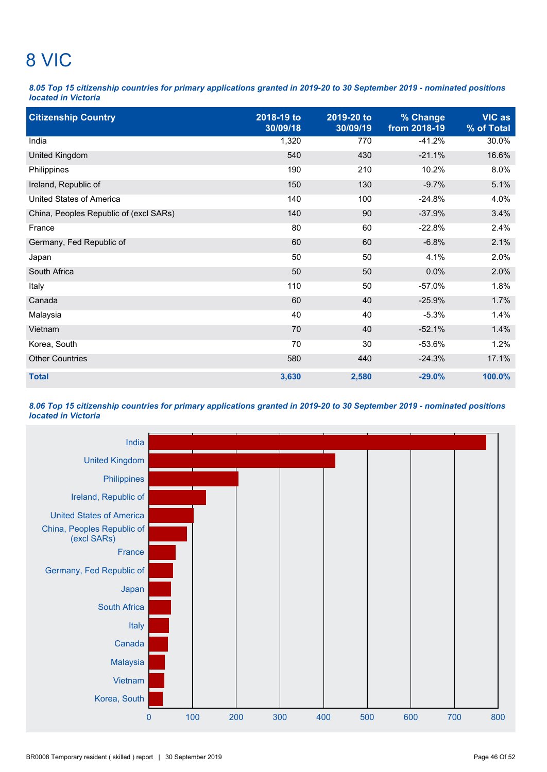# 8 VIC

*8.05 Top 15 citizenship countries for primary applications granted in 2019-20 to 30 September 2019 - nominated positions located in Victoria*

| <b>Citizenship Country</b>             | 2018-19 to<br>30/09/18 | 2019-20 to<br>30/09/19 | % Change<br>from 2018-19 | <b>VIC as</b><br>% of Total |
|----------------------------------------|------------------------|------------------------|--------------------------|-----------------------------|
| India                                  | 1,320                  | 770                    | $-41.2%$                 | 30.0%                       |
| United Kingdom                         | 540                    | 430                    | $-21.1%$                 | 16.6%                       |
| Philippines                            | 190                    | 210                    | 10.2%                    | 8.0%                        |
| Ireland, Republic of                   | 150                    | 130                    | $-9.7%$                  | 5.1%                        |
| <b>United States of America</b>        | 140                    | 100                    | $-24.8%$                 | 4.0%                        |
| China, Peoples Republic of (excl SARs) | 140                    | 90                     | $-37.9%$                 | 3.4%                        |
| France                                 | 80                     | 60                     | $-22.8%$                 | 2.4%                        |
| Germany, Fed Republic of               | 60                     | 60                     | $-6.8%$                  | 2.1%                        |
| Japan                                  | 50                     | 50                     | 4.1%                     | 2.0%                        |
| South Africa                           | 50                     | 50                     | 0.0%                     | 2.0%                        |
| Italy                                  | 110                    | 50                     | $-57.0%$                 | 1.8%                        |
| Canada                                 | 60                     | 40                     | $-25.9%$                 | 1.7%                        |
| Malaysia                               | 40                     | 40                     | $-5.3%$                  | 1.4%                        |
| Vietnam                                | 70                     | 40                     | $-52.1%$                 | 1.4%                        |
| Korea, South                           | 70                     | 30                     | $-53.6%$                 | 1.2%                        |
| <b>Other Countries</b>                 | 580                    | 440                    | $-24.3%$                 | 17.1%                       |
| <b>Total</b>                           | 3,630                  | 2,580                  | $-29.0%$                 | 100.0%                      |

*8.06 Top 15 citizenship countries for primary applications granted in 2019-20 to 30 September 2019 - nominated positions located in Victoria*

![](_page_51_Figure_4.jpeg)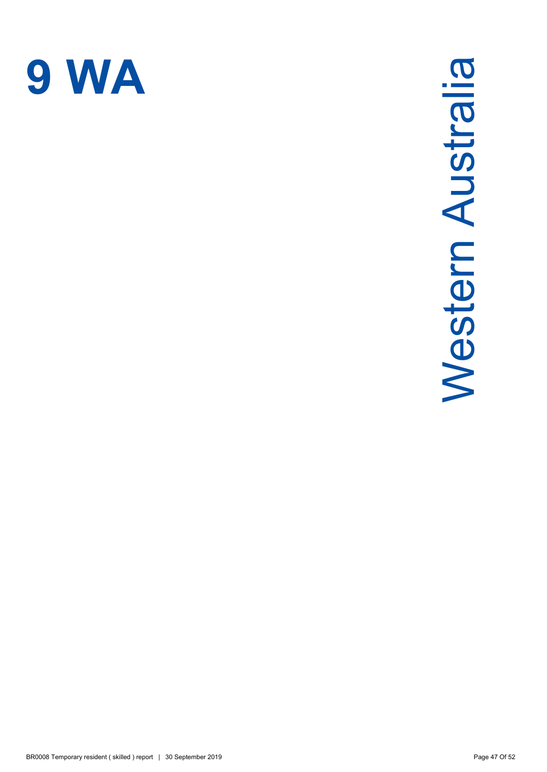![](_page_52_Picture_0.jpeg)

# Western Australia Western Australia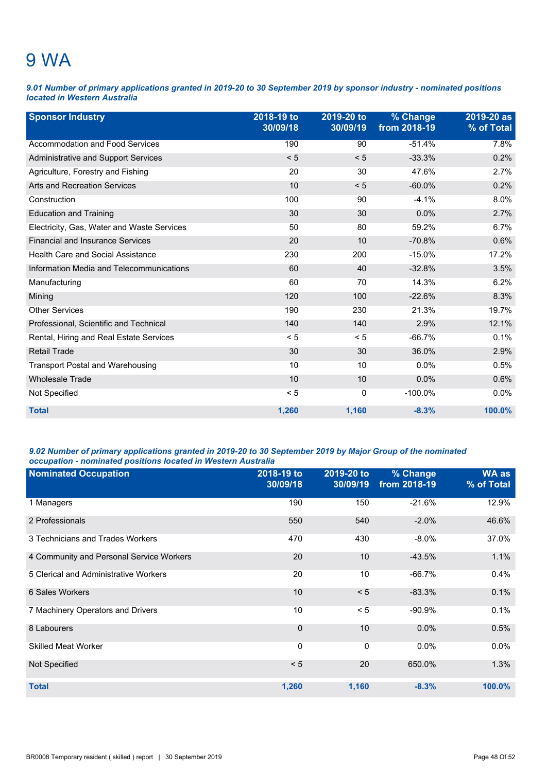### 9 WA

*9.01 Number of primary applications granted in 2019-20 to 30 September 2019 by sponsor industry - nominated positions located in Western Australia*

| <b>Sponsor Industry</b>                    | 2018-19 to<br>30/09/18 | 2019-20 to<br>30/09/19 | % Change<br>from 2018-19 | 2019-20 as<br>% of Total |
|--------------------------------------------|------------------------|------------------------|--------------------------|--------------------------|
| Accommodation and Food Services            | 190                    | 90                     | $-51.4%$                 | 7.8%                     |
| Administrative and Support Services        | < 5                    | < 5                    | $-33.3%$                 | 0.2%                     |
| Agriculture, Forestry and Fishing          | 20                     | 30                     | 47.6%                    | 2.7%                     |
| <b>Arts and Recreation Services</b>        | 10                     | < 5                    | $-60.0%$                 | 0.2%                     |
| Construction                               | 100                    | 90                     | $-4.1%$                  | 8.0%                     |
| <b>Education and Training</b>              | 30                     | 30                     | 0.0%                     | 2.7%                     |
| Electricity, Gas, Water and Waste Services | 50                     | 80                     | 59.2%                    | 6.7%                     |
| <b>Financial and Insurance Services</b>    | 20                     | 10                     | $-70.8%$                 | 0.6%                     |
| <b>Health Care and Social Assistance</b>   | 230                    | 200                    | $-15.0%$                 | 17.2%                    |
| Information Media and Telecommunications   | 60                     | 40                     | $-32.8%$                 | 3.5%                     |
| Manufacturing                              | 60                     | 70                     | 14.3%                    | 6.2%                     |
| Mining                                     | 120                    | 100                    | $-22.6%$                 | 8.3%                     |
| <b>Other Services</b>                      | 190                    | 230                    | 21.3%                    | 19.7%                    |
| Professional, Scientific and Technical     | 140                    | 140                    | 2.9%                     | 12.1%                    |
| Rental, Hiring and Real Estate Services    | < 5                    | < 5                    | $-66.7%$                 | 0.1%                     |
| <b>Retail Trade</b>                        | 30                     | 30                     | 36.0%                    | 2.9%                     |
| <b>Transport Postal and Warehousing</b>    | 10                     | 10                     | 0.0%                     | 0.5%                     |
| <b>Wholesale Trade</b>                     | 10                     | 10                     | 0.0%                     | 0.6%                     |
| Not Specified                              | < 5                    | 0                      | $-100.0\%$               | 0.0%                     |
| <b>Total</b>                               | 1,260                  | 1,160                  | $-8.3%$                  | 100.0%                   |

### *9.02 Number of primary applications granted in 2019-20 to 30 September 2019 by Major Group of the nominated occupation - nominated positions located in Western Australia*

| <b>Nominated Occupation</b>              | 2018-19 to<br>30/09/18 | 2019-20 to<br>30/09/19 | % Change<br>from 2018-19 | <b>WA as</b><br>% of Total |
|------------------------------------------|------------------------|------------------------|--------------------------|----------------------------|
| 1 Managers                               | 190                    | 150                    | $-21.6%$                 | 12.9%                      |
| 2 Professionals                          | 550                    | 540                    | $-2.0%$                  | 46.6%                      |
| 3 Technicians and Trades Workers         | 470                    | 430                    | $-8.0\%$                 | 37.0%                      |
| 4 Community and Personal Service Workers | 20                     | 10                     | $-43.5%$                 | 1.1%                       |
| 5 Clerical and Administrative Workers    | 20                     | 10                     | $-66.7%$                 | 0.4%                       |
| 6 Sales Workers                          | 10                     | < 5                    | $-83.3%$                 | 0.1%                       |
| 7 Machinery Operators and Drivers        | 10                     | < 5                    | $-90.9%$                 | 0.1%                       |
| 8 Labourers                              | $\mathbf 0$            | 10                     | 0.0%                     | 0.5%                       |
| <b>Skilled Meat Worker</b>               | $\Omega$               | $\mathbf{0}$           | 0.0%                     | $0.0\%$                    |
| Not Specified                            | < 5                    | 20                     | 650.0%                   | 1.3%                       |
| <b>Total</b>                             | 1,260                  | 1,160                  | $-8.3%$                  | 100.0%                     |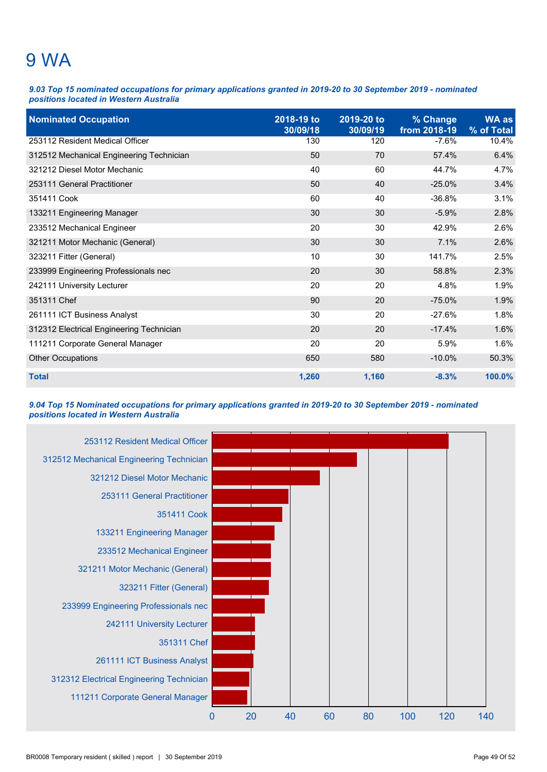### 9 WA

*9.03 Top 15 nominated occupations for primary applications granted in 2019-20 to 30 September 2019 - nominated positions located in Western Australia*

| <b>Nominated Occupation</b>              | 2018-19 to<br>30/09/18 | 2019-20 to<br>30/09/19 | % Change<br>from 2018-19 | <b>WA as</b><br>% of Total |
|------------------------------------------|------------------------|------------------------|--------------------------|----------------------------|
| 253112 Resident Medical Officer          | 130                    | 120                    | $-7.6%$                  | 10.4%                      |
| 312512 Mechanical Engineering Technician | 50                     | 70                     | 57.4%                    | 6.4%                       |
| 321212 Diesel Motor Mechanic             | 40                     | 60                     | 44.7%                    | 4.7%                       |
| 253111 General Practitioner              | 50                     | 40                     | $-25.0%$                 | 3.4%                       |
| 351411 Cook                              | 60                     | 40                     | $-36.8%$                 | 3.1%                       |
| 133211 Engineering Manager               | 30                     | 30                     | $-5.9%$                  | 2.8%                       |
| 233512 Mechanical Engineer               | 20                     | 30                     | 42.9%                    | 2.6%                       |
| 321211 Motor Mechanic (General)          | 30                     | 30                     | 7.1%                     | 2.6%                       |
| 323211 Fitter (General)                  | 10                     | 30                     | 141.7%                   | 2.5%                       |
| 233999 Engineering Professionals nec     | 20                     | 30                     | 58.8%                    | 2.3%                       |
| 242111 University Lecturer               | 20                     | 20                     | 4.8%                     | 1.9%                       |
| 351311 Chef                              | 90                     | 20                     | $-75.0%$                 | 1.9%                       |
| 261111 ICT Business Analyst              | 30                     | 20                     | $-27.6%$                 | 1.8%                       |
| 312312 Electrical Engineering Technician | 20                     | 20                     | $-17.4%$                 | 1.6%                       |
| 111211 Corporate General Manager         | 20                     | 20                     | 5.9%                     | 1.6%                       |
| <b>Other Occupations</b>                 | 650                    | 580                    | $-10.0\%$                | 50.3%                      |
| <b>Total</b>                             | 1,260                  | 1,160                  | $-8.3%$                  | 100.0%                     |

*9.04 Top 15 Nominated occupations for primary applications granted in 2019-20 to 30 September 2019 - nominated positions located in Western Australia*

![](_page_54_Figure_4.jpeg)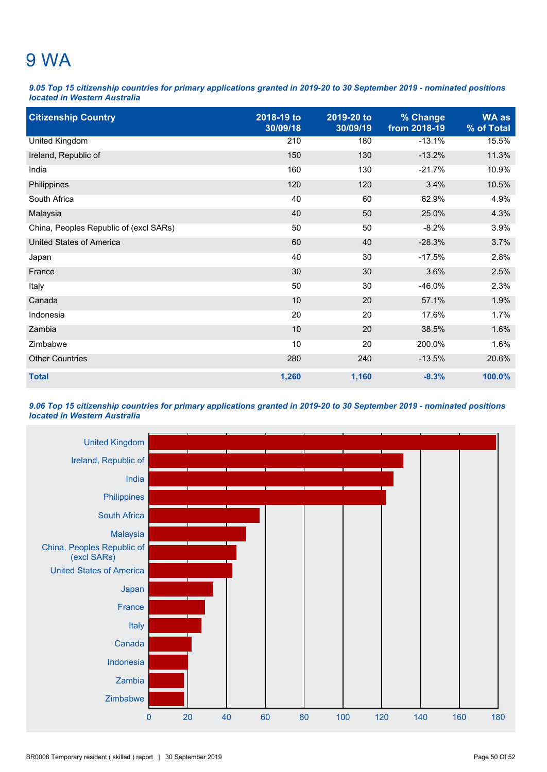### 9 WA

*9.05 Top 15 citizenship countries for primary applications granted in 2019-20 to 30 September 2019 - nominated positions located in Western Australia*

| <b>Citizenship Country</b>             | 2018-19 to<br>30/09/18 | 2019-20 to<br>30/09/19 | % Change<br>from 2018-19 | <b>WA as</b><br>% of Total |
|----------------------------------------|------------------------|------------------------|--------------------------|----------------------------|
| United Kingdom                         | 210                    | 180                    | $-13.1%$                 | 15.5%                      |
| Ireland, Republic of                   | 150                    | 130                    | $-13.2%$                 | 11.3%                      |
| India                                  | 160                    | 130                    | $-21.7%$                 | 10.9%                      |
| Philippines                            | 120                    | 120                    | 3.4%                     | 10.5%                      |
| South Africa                           | 40                     | 60                     | 62.9%                    | 4.9%                       |
| Malaysia                               | 40                     | 50                     | 25.0%                    | 4.3%                       |
| China, Peoples Republic of (excl SARs) | 50                     | 50                     | $-8.2%$                  | 3.9%                       |
| <b>United States of America</b>        | 60                     | 40                     | $-28.3%$                 | 3.7%                       |
| Japan                                  | 40                     | 30                     | $-17.5%$                 | 2.8%                       |
| France                                 | 30                     | 30                     | 3.6%                     | 2.5%                       |
| Italy                                  | 50                     | 30                     | $-46.0%$                 | 2.3%                       |
| Canada                                 | 10                     | 20                     | 57.1%                    | 1.9%                       |
| Indonesia                              | 20                     | 20                     | 17.6%                    | 1.7%                       |
| Zambia                                 | 10                     | 20                     | 38.5%                    | 1.6%                       |
| Zimbabwe                               | 10                     | 20                     | 200.0%                   | 1.6%                       |
| <b>Other Countries</b>                 | 280                    | 240                    | $-13.5%$                 | 20.6%                      |
| <b>Total</b>                           | 1,260                  | 1,160                  | $-8.3%$                  | 100.0%                     |

### *9.06 Top 15 citizenship countries for primary applications granted in 2019-20 to 30 September 2019 - nominated positions located in Western Australia*

![](_page_55_Figure_4.jpeg)